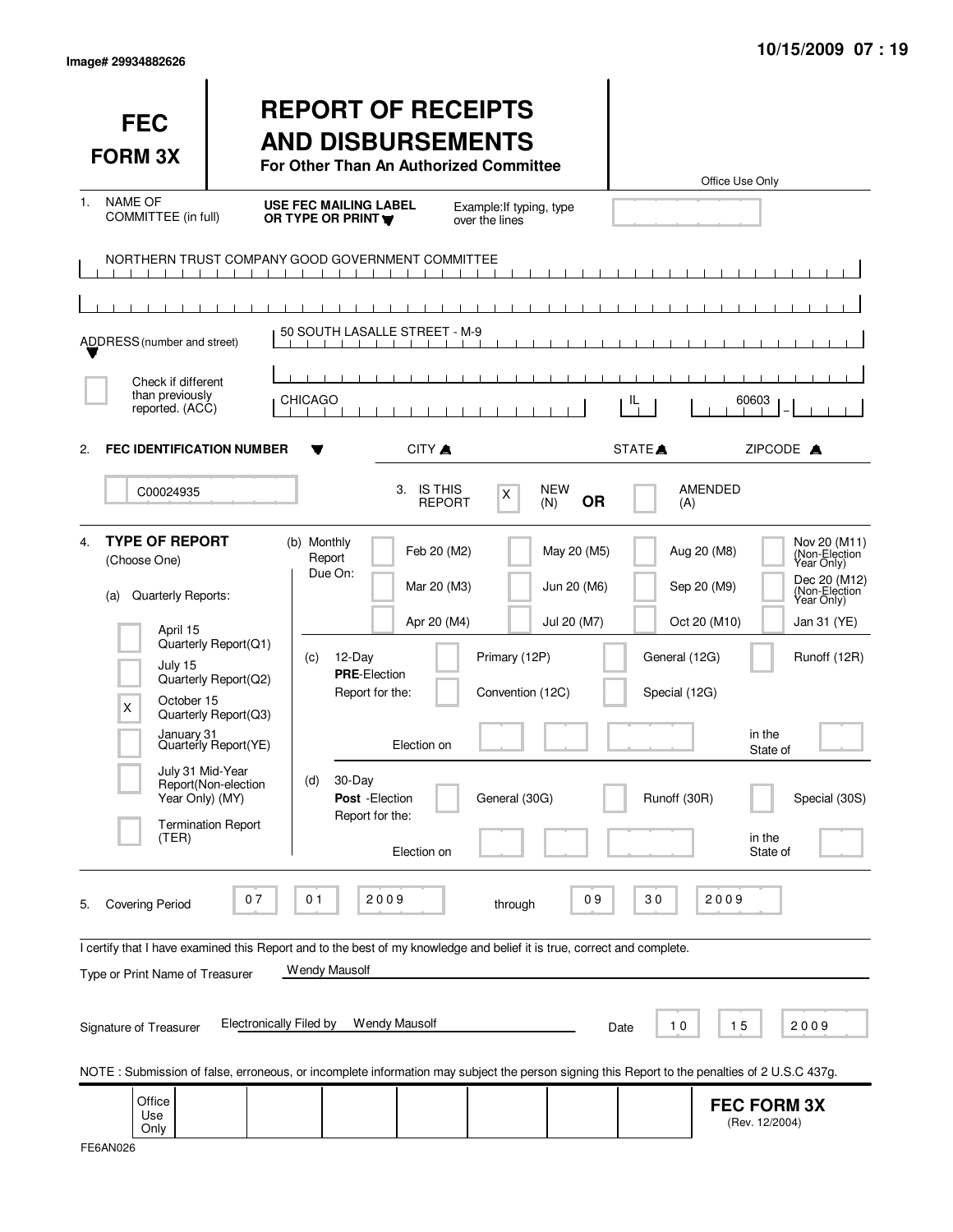| lmage# 29934882626 |  |  |
|--------------------|--|--|
|--------------------|--|--|

| <b>FEC</b><br><b>FORM 3X</b>                                                                                                                                                                                         |                                                                                                                                                                      | <b>REPORT OF RECEIPTS</b><br><b>AND DISBURSEMENTS</b><br>For Other Than An Authorized Committee                                                    |                                                                         |                                                                                                 |                                                | Office Use Only                                                                        |                                                                                                                                             |
|----------------------------------------------------------------------------------------------------------------------------------------------------------------------------------------------------------------------|----------------------------------------------------------------------------------------------------------------------------------------------------------------------|----------------------------------------------------------------------------------------------------------------------------------------------------|-------------------------------------------------------------------------|-------------------------------------------------------------------------------------------------|------------------------------------------------|----------------------------------------------------------------------------------------|---------------------------------------------------------------------------------------------------------------------------------------------|
| <b>NAME OF</b><br>$1_{-}$<br>COMMITTEE (in full)                                                                                                                                                                     |                                                                                                                                                                      | <b>USE FEC MAILING LABEL</b><br>OR TYPE OR PRINT                                                                                                   | over the lines                                                          | Example: If typing, type                                                                        |                                                |                                                                                        |                                                                                                                                             |
|                                                                                                                                                                                                                      | $\blacksquare$<br>$\sim$ 1                                                                                                                                           | NORTHERN TRUST COMPANY GOOD GOVERNMENT COMMITTEE<br>.                                                                                              |                                                                         |                                                                                                 |                                                |                                                                                        |                                                                                                                                             |
| ADDRESS (number and street)                                                                                                                                                                                          |                                                                                                                                                                      | 50 SOUTH LASALLE STREET - M-9                                                                                                                      |                                                                         |                                                                                                 |                                                |                                                                                        |                                                                                                                                             |
| Check if different<br>than previously<br>reported. (ACC)                                                                                                                                                             |                                                                                                                                                                      | <b>CHICAGO</b>                                                                                                                                     |                                                                         |                                                                                                 | IL                                             | 60603                                                                                  |                                                                                                                                             |
| <b>FEC IDENTIFICATION NUMBER</b><br>2.<br>C00024935                                                                                                                                                                  |                                                                                                                                                                      | 3.                                                                                                                                                 | CITY A<br><b>IS THIS</b>                                                | <b>NEW</b>                                                                                      | STATE <sup></sup>                              | ZIPCODE A<br><b>AMENDED</b>                                                            |                                                                                                                                             |
|                                                                                                                                                                                                                      |                                                                                                                                                                      |                                                                                                                                                    | <b>REPORT</b>                                                           | X<br>(N)                                                                                        | <b>OR</b>                                      | (A)                                                                                    |                                                                                                                                             |
| <b>TYPE OF REPORT</b><br>4.<br>(Choose One)<br>Quarterly Reports:<br>(a)<br>April 15<br>July 15<br>October 15<br>X<br>January 31<br>Year Only) (MY)<br>(TER)                                                         | Quarterly Report(Q1)<br>Quarterly Report(Q2)<br>Quarterly Report(Q3)<br>Quarterly Report(YE)<br>July 31 Mid-Year<br>Report(Non-election<br><b>Termination Report</b> | (b) Monthly<br>Report<br>Due On:<br>12-Day<br>(c)<br><b>PRE-Election</b><br>Report for the:<br>30-Day<br>(d)<br>Post - Election<br>Report for the: | Feb 20 (M2)<br>Mar 20 (M3)<br>Apr 20 (M4)<br>Election on<br>Election on | May 20 (M5)<br>Jun 20 (M6)<br>Jul 20 (M7)<br>Primary (12P)<br>Convention (12C)<br>General (30G) | General (12G)<br>Special (12G)<br>Runoff (30R) | Aug 20 (M8)<br>Sep 20 (M9)<br>Oct 20 (M10)<br>in the<br>State of<br>in the<br>State of | Nov 20 (M11)<br>(Non-Election<br>Year Only)<br>Dec 20 (M12)<br>(Non-Election)<br>Year Only)<br>Jan 31 (YE)<br>Runoff (12R)<br>Special (30S) |
| <b>Covering Period</b><br>5.<br>I certify that I have examined this Report and to the best of my knowledge and belief it is true, correct and complete.<br>Type or Print Name of Treasurer<br>Signature of Treasurer | 07<br><b>Electronically Filed by</b>                                                                                                                                 | 2009<br>01<br>Wendy Mausolf<br>Wendy Mausolf                                                                                                       |                                                                         | through                                                                                         | 09<br>30<br>10<br>Date                         | 2009<br>15                                                                             | 2009                                                                                                                                        |
| NOTE: Submission of false, erroneous, or incomplete information may subject the person signing this Report to the penalties of 2 U.S.C 437g.<br>Office                                                               |                                                                                                                                                                      |                                                                                                                                                    |                                                                         |                                                                                                 |                                                |                                                                                        |                                                                                                                                             |
| Use<br>Only                                                                                                                                                                                                          |                                                                                                                                                                      |                                                                                                                                                    |                                                                         |                                                                                                 |                                                | <b>FEC FORM 3X</b><br>(Rev. 12/2004)                                                   |                                                                                                                                             |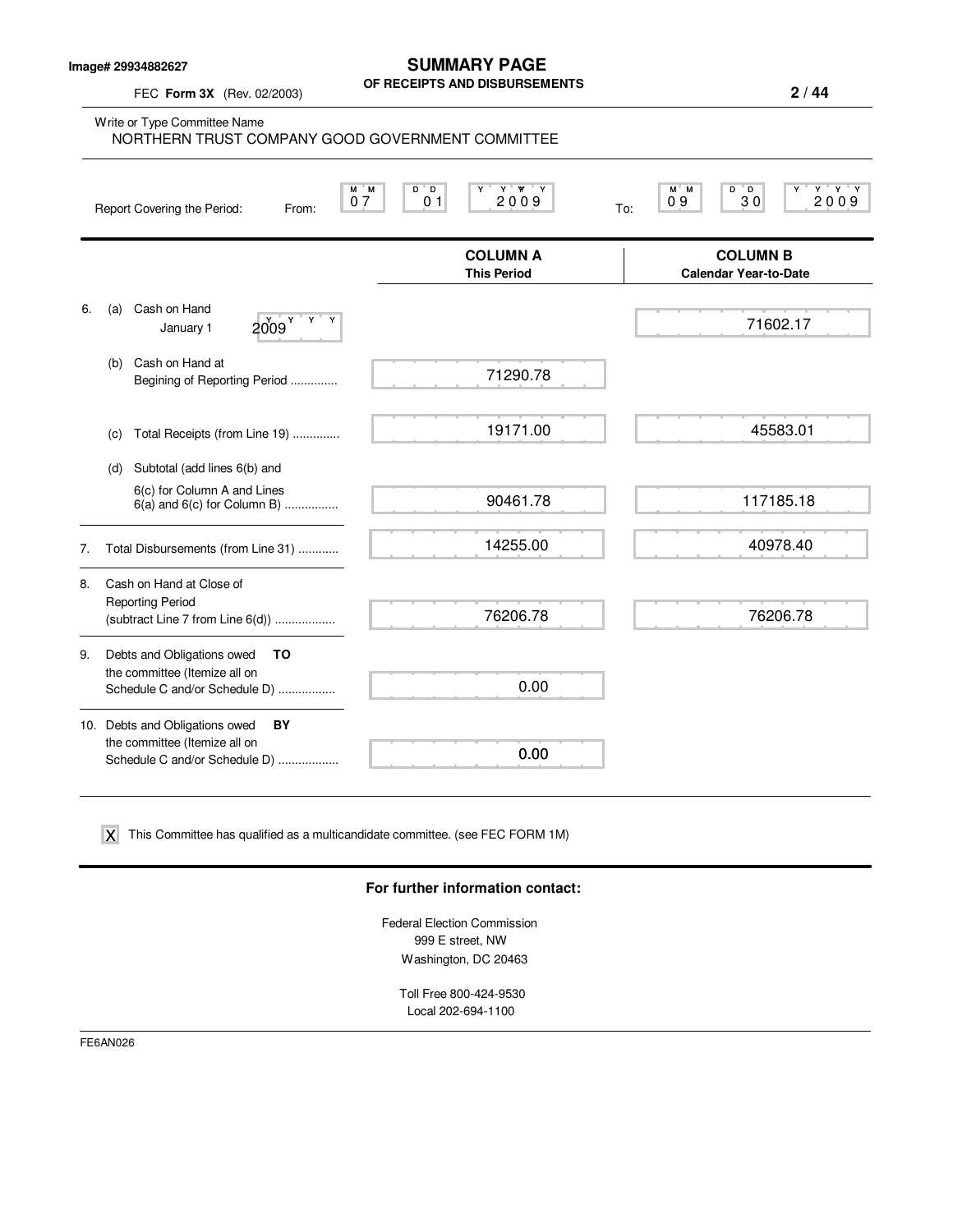**Image# 29934882627**

FEC **Form 3X** (Rev. 02/2003)

#### **SUMMARY PAGE OF RECEIPTS AND DISBURSEMENTS**

**2 / 44**

Write or Type Committee Name M M D D Y Y YY Y M M D D Y Y Y Y Report Covering the Period: From:  $\begin{array}{|c|c|c|c|c|}\n\hline\nN & M & D & D & Y & Y & Y & Y \\
\hline\n\end{array}$  To: **COLUMN A** COLUMN B<br>
This Period Calendar Year-to-Da **Calendar Year-to-Date** 6. (a) Cash on Hand January  $1$   $2009$ <sup>Y</sup> (b) Cash on Hand at Begining of Reporting Period .............. (c) Total Receipts (from Line 19) .............. (d) Subtotal (add lines 6(b) and 6(c) for Column A and Lines  $6(a)$  and  $6(c)$  for Column B) ................. 7. Total Disbursements (from Line 31) ............ 8. Cash on Hand at Close of Reporting Period (subtract Line 7 from Line 6(d)) .................. 9. Debts and Obligations owed **TO** the committee (Itemize all on Schedule C and/or Schedule D) ................. 10. Debts and Obligations owed **BY** the committee (Itemize all on Schedule C and/or Schedule D) .................. 0 7 | 0 1 | 200 9 | <sub>To:</sub> | 0 9 | | 3 0 | | 200 9 NORTHERN TRUST COMPANY GOOD GOVERNMENT COMMITTEE 71290.78 19171.00 90461.78 14255.00 76206.78 0.00 0.00  $2009$ <sup>Y</sup> <sup>Y</sup> Y 45583.01 117185.18 40978.40 76206.78

 $\boldsymbol{\mathsf{X}}$  This Committee has qualified as a multicandidate committee. (see FEC FORM 1M)

#### **For further information contact:**

Federal Election Commission 999 E street, NW Washington, DC 20463

Toll Free 800-424-9530 Local 202-694-1100

FE6AN026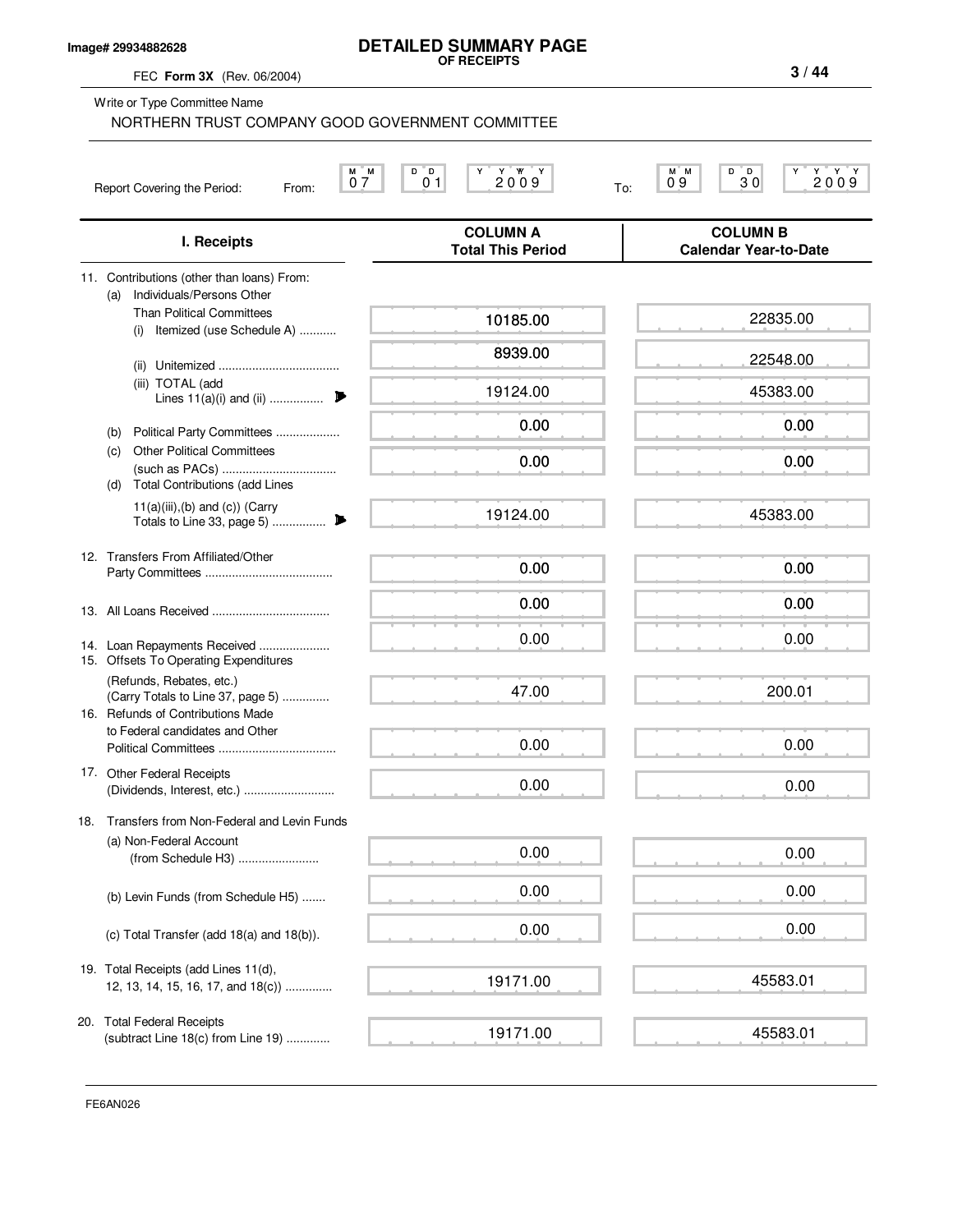### **Image# 29934882628**

#### **DETAILED SUMMARY PAGE OF RECEIPTS**

FEC **Form 3X** (Rev. 06/2004)

Write or Type Committee Name

 $\begin{array}{|c|c|c|c|c|c|c|c|} \hline \mathtt{M} & \mathtt{N} & \mathtt{D} & \mathtt{D} & \mathtt{D} & \mathtt{N} & \mathtt{M} & \mathtt{N} & \mathtt{N} & \mathtt{N} & \mathtt{N} & \mathtt{N} & \mathtt{N} & \mathtt{N} & \mathtt{N} & \mathtt{N} & \mathtt{N} & \mathtt{N} & \mathtt{N} & \mathtt{N} & \mathtt{N} & \mathtt{N} & \mathtt{N} & \mathtt{N} & \mathtt{N} & \mathtt{N} & \mathtt{N} & \mathtt{N$ Report Covering the Period: From: To: **COLUMN A COLUMN B I. Receipts Total This Period Calendar Year-to-Date** 11. Contributions (other than loans) From: (a) Individuals/Persons Other NORTHERN TRUST COMPANY GOOD GOVERNMENT COMMITTEE

|     | 11. Contributions (other than loans) From:<br>Individuals/Persons Other<br>(a)                     |          |          |
|-----|----------------------------------------------------------------------------------------------------|----------|----------|
|     | <b>Than Political Committees</b><br>Itemized (use Schedule A)<br>(i)                               | 10185.00 | 22835.00 |
|     |                                                                                                    | 8939.00  | 22548.00 |
|     | (iii) TOTAL (add<br>Lines $11(a)(i)$ and (ii)                                                      | 19124.00 | 45383.00 |
|     | Political Party Committees<br>(b)                                                                  | 0.00     | 0.00     |
|     | <b>Other Political Committees</b><br>(c)<br>(d)<br><b>Total Contributions (add Lines</b>           | 0.00     | 0.00     |
|     | $11(a)(iii),(b)$ and $(c)$ ) (Carry<br>Totals to Line 33, page 5)<br>₽                             | 19124.00 | 45383.00 |
|     | 12. Transfers From Affiliated/Other                                                                | 0.00     | 0.00     |
|     |                                                                                                    | 0.00     | 0.00     |
|     | 14. Loan Repayments Received<br>15. Offsets To Operating Expenditures                              | 0.00     | 0.00     |
|     | (Refunds, Rebates, etc.)<br>(Carry Totals to Line 37, page 5)<br>16. Refunds of Contributions Made | 47.00    | 200.01   |
|     | to Federal candidates and Other                                                                    | 0.00     | 0.00     |
|     | 17. Other Federal Receipts                                                                         | 0.00     | 0.00     |
| 18. | Transfers from Non-Federal and Levin Funds                                                         |          |          |
|     | (a) Non-Federal Account<br>(from Schedule H3)                                                      | 0.00     | 0.00     |
|     | (b) Levin Funds (from Schedule H5)                                                                 | 0.00     | 0.00     |
|     | (c) Total Transfer (add $18(a)$ and $18(b)$ ).                                                     | 0.00     | 0.00     |
|     | 19. Total Receipts (add Lines 11(d),<br>12, 13, 14, 15, 16, 17, and 18(c))                         | 19171.00 | 45583.01 |
|     | 20. Total Federal Receipts<br>(subtract Line 18(c) from Line 19)                                   | 19171.00 | 45583.01 |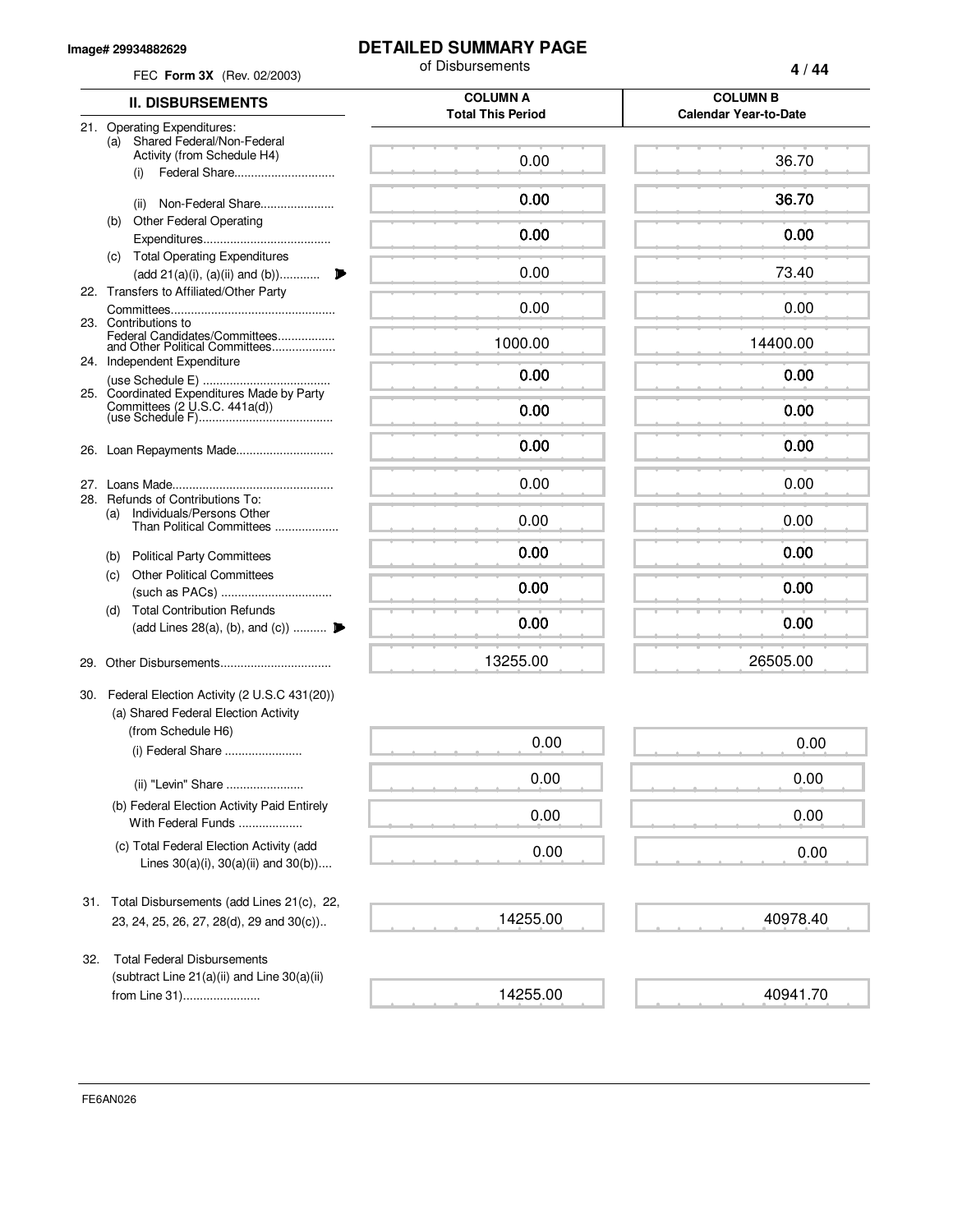#### **Image# 29934882629**

## **DETAILED SUMMARY PAGE**

| FEC Form 3X (Rev. 02/2003)                                                                           | of Disbursements                            | 4/44                                            |  |
|------------------------------------------------------------------------------------------------------|---------------------------------------------|-------------------------------------------------|--|
| <b>II. DISBURSEMENTS</b>                                                                             | <b>COLUMN A</b><br><b>Total This Period</b> | <b>COLUMN B</b><br><b>Calendar Year-to-Date</b> |  |
| 21. Operating Expenditures:<br>Shared Federal/Non-Federal<br>(a)                                     |                                             |                                                 |  |
| Activity (from Schedule H4)<br>Federal Share<br>(i)                                                  | 0.00                                        | 36.70                                           |  |
| Non-Federal Share<br>(ii)                                                                            | 0.00                                        | 36.70                                           |  |
| <b>Other Federal Operating</b><br>(b)                                                                | 0.00                                        | 0.00                                            |  |
| (c) Total Operating Expenditures<br>(add 21(a)(i), (a)(ii) and (b))                                  | 0.00                                        | 73.40                                           |  |
| 22. Transfers to Affiliated/Other Party                                                              | 0.00                                        | 0.00                                            |  |
| 23. Contributions to<br>Federal Candidates/Committees<br>and Other Political Committees              | 1000.00                                     | 14400.00                                        |  |
| 24. Independent Expenditure                                                                          | 0.00                                        | 0.00                                            |  |
| 25. Coordinated Expenditures Made by Party                                                           | 0.00                                        | 0.00                                            |  |
|                                                                                                      | 0.00                                        | 0.00                                            |  |
|                                                                                                      | 0.00                                        | 0.00                                            |  |
| Refunds of Contributions To:<br>28.<br>Individuals/Persons Other<br>(a)<br>Than Political Committees | 0.00                                        | 0.00                                            |  |
| <b>Political Party Committees</b><br>(b)                                                             | 0.00                                        | 0.00                                            |  |
| <b>Other Political Committees</b><br>(c)                                                             | 0.00                                        | 0.00                                            |  |
| <b>Total Contribution Refunds</b><br>(d)<br>(add Lines 28(a), (b), and (c))                          | 0.00                                        | 0.00                                            |  |
|                                                                                                      | 13255.00                                    | 26505.00                                        |  |
| 30. Federal Election Activity (2 U.S.C 431(20))<br>(a) Shared Federal Election Activity              |                                             |                                                 |  |
| (from Schedule H6)<br>(i) Federal Share                                                              | 0.00                                        | 0.00                                            |  |
| (ii) "Levin" Share                                                                                   | 0.00                                        | 0.00                                            |  |
| (b) Federal Election Activity Paid Entirely<br>With Federal Funds                                    | 0.00                                        | 0.00                                            |  |
| (c) Total Federal Election Activity (add<br>Lines $30(a)(i)$ , $30(a)(ii)$ and $30(b)$ )             | 0.00                                        | 0.00                                            |  |
| Total Disbursements (add Lines 21(c), 22,<br>31.                                                     |                                             |                                                 |  |
| 23, 24, 25, 26, 27, 28(d), 29 and 30(c))                                                             | 14255.00                                    | 40978.40                                        |  |
| <b>Total Federal Disbursements</b><br>32.<br>(subtract Line $21(a)(ii)$ and Line $30(a)(ii)$         |                                             |                                                 |  |
| from Line 31)                                                                                        | 14255.00                                    | 40941.70                                        |  |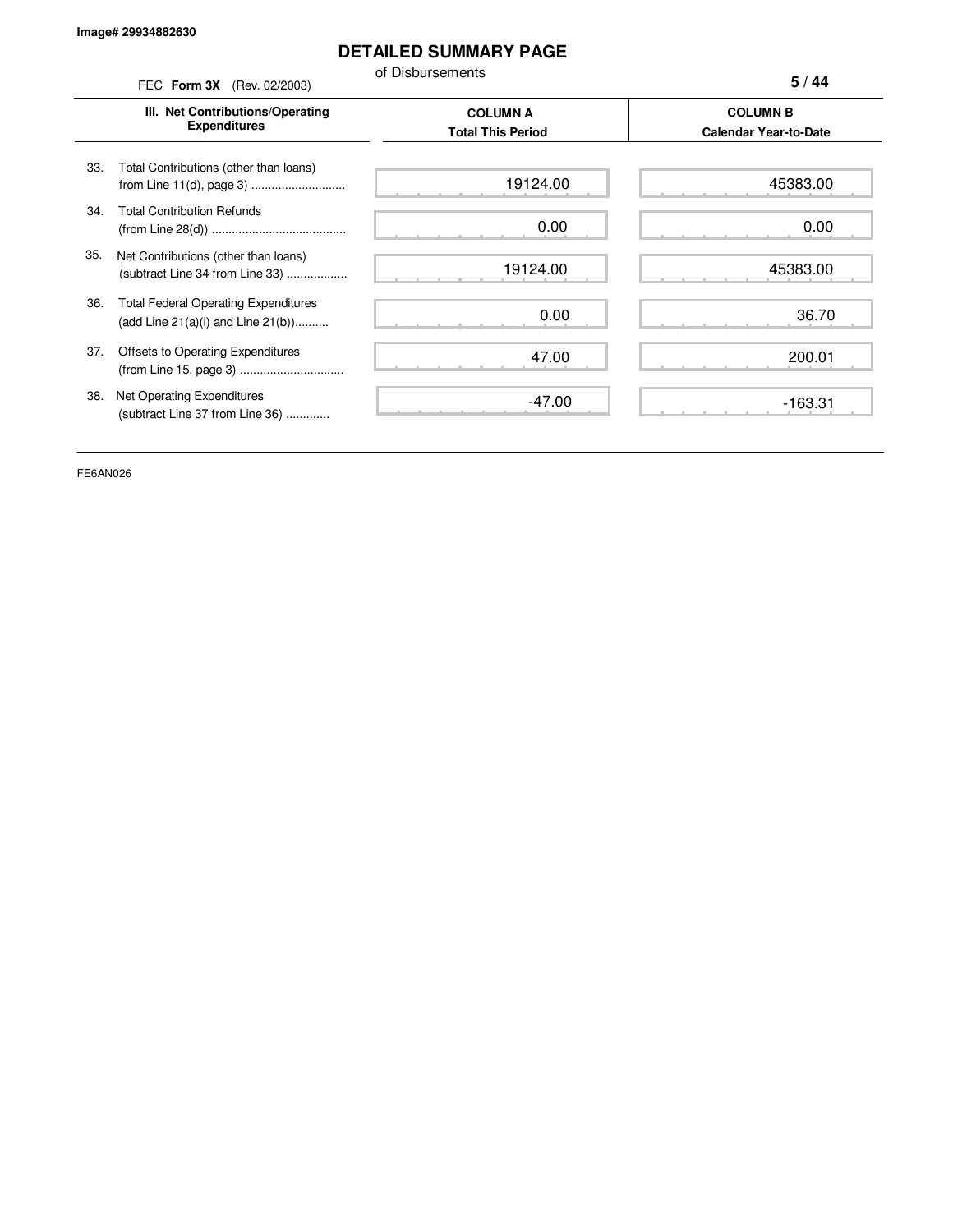# **DETAILED SUMMARY PAGE**

of Disbursements FEC **Form 3X** (Rev. 02/2003)

|     | III. Net Contributions/Operating<br><b>Expenditures</b>                                | <b>COLUMN A</b><br><b>Total This Period</b> | <b>COLUMN B</b><br><b>Calendar Year-to-Date</b> |
|-----|----------------------------------------------------------------------------------------|---------------------------------------------|-------------------------------------------------|
| 33. | Total Contributions (other than loans)                                                 | 19124.00                                    | 45383.00                                        |
| 34. | <b>Total Contribution Refunds</b>                                                      | 0.00                                        | 0.00                                            |
| 35. | Net Contributions (other than loans)<br>(subtract Line 34 from Line 33)                | 19124.00                                    | 45383.00                                        |
| 36. | <b>Total Federal Operating Expenditures</b><br>(add Line $21(a)(i)$ and Line $21(b)$ ) | 0.00                                        | 36.70                                           |
| 37. | Offsets to Operating Expenditures                                                      | 47.00                                       | 200.01                                          |
| 38. | Net Operating Expenditures<br>(subtract Line 37 from Line 36)                          | $-47.00$                                    | $-163.31$                                       |

FE6AN026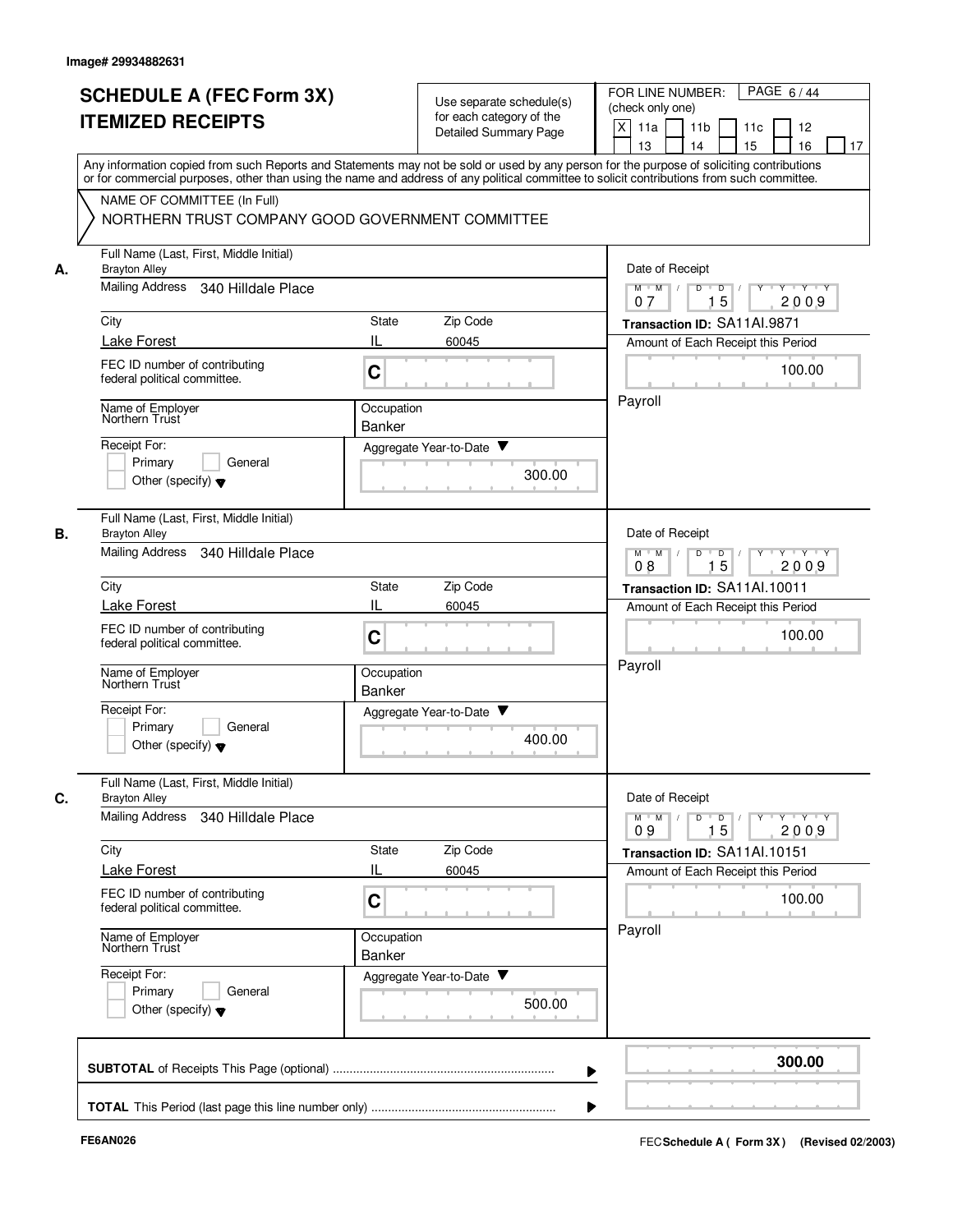|    | <b>SCHEDULE A (FEC Form 3X)</b><br><b>ITEMIZED RECEIPTS</b>                                                     | Use separate schedule(s)<br>for each category of the<br>Detailed Summary Page<br>Any information copied from such Reports and Statements may not be sold or used by any person for the purpose of soliciting contributions | PAGE 6/44<br>FOR LINE NUMBER:<br>(check only one)<br>$\mathsf{X}$<br>11a<br>11 <sub>b</sub><br>11c<br>12<br>16<br>13<br>14<br>15<br>17 |
|----|-----------------------------------------------------------------------------------------------------------------|----------------------------------------------------------------------------------------------------------------------------------------------------------------------------------------------------------------------------|----------------------------------------------------------------------------------------------------------------------------------------|
|    | NAME OF COMMITTEE (In Full)<br>NORTHERN TRUST COMPANY GOOD GOVERNMENT COMMITTEE                                 | or for commercial purposes, other than using the name and address of any political committee to solicit contributions from such committee.                                                                                 |                                                                                                                                        |
| А. | Full Name (Last, First, Middle Initial)<br><b>Brayton Alley</b><br><b>Mailing Address</b><br>340 Hilldale Place |                                                                                                                                                                                                                            | Date of Receipt<br>$M$ $M$ /<br>Y Y Y Y<br>D<br>D                                                                                      |
|    |                                                                                                                 |                                                                                                                                                                                                                            | 15<br>2009<br>07                                                                                                                       |
|    | City<br>Lake Forest                                                                                             | Zip Code<br><b>State</b><br>IL<br>60045                                                                                                                                                                                    | Transaction ID: SA11AI.9871<br>Amount of Each Receipt this Period                                                                      |
|    | FEC ID number of contributing<br>federal political committee.                                                   | C                                                                                                                                                                                                                          | 100.00                                                                                                                                 |
|    | Name of Employer<br>Northern Trust                                                                              | Occupation<br>Banker                                                                                                                                                                                                       | Payroll                                                                                                                                |
|    | Receipt For:<br>Primary<br>General<br>Other (specify) $\blacktriangledown$                                      | Aggregate Year-to-Date ▼<br>300.00                                                                                                                                                                                         |                                                                                                                                        |
| В. | Full Name (Last, First, Middle Initial)<br><b>Brayton Alley</b><br><b>Mailing Address</b><br>340 Hilldale Place |                                                                                                                                                                                                                            | Date of Receipt<br>D<br>$\overline{D}$<br>$Y \vdash Y \vdash Y$<br>$M$ M<br>$\sqrt{ }$                                                 |
|    |                                                                                                                 | 15<br>08<br>2009                                                                                                                                                                                                           |                                                                                                                                        |
|    | City<br><b>Lake Forest</b>                                                                                      | Zip Code<br>State<br>60045                                                                                                                                                                                                 | Transaction ID: SA11Al.10011<br>Amount of Each Receipt this Period                                                                     |
|    | FEC ID number of contributing<br>federal political committee.                                                   | C                                                                                                                                                                                                                          | 100.00                                                                                                                                 |
|    | Name of Employer<br>Northern Trust                                                                              | Occupation<br><b>Banker</b>                                                                                                                                                                                                | Payroll                                                                                                                                |
|    | Receipt For:<br>Primary<br>General<br>Other (specify) $\blacktriangledown$                                      | Aggregate Year-to-Date ▼<br>400.00                                                                                                                                                                                         |                                                                                                                                        |
| C. | Full Name (Last, First, Middle Initial)<br><b>Brayton Alley</b>                                                 |                                                                                                                                                                                                                            | Date of Receipt                                                                                                                        |
|    | Mailing Address 340 Hilldale Place                                                                              |                                                                                                                                                                                                                            | $Y$ $Y$ $Y$ $Y$<br>$D$ $D$ $I$<br>$Y^+$<br>$M$ $M$ /<br>15<br>09<br>2009                                                               |
|    | City<br>Lake Forest                                                                                             | State<br>Zip Code<br>IL<br>60045                                                                                                                                                                                           | Transaction ID: SA11Al.10151<br>Amount of Each Receipt this Period                                                                     |
|    | FEC ID number of contributing<br>federal political committee.                                                   | C                                                                                                                                                                                                                          | 100.00                                                                                                                                 |
|    | Name of Employer<br>Northern Trust                                                                              | Occupation<br>Banker                                                                                                                                                                                                       | Payroll                                                                                                                                |
|    | Receipt For:<br>Primary<br>General<br>Other (specify) $\blacktriangledown$                                      | Aggregate Year-to-Date<br>500.00                                                                                                                                                                                           |                                                                                                                                        |
|    |                                                                                                                 |                                                                                                                                                                                                                            | 300.00                                                                                                                                 |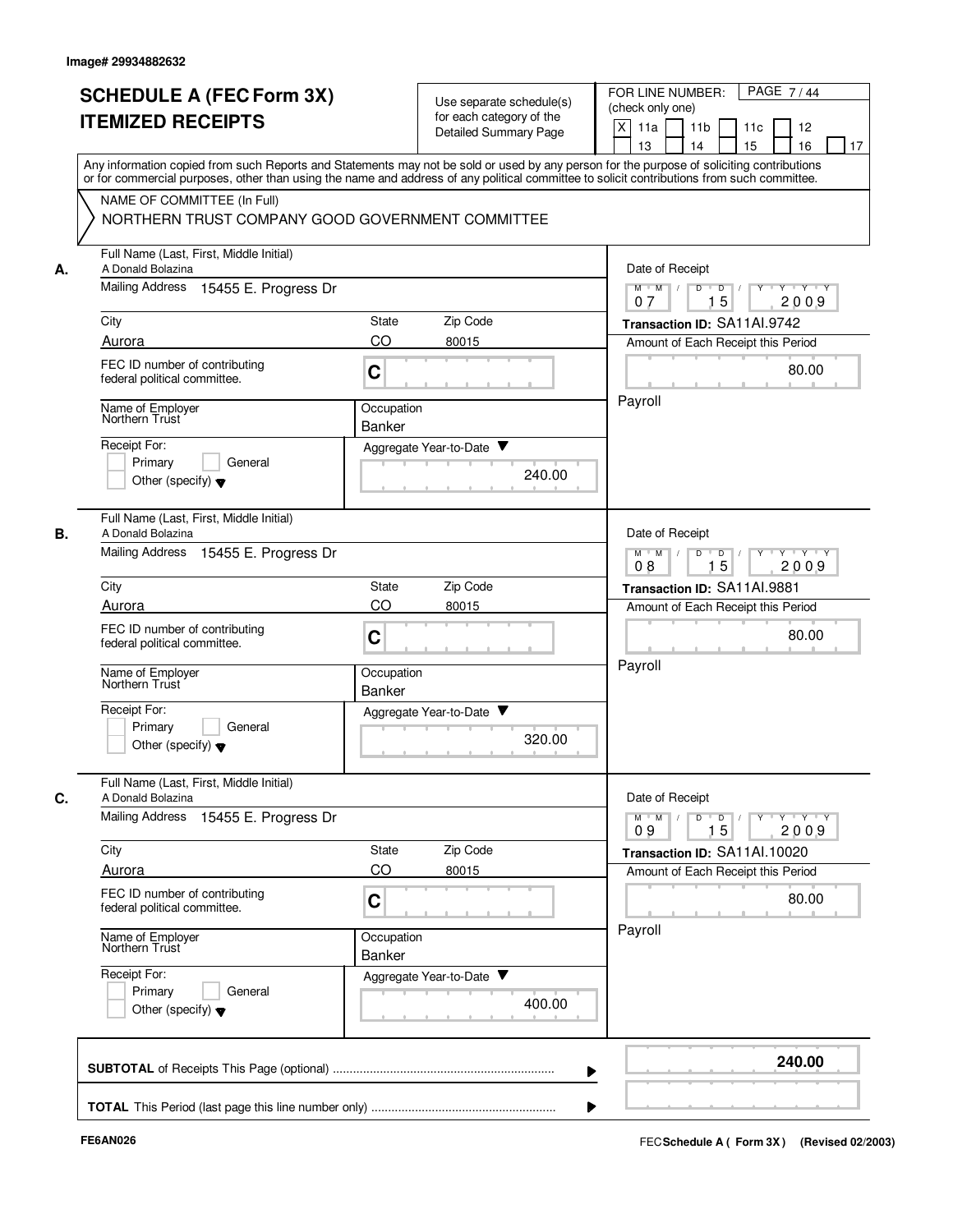|    | <b>SCHEDULE A (FEC Form 3X)</b><br><b>ITEMIZED RECEIPTS</b>                                                    | Use separate schedule(s)<br>for each category of the<br>Detailed Summary Page | PAGE 7/44<br>FOR LINE NUMBER:<br>(check only one)<br>$\times$<br>11a<br>11 <sub>b</sub><br>11c<br>12<br>13<br>14<br>15<br>16<br>17                                                                                                                                                      |
|----|----------------------------------------------------------------------------------------------------------------|-------------------------------------------------------------------------------|-----------------------------------------------------------------------------------------------------------------------------------------------------------------------------------------------------------------------------------------------------------------------------------------|
|    | NAME OF COMMITTEE (In Full)<br>NORTHERN TRUST COMPANY GOOD GOVERNMENT COMMITTEE                                |                                                                               | Any information copied from such Reports and Statements may not be sold or used by any person for the purpose of soliciting contributions<br>or for commercial purposes, other than using the name and address of any political committee to solicit contributions from such committee. |
| А. | Full Name (Last, First, Middle Initial)<br>A Donald Bolazina<br><b>Mailing Address</b><br>15455 E. Progress Dr |                                                                               | Date of Receipt<br>$D$ $D$ $1$<br>Y 'Y 'Y<br>$M$ $M$ /<br>$Y$ <sup><math>\top</math></sup><br>15<br>2009<br>07                                                                                                                                                                          |
|    | City                                                                                                           | Zip Code<br>State                                                             | Transaction ID: SA11Al.9742                                                                                                                                                                                                                                                             |
|    | Aurora                                                                                                         | CO<br>80015                                                                   | Amount of Each Receipt this Period                                                                                                                                                                                                                                                      |
|    | FEC ID number of contributing<br>federal political committee.                                                  | C                                                                             | 80.00                                                                                                                                                                                                                                                                                   |
|    | Name of Employer<br>Northern Trust                                                                             | Occupation                                                                    | Payroll                                                                                                                                                                                                                                                                                 |
|    | Receipt For:<br>Primary<br>General<br>Other (specify) $\blacktriangledown$                                     | <b>Banker</b><br>Aggregate Year-to-Date ▼                                     | 240.00                                                                                                                                                                                                                                                                                  |
| В. | Full Name (Last, First, Middle Initial)<br>A Donald Bolazina<br><b>Mailing Address</b><br>15455 E. Progress Dr |                                                                               | Date of Receipt<br>$Y - Y - Y$<br>$M$ M<br>D<br>$\overline{D}$                                                                                                                                                                                                                          |
|    | City                                                                                                           | 15<br>2009<br>08<br>Transaction ID: SA11AI.9881                               |                                                                                                                                                                                                                                                                                         |
|    | Aurora                                                                                                         | Zip Code<br>State<br>CO<br>80015                                              | Amount of Each Receipt this Period                                                                                                                                                                                                                                                      |
|    | FEC ID number of contributing<br>federal political committee.                                                  | C                                                                             | 80.00                                                                                                                                                                                                                                                                                   |
|    | Name of Employer<br>Northern Trust                                                                             | Occupation<br><b>Banker</b>                                                   | Payroll                                                                                                                                                                                                                                                                                 |
|    | Receipt For:<br>Primary<br>General<br>Other (specify) $\blacktriangledown$                                     | v<br>Aggregate Year-to-Date                                                   | 320.00                                                                                                                                                                                                                                                                                  |
| C. | Full Name (Last, First, Middle Initial)<br>A Donald Bolazina<br>Mailing Address<br>15455 E. Progress Dr        |                                                                               | Date of Receipt<br>$Y + Y + Y$<br>$M$ $M$ /<br>D<br>$\overline{D}$<br>Y                                                                                                                                                                                                                 |
|    |                                                                                                                |                                                                               | 15<br>2009<br>09                                                                                                                                                                                                                                                                        |
|    | City<br>Aurora                                                                                                 | State<br>Zip Code<br>CO<br>80015                                              | Transaction ID: SA11Al.10020<br>Amount of Each Receipt this Period                                                                                                                                                                                                                      |
|    | FEC ID number of contributing<br>federal political committee.                                                  | C                                                                             | 80.00                                                                                                                                                                                                                                                                                   |
|    | Name of Employer<br>Northern Trust                                                                             | Occupation<br>Banker                                                          | Payroll                                                                                                                                                                                                                                                                                 |
|    | Receipt For:<br>Primary<br>General<br>Other (specify) $\blacktriangledown$                                     | Aggregate Year-to-Date                                                        | 400.00                                                                                                                                                                                                                                                                                  |
|    |                                                                                                                |                                                                               | 240.00                                                                                                                                                                                                                                                                                  |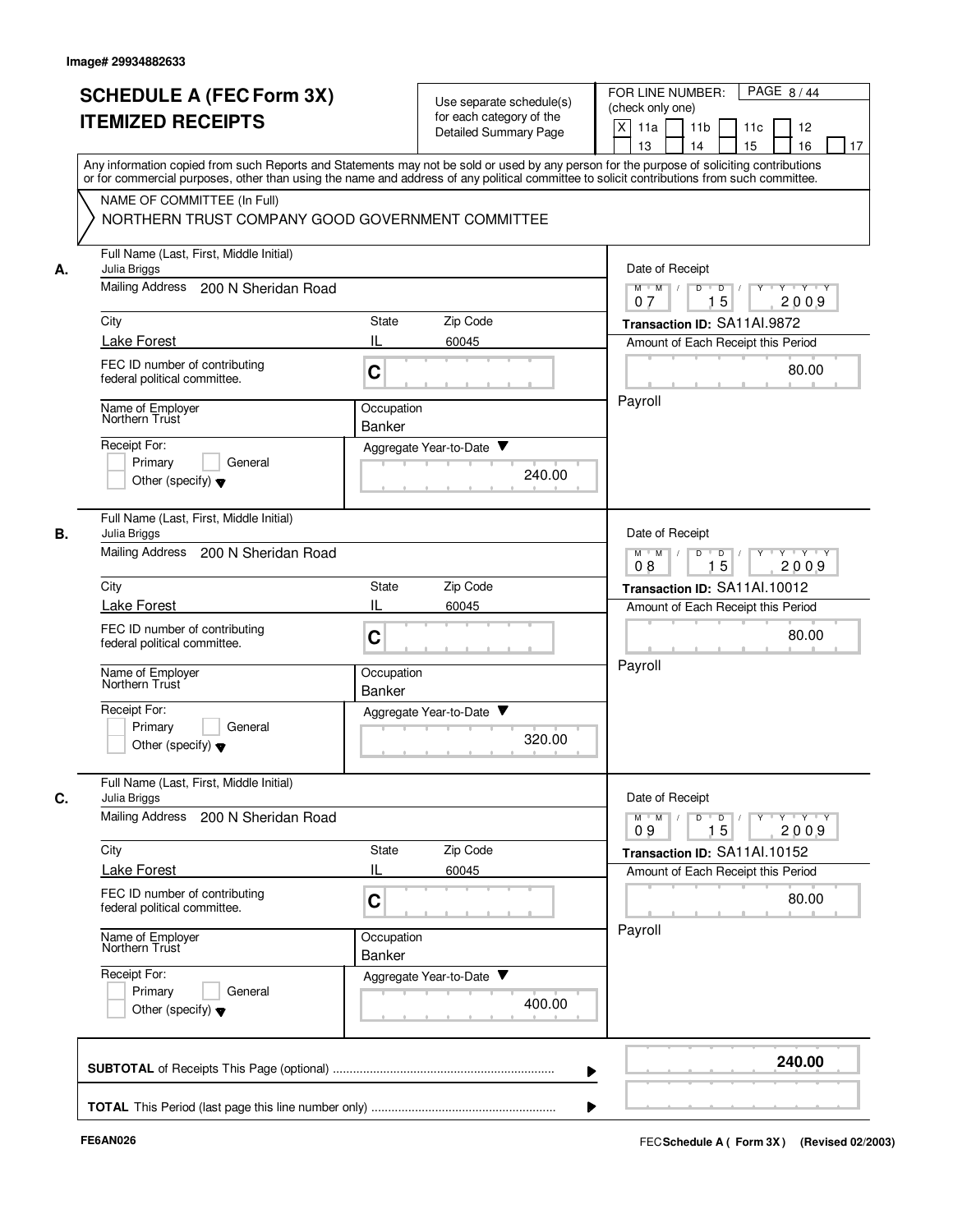|    | <b>SCHEDULE A (FEC Form 3X)</b><br><b>ITEMIZED RECEIPTS</b>                                                                                                                                                                                                                                                            | for each category of the<br>Detailed Summary Page | Use separate schedule(s) | PAGE 8/44<br>FOR LINE NUMBER:<br>(check only one)<br>$\times$<br>11a<br>11 <sub>b</sub><br>11c<br>12<br>13<br>14<br>15<br>16<br>17 |
|----|------------------------------------------------------------------------------------------------------------------------------------------------------------------------------------------------------------------------------------------------------------------------------------------------------------------------|---------------------------------------------------|--------------------------|------------------------------------------------------------------------------------------------------------------------------------|
|    | Any information copied from such Reports and Statements may not be sold or used by any person for the purpose of soliciting contributions<br>or for commercial purposes, other than using the name and address of any political committee to solicit contributions from such committee.<br>NAME OF COMMITTEE (In Full) |                                                   |                          |                                                                                                                                    |
|    | NORTHERN TRUST COMPANY GOOD GOVERNMENT COMMITTEE                                                                                                                                                                                                                                                                       |                                                   |                          |                                                                                                                                    |
| А. | Full Name (Last, First, Middle Initial)<br>Julia Briggs                                                                                                                                                                                                                                                                |                                                   |                          | Date of Receipt                                                                                                                    |
|    | <b>Mailing Address</b><br>200 N Sheridan Road                                                                                                                                                                                                                                                                          |                                                   |                          | $D$ $D$ $I$<br>$M$ $M$ /<br>$Y$ <sup><math>\top</math></sup><br>$Y - Y - Y$<br>15<br>2009<br>07                                    |
|    | City                                                                                                                                                                                                                                                                                                                   | Zip Code<br><b>State</b>                          |                          | Transaction ID: SA11Al.9872                                                                                                        |
|    | Lake Forest<br>FEC ID number of contributing                                                                                                                                                                                                                                                                           | Ш<br>60045                                        |                          | Amount of Each Receipt this Period<br>80.00                                                                                        |
|    | federal political committee.                                                                                                                                                                                                                                                                                           | C                                                 |                          |                                                                                                                                    |
|    | Name of Employer<br>Northern Trust                                                                                                                                                                                                                                                                                     | Occupation<br><b>Banker</b>                       |                          | Payroll                                                                                                                            |
|    | Receipt For:                                                                                                                                                                                                                                                                                                           | Aggregate Year-to-Date ▼                          |                          |                                                                                                                                    |
|    | Primary<br>General<br>Other (specify) $\blacktriangledown$                                                                                                                                                                                                                                                             |                                                   | 240.00                   |                                                                                                                                    |
| В. | Full Name (Last, First, Middle Initial)<br>Julia Briggs                                                                                                                                                                                                                                                                |                                                   |                          | Date of Receipt                                                                                                                    |
|    | <b>Mailing Address</b><br>200 N Sheridan Road                                                                                                                                                                                                                                                                          |                                                   |                          | $Y - Y - Y$<br>$M$ M<br>D<br>$\overline{D}$<br>15<br>2009<br>08                                                                    |
|    | City                                                                                                                                                                                                                                                                                                                   | State<br>Zip Code                                 |                          | Transaction ID: SA11Al.10012                                                                                                       |
|    | <b>Lake Forest</b>                                                                                                                                                                                                                                                                                                     | IL<br>60045                                       |                          | Amount of Each Receipt this Period                                                                                                 |
|    | FEC ID number of contributing<br>federal political committee.                                                                                                                                                                                                                                                          | C                                                 |                          | 80.00                                                                                                                              |
|    | Name of Employer<br>Northern Trust                                                                                                                                                                                                                                                                                     | Occupation<br><b>Banker</b>                       |                          | Payroll                                                                                                                            |
|    | Receipt For:<br>Primary<br>General<br>Other (specify) $\blacktriangledown$                                                                                                                                                                                                                                             | v<br>Aggregate Year-to-Date                       | 320.00                   |                                                                                                                                    |
|    | Full Name (Last, First, Middle Initial)<br>Julia Briggs                                                                                                                                                                                                                                                                |                                                   |                          | Date of Receipt                                                                                                                    |
|    | Mailing Address<br>200 N Sheridan Road                                                                                                                                                                                                                                                                                 |                                                   |                          | $Y + Y + Y$<br>$M$ $M$ /<br>D<br>$\overline{D}$<br>Y<br>15<br>2009<br>09                                                           |
|    | City                                                                                                                                                                                                                                                                                                                   | State<br>Zip Code                                 |                          | Transaction ID: SA11Al.10152                                                                                                       |
|    | <b>Lake Forest</b>                                                                                                                                                                                                                                                                                                     | IL<br>60045                                       |                          | Amount of Each Receipt this Period                                                                                                 |
|    | FEC ID number of contributing<br>federal political committee.                                                                                                                                                                                                                                                          | C                                                 |                          | 80.00                                                                                                                              |
|    | Name of Employer<br>Northern Trust                                                                                                                                                                                                                                                                                     | Occupation<br>Banker                              |                          | Payroll                                                                                                                            |
|    | Receipt For:<br>Primary<br>General<br>Other (specify) $\blacktriangledown$                                                                                                                                                                                                                                             | Aggregate Year-to-Date                            | 400.00                   |                                                                                                                                    |
|    |                                                                                                                                                                                                                                                                                                                        |                                                   |                          | 240.00                                                                                                                             |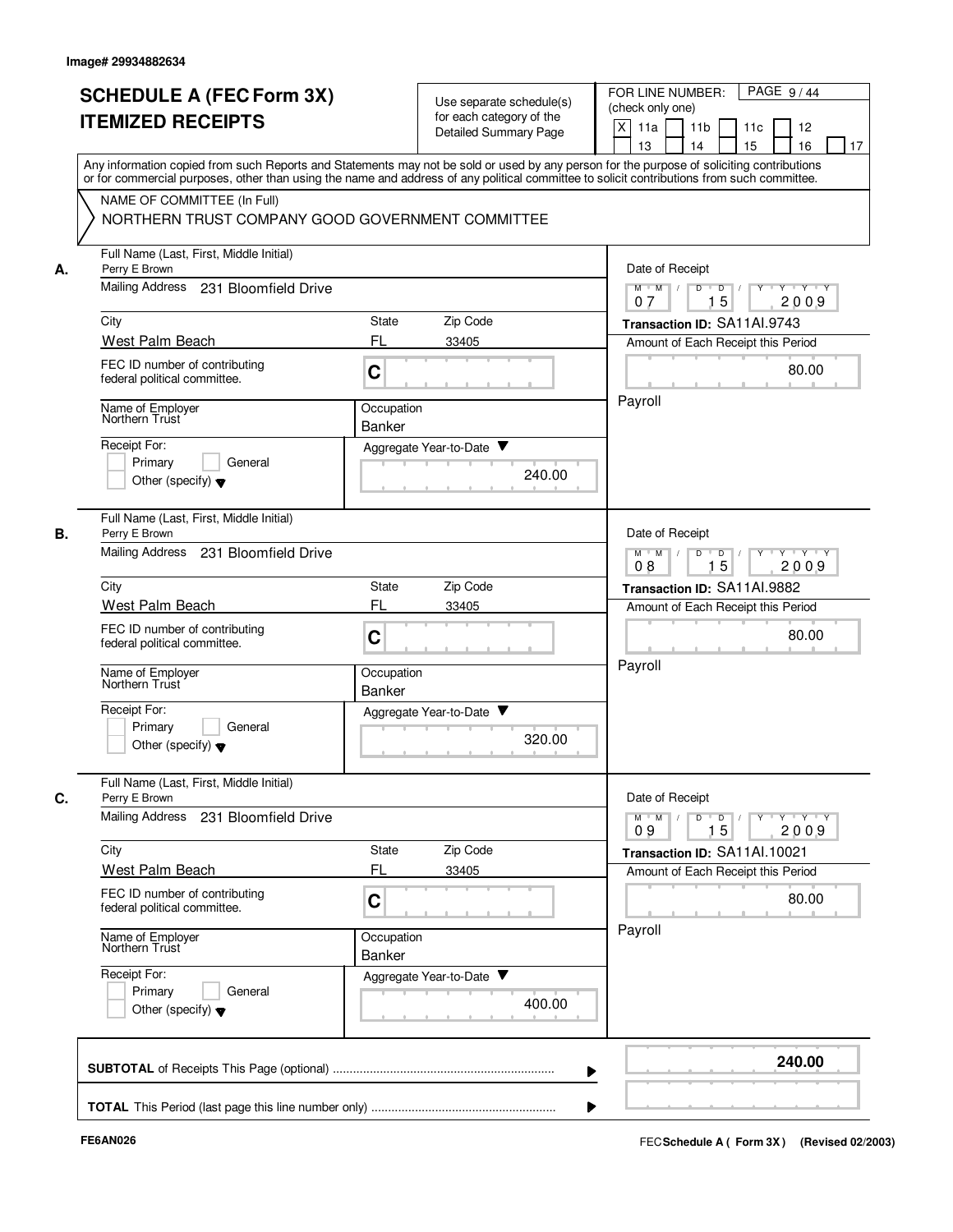|    | <b>SCHEDULE A (FEC Form 3X)</b><br><b>ITEMIZED RECEIPTS</b>                                                                                                                                                                   | Use separate schedule(s)<br>for each category of the<br>Detailed Summary Page | PAGE 9/44<br>FOR LINE NUMBER:<br>(check only one)<br>$\times$<br>11a<br>11 <sub>b</sub><br>11c<br>12<br>13<br>14<br>15<br>16<br>17        |
|----|-------------------------------------------------------------------------------------------------------------------------------------------------------------------------------------------------------------------------------|-------------------------------------------------------------------------------|-------------------------------------------------------------------------------------------------------------------------------------------|
|    | or for commercial purposes, other than using the name and address of any political committee to solicit contributions from such committee.<br>NAME OF COMMITTEE (In Full)<br>NORTHERN TRUST COMPANY GOOD GOVERNMENT COMMITTEE |                                                                               | Any information copied from such Reports and Statements may not be sold or used by any person for the purpose of soliciting contributions |
| А. | Full Name (Last, First, Middle Initial)<br>Perry E Brown<br><b>Mailing Address</b><br>231 Bloomfield Drive                                                                                                                    |                                                                               | Date of Receipt<br>$D$ $D$ $I$<br>$M$ $M$ /<br>$Y$ <sup><math>\top</math></sup><br>$Y - Y - Y$<br>15<br>2009<br>07                        |
|    | City                                                                                                                                                                                                                          | Zip Code<br><b>State</b>                                                      | Transaction ID: SA11Al.9743                                                                                                               |
|    | West Palm Beach                                                                                                                                                                                                               | FL<br>33405                                                                   | Amount of Each Receipt this Period                                                                                                        |
|    | FEC ID number of contributing<br>federal political committee.                                                                                                                                                                 | C                                                                             | 80.00                                                                                                                                     |
|    | Name of Employer<br>Northern Trust                                                                                                                                                                                            | Occupation<br><b>Banker</b>                                                   | Payroll                                                                                                                                   |
|    | Receipt For:<br>Primary<br>General<br>Other (specify) $\blacktriangledown$                                                                                                                                                    | Aggregate Year-to-Date ▼<br>240.00                                            |                                                                                                                                           |
| В. | Full Name (Last, First, Middle Initial)<br>Perry E Brown                                                                                                                                                                      |                                                                               | Date of Receipt                                                                                                                           |
|    | Mailing Address<br>231 Bloomfield Drive                                                                                                                                                                                       | $Y - Y - Y$<br>$M$ M<br>D<br>$\overline{D}$<br>15<br>2009<br>08               |                                                                                                                                           |
|    | City                                                                                                                                                                                                                          | State<br>Zip Code                                                             | Transaction ID: SA11AI.9882                                                                                                               |
|    | West Palm Beach<br>FEC ID number of contributing<br>federal political committee.                                                                                                                                              | FL<br>33405<br>C                                                              | Amount of Each Receipt this Period<br>80.00                                                                                               |
|    | Name of Employer<br>Northern Trust                                                                                                                                                                                            | Occupation<br><b>Banker</b>                                                   | Payroll                                                                                                                                   |
|    | Receipt For:<br>Primary<br>General<br>Other (specify) $\blacktriangledown$                                                                                                                                                    | v<br>Aggregate Year-to-Date<br>320.00                                         |                                                                                                                                           |
| C. | Full Name (Last, First, Middle Initial)<br>Perry E Brown                                                                                                                                                                      |                                                                               | Date of Receipt                                                                                                                           |
|    | Mailing Address 231 Bloomfield Drive                                                                                                                                                                                          |                                                                               | $Y + Y + Y$<br>$M$ $M$ /<br>D<br>$\overline{D}$<br>Y<br>15<br>2009<br>09                                                                  |
|    | City                                                                                                                                                                                                                          | State<br>Zip Code                                                             | Transaction ID: SA11Al.10021                                                                                                              |
|    | West Palm Beach                                                                                                                                                                                                               | FL<br>33405                                                                   | Amount of Each Receipt this Period                                                                                                        |
|    | FEC ID number of contributing<br>federal political committee.                                                                                                                                                                 | C                                                                             | 80.00                                                                                                                                     |
|    | Name of Employer<br>Northern Trust                                                                                                                                                                                            | Occupation<br>Banker                                                          | Payroll                                                                                                                                   |
|    | Receipt For:<br>Primary<br>General<br>Other (specify) $\blacktriangledown$                                                                                                                                                    | Aggregate Year-to-Date<br>400.00                                              |                                                                                                                                           |
|    |                                                                                                                                                                                                                               |                                                                               | 240.00                                                                                                                                    |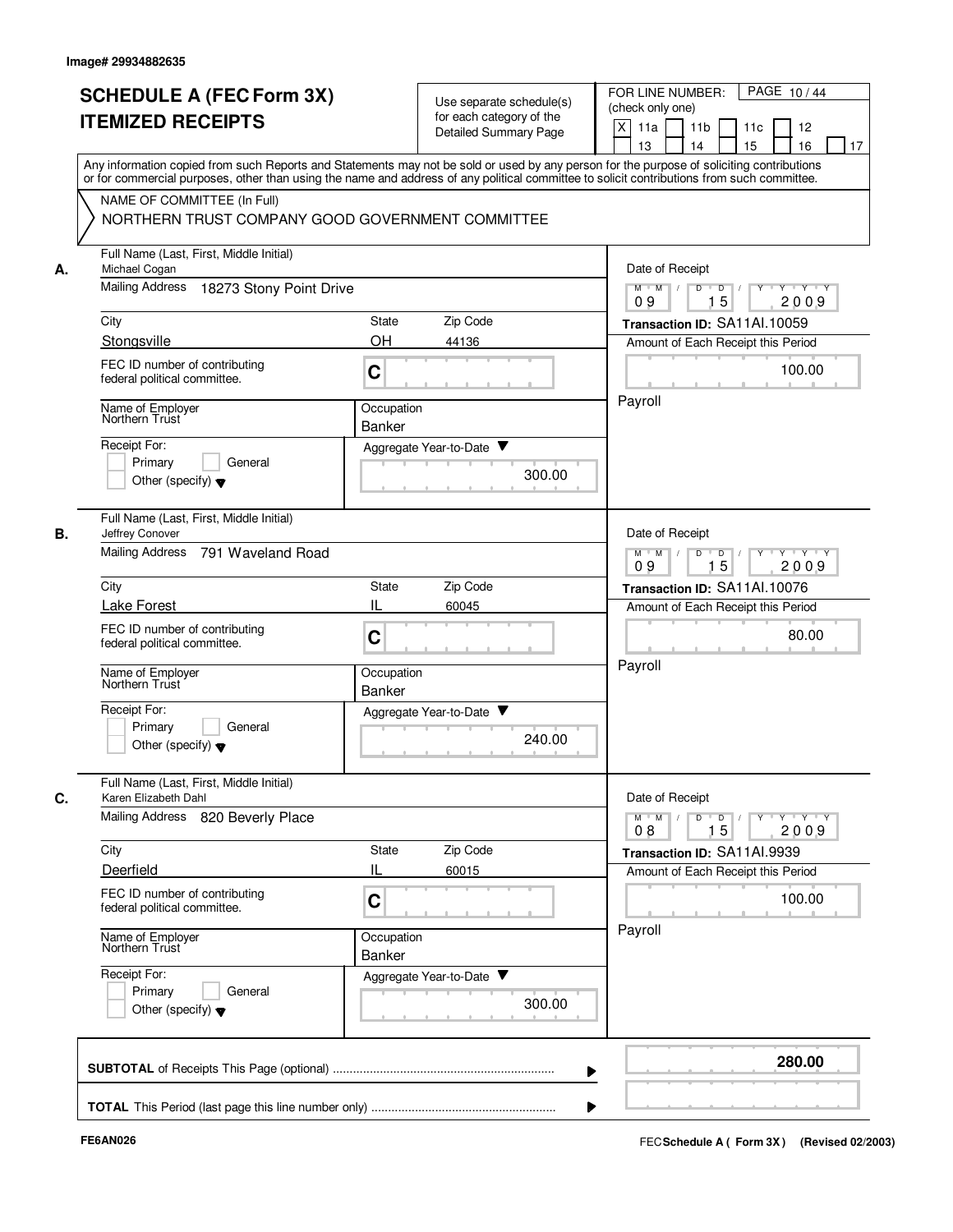|    | <b>SCHEDULE A (FEC Form 3X)</b><br><b>ITEMIZED RECEIPTS</b>                                                                                                                                                                                                                             |                             | Use separate schedule(s)<br>for each category of the<br>Detailed Summary Page | PAGE 10/44<br>FOR LINE NUMBER:<br>(check only one)<br>X<br>11 <sub>b</sub><br>11a<br>11c<br>12<br>15<br>13<br>14<br>16<br>17  |
|----|-----------------------------------------------------------------------------------------------------------------------------------------------------------------------------------------------------------------------------------------------------------------------------------------|-----------------------------|-------------------------------------------------------------------------------|-------------------------------------------------------------------------------------------------------------------------------|
|    | Any information copied from such Reports and Statements may not be sold or used by any person for the purpose of soliciting contributions<br>or for commercial purposes, other than using the name and address of any political committee to solicit contributions from such committee. |                             |                                                                               |                                                                                                                               |
|    | NAME OF COMMITTEE (In Full)<br>NORTHERN TRUST COMPANY GOOD GOVERNMENT COMMITTEE                                                                                                                                                                                                         |                             |                                                                               |                                                                                                                               |
| А. | Full Name (Last, First, Middle Initial)<br>Michael Cogan                                                                                                                                                                                                                                |                             |                                                                               | Date of Receipt                                                                                                               |
|    | <b>Mailing Address</b><br>18273 Stony Point Drive                                                                                                                                                                                                                                       |                             |                                                                               | Y 'Y 'Y<br>$M$ $M$ /<br>D<br>$\blacksquare$ D $\blacksquare$ /<br>Y<br>15<br>09<br>2009                                       |
|    | City                                                                                                                                                                                                                                                                                    | State                       | Zip Code                                                                      | Transaction ID: SA11Al.10059                                                                                                  |
|    | Stongsville                                                                                                                                                                                                                                                                             | <b>OH</b>                   | 44136                                                                         | Amount of Each Receipt this Period                                                                                            |
|    | FEC ID number of contributing<br>federal political committee.                                                                                                                                                                                                                           | C                           |                                                                               | 100.00                                                                                                                        |
|    | Name of Employer<br>Northern Trust                                                                                                                                                                                                                                                      | Occupation<br>Banker        |                                                                               | Payroll                                                                                                                       |
|    | Receipt For:                                                                                                                                                                                                                                                                            |                             | Aggregate Year-to-Date ▼                                                      |                                                                                                                               |
|    | Primary<br>General<br>Other (specify) $\blacktriangledown$                                                                                                                                                                                                                              |                             | 300.00                                                                        |                                                                                                                               |
|    | Full Name (Last, First, Middle Initial)<br>Jeffrey Conover                                                                                                                                                                                                                              |                             |                                                                               | Date of Receipt                                                                                                               |
|    | <b>Mailing Address</b><br>791 Waveland Road                                                                                                                                                                                                                                             |                             |                                                                               | $Y - Y - Y$<br>$M$ $M$<br>D<br>D<br>15<br>2009<br>09                                                                          |
|    | City                                                                                                                                                                                                                                                                                    | State                       | Zip Code                                                                      | Transaction ID: SA11Al.10076                                                                                                  |
|    | <b>Lake Forest</b>                                                                                                                                                                                                                                                                      | IL                          | 60045                                                                         | Amount of Each Receipt this Period                                                                                            |
|    | FEC ID number of contributing<br>federal political committee.                                                                                                                                                                                                                           | C                           |                                                                               | 80.00                                                                                                                         |
|    | Name of Employer<br>Northern Trust                                                                                                                                                                                                                                                      | Occupation<br><b>Banker</b> |                                                                               | Payroll                                                                                                                       |
|    | Receipt For:<br>Primary<br>General<br>Other (specify) $\blacktriangledown$                                                                                                                                                                                                              |                             | v<br>Aggregate Year-to-Date<br>240.00                                         |                                                                                                                               |
|    | Full Name (Last, First, Middle Initial)<br>Karen Elizabeth Dahl                                                                                                                                                                                                                         |                             |                                                                               | Date of Receipt                                                                                                               |
|    | Mailing Address 820 Beverly Place                                                                                                                                                                                                                                                       |                             |                                                                               | $\mathsf{Y} \dashv \mathsf{Y} \dashv \mathsf{Y}$<br>$M$ $M$ /<br>D<br>$\overline{D}$<br>$Y$ <sup>-1</sup><br>15<br>2009<br>08 |
|    | City                                                                                                                                                                                                                                                                                    | State                       | Zip Code                                                                      | Transaction ID: SA11Al.9939                                                                                                   |
|    | Deerfield                                                                                                                                                                                                                                                                               | IL                          | 60015                                                                         | Amount of Each Receipt this Period                                                                                            |
|    | FEC ID number of contributing<br>federal political committee.                                                                                                                                                                                                                           | C                           |                                                                               | 100.00                                                                                                                        |
|    | Name of Employer<br>Northern Trust                                                                                                                                                                                                                                                      | Occupation<br>Banker        |                                                                               | Payroll                                                                                                                       |
|    | Receipt For:<br>Primary<br>General<br>Other (specify) $\blacktriangledown$                                                                                                                                                                                                              |                             | Aggregate Year-to-Date<br>300.00                                              |                                                                                                                               |
|    |                                                                                                                                                                                                                                                                                         |                             |                                                                               | 280.00                                                                                                                        |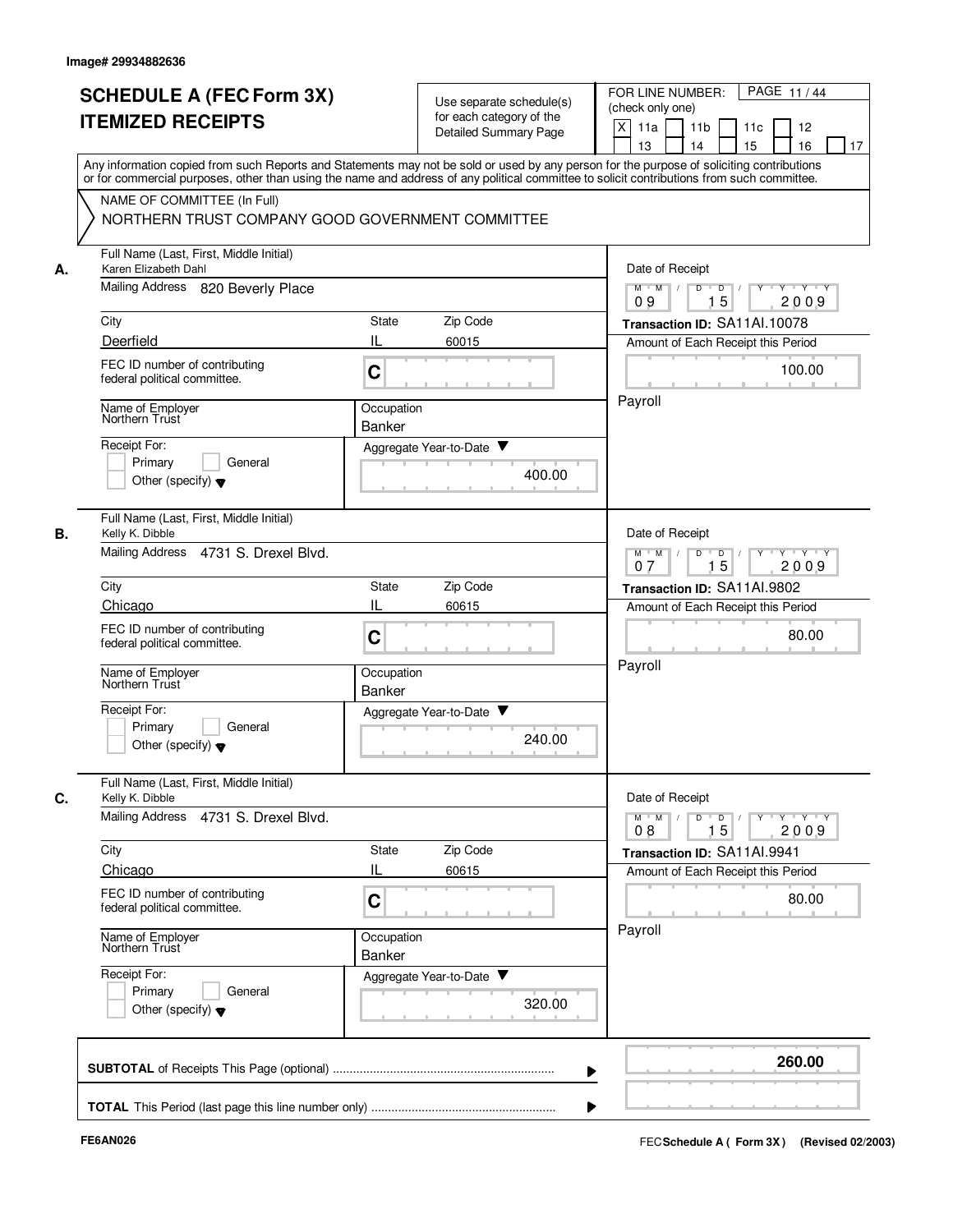|    | <b>SCHEDULE A (FEC Form 3X)</b><br><b>ITEMIZED RECEIPTS</b>                                                                                                                                                                                                                                                            |                             | Use separate schedule(s)<br>for each category of the<br><b>Detailed Summary Page</b> | PAGE 11/44<br>FOR LINE NUMBER:<br>(check only one)<br>X<br>11a<br>11 <sub>b</sub><br>11c<br>12<br>15<br>13<br>14<br>16<br>17 |
|----|------------------------------------------------------------------------------------------------------------------------------------------------------------------------------------------------------------------------------------------------------------------------------------------------------------------------|-----------------------------|--------------------------------------------------------------------------------------|------------------------------------------------------------------------------------------------------------------------------|
|    | Any information copied from such Reports and Statements may not be sold or used by any person for the purpose of soliciting contributions<br>or for commercial purposes, other than using the name and address of any political committee to solicit contributions from such committee.<br>NAME OF COMMITTEE (In Full) |                             |                                                                                      |                                                                                                                              |
|    | NORTHERN TRUST COMPANY GOOD GOVERNMENT COMMITTEE                                                                                                                                                                                                                                                                       |                             |                                                                                      |                                                                                                                              |
| А. | Full Name (Last, First, Middle Initial)<br>Karen Elizabeth Dahl                                                                                                                                                                                                                                                        |                             |                                                                                      | Date of Receipt                                                                                                              |
|    | Mailing Address 820 Beverly Place                                                                                                                                                                                                                                                                                      |                             |                                                                                      | $M$ $M$ /<br>D<br>D<br>Y Y Y Y<br>15<br>2009<br>09                                                                           |
|    | City                                                                                                                                                                                                                                                                                                                   | State                       | Zip Code                                                                             | Transaction ID: SA11Al.10078                                                                                                 |
|    | Deerfield                                                                                                                                                                                                                                                                                                              | IL                          | 60015                                                                                | Amount of Each Receipt this Period                                                                                           |
|    | FEC ID number of contributing<br>federal political committee.                                                                                                                                                                                                                                                          | C                           |                                                                                      | 100.00                                                                                                                       |
|    | Name of Employer<br>Northern Trust                                                                                                                                                                                                                                                                                     | Occupation<br>Banker        |                                                                                      | Payroll                                                                                                                      |
|    | Receipt For:                                                                                                                                                                                                                                                                                                           |                             | Aggregate Year-to-Date ▼                                                             |                                                                                                                              |
|    | Primary<br>General<br>Other (specify) $\blacktriangledown$                                                                                                                                                                                                                                                             |                             | 400.00                                                                               |                                                                                                                              |
| В. | Full Name (Last, First, Middle Initial)<br>Kelly K. Dibble                                                                                                                                                                                                                                                             |                             |                                                                                      | Date of Receipt                                                                                                              |
|    | Mailing Address 4731 S. Drexel Blvd.                                                                                                                                                                                                                                                                                   |                             |                                                                                      | Y Y Y Y<br>$M$ $M$<br>D<br>$\Box$<br>Y<br>15<br>2009<br>07                                                                   |
|    | City                                                                                                                                                                                                                                                                                                                   | State                       | Zip Code                                                                             | Transaction ID: SA11AI.9802                                                                                                  |
|    | Chicago                                                                                                                                                                                                                                                                                                                | IL                          | 60615                                                                                | Amount of Each Receipt this Period                                                                                           |
|    | FEC ID number of contributing<br>federal political committee.                                                                                                                                                                                                                                                          | C                           |                                                                                      | 80.00                                                                                                                        |
|    | Name of Employer<br>Northern Trust                                                                                                                                                                                                                                                                                     | Occupation<br>Banker        |                                                                                      | Payroll                                                                                                                      |
|    | Receipt For:<br>Primary<br>General<br>Other (specify) $\blacktriangledown$                                                                                                                                                                                                                                             |                             | Aggregate Year-to-Date<br>240.00                                                     |                                                                                                                              |
| C. | Full Name (Last, First, Middle Initial)<br>Kelly K. Dibble                                                                                                                                                                                                                                                             |                             |                                                                                      | Date of Receipt                                                                                                              |
|    | Mailing Address<br>4731 S. Drexel Blvd.                                                                                                                                                                                                                                                                                |                             |                                                                                      | Y 'Y 'Y<br>$M$ $M$ /<br>D<br>$\overline{\phantom{a}}$ D<br>$Y$ <sup><math>\top</math></sup><br>15<br>2009<br>08              |
|    | City                                                                                                                                                                                                                                                                                                                   | State                       | Zip Code                                                                             | Transaction ID: SA11AI.9941                                                                                                  |
|    | Chicago                                                                                                                                                                                                                                                                                                                | IL                          | 60615                                                                                | Amount of Each Receipt this Period                                                                                           |
|    | FEC ID number of contributing<br>federal political committee.                                                                                                                                                                                                                                                          | C                           |                                                                                      | 80.00                                                                                                                        |
|    | Name of Employer<br>Northern Trust                                                                                                                                                                                                                                                                                     | Occupation<br><b>Banker</b> |                                                                                      | Payroll                                                                                                                      |
|    | Receipt For:<br>Primary<br>General<br>Other (specify) $\blacktriangledown$                                                                                                                                                                                                                                             |                             | Aggregate Year-to-Date<br>320.00                                                     |                                                                                                                              |
|    |                                                                                                                                                                                                                                                                                                                        |                             |                                                                                      | 260.00                                                                                                                       |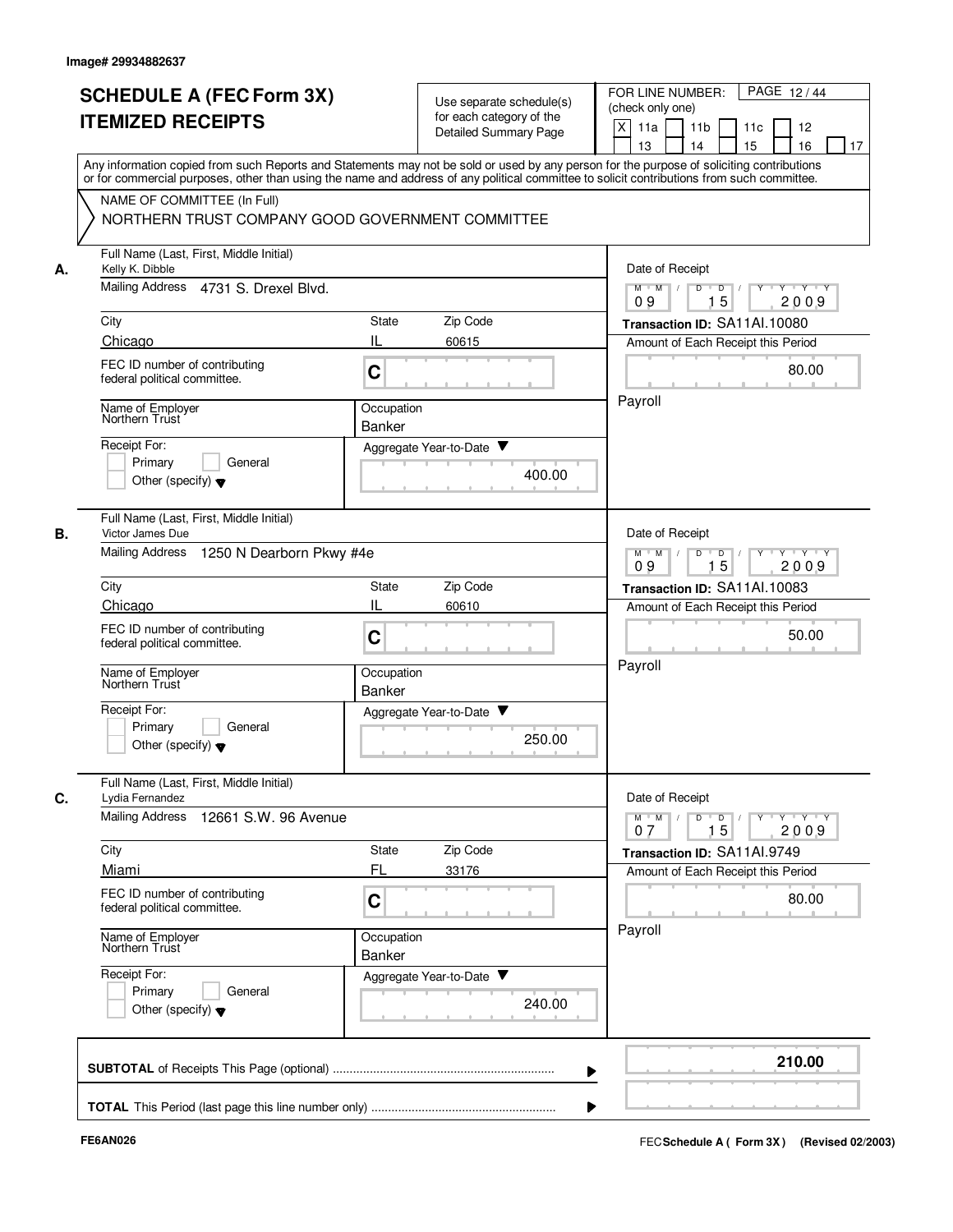|    | <b>SCHEDULE A (FEC Form 3X)</b><br><b>ITEMIZED RECEIPTS</b>                | Use separate schedule(s)<br>for each category of the<br>Detailed Summary Page                                                                                                                                                                                                           | PAGE 12/44<br>FOR LINE NUMBER:<br>(check only one)<br>X<br>11a<br>11 <sub>b</sub><br>11c<br>12<br>13<br>14<br>15<br>16<br>17 |
|----|----------------------------------------------------------------------------|-----------------------------------------------------------------------------------------------------------------------------------------------------------------------------------------------------------------------------------------------------------------------------------------|------------------------------------------------------------------------------------------------------------------------------|
|    | NAME OF COMMITTEE (In Full)                                                | Any information copied from such Reports and Statements may not be sold or used by any person for the purpose of soliciting contributions<br>or for commercial purposes, other than using the name and address of any political committee to solicit contributions from such committee. |                                                                                                                              |
|    | NORTHERN TRUST COMPANY GOOD GOVERNMENT COMMITTEE                           |                                                                                                                                                                                                                                                                                         |                                                                                                                              |
| А. | Full Name (Last, First, Middle Initial)<br>Kelly K. Dibble                 |                                                                                                                                                                                                                                                                                         | Date of Receipt                                                                                                              |
|    | Mailing Address 4731 S. Drexel Blvd.                                       |                                                                                                                                                                                                                                                                                         | $M$ $M$ /<br>D<br>$\Box$<br>Y Y Y Y<br>$Y$ <sup><math>\top</math></sup><br>15<br>2009<br>09                                  |
|    | City                                                                       | Zip Code<br>State                                                                                                                                                                                                                                                                       | Transaction ID: SA11Al.10080                                                                                                 |
|    | Chicago                                                                    | IL<br>60615                                                                                                                                                                                                                                                                             | Amount of Each Receipt this Period                                                                                           |
|    | FEC ID number of contributing<br>federal political committee.              | C                                                                                                                                                                                                                                                                                       | 80.00                                                                                                                        |
|    | Name of Employer<br>Northern Trust                                         | Occupation                                                                                                                                                                                                                                                                              | Payroll                                                                                                                      |
|    | Receipt For:                                                               | <b>Banker</b><br>Aggregate Year-to-Date ▼                                                                                                                                                                                                                                               |                                                                                                                              |
|    | Primary<br>General<br>Other (specify) $\blacktriangledown$                 | 400.00                                                                                                                                                                                                                                                                                  |                                                                                                                              |
| В. | Full Name (Last, First, Middle Initial)<br>Victor James Due                |                                                                                                                                                                                                                                                                                         | Date of Receipt                                                                                                              |
|    | <b>Mailing Address</b><br>1250 N Dearborn Pkwy #4e                         | $M$ M<br>D<br>$\overline{D}$<br>$Y \vdash Y \vdash Y$<br>$\sqrt{ }$<br>$\sqrt{ }$<br>15<br>2009<br>09                                                                                                                                                                                   |                                                                                                                              |
|    | City                                                                       | Zip Code<br>State                                                                                                                                                                                                                                                                       | Transaction ID: SA11Al.10083                                                                                                 |
|    | Chicago                                                                    | IL<br>60610                                                                                                                                                                                                                                                                             | Amount of Each Receipt this Period                                                                                           |
|    | FEC ID number of contributing<br>federal political committee.              | C                                                                                                                                                                                                                                                                                       | 50.00<br>Payroll                                                                                                             |
|    | Name of Employer<br>Northern Trust                                         | Occupation<br><b>Banker</b>                                                                                                                                                                                                                                                             |                                                                                                                              |
|    | Receipt For:<br>Primary<br>General<br>Other (specify) $\blacktriangledown$ | Aggregate Year-to-Date<br>250.00                                                                                                                                                                                                                                                        |                                                                                                                              |
| C. | Full Name (Last, First, Middle Initial)<br>Lydia Fernandez                 |                                                                                                                                                                                                                                                                                         | Date of Receipt                                                                                                              |
|    | <b>Mailing Address</b><br>12661 S.W. 96 Avenue                             |                                                                                                                                                                                                                                                                                         | $Y - Y - Y$<br>$M$ $M$ /<br>D<br>$\overline{D}$<br>Y<br>15<br>2009<br>07                                                     |
|    | City                                                                       | Zip Code<br>State                                                                                                                                                                                                                                                                       | Transaction ID: SA11AI.9749                                                                                                  |
|    | Miami                                                                      | FL<br>33176                                                                                                                                                                                                                                                                             | Amount of Each Receipt this Period                                                                                           |
|    | FEC ID number of contributing<br>federal political committee.              | C                                                                                                                                                                                                                                                                                       | 80.00                                                                                                                        |
|    | Name of Employer<br>Northern Trust                                         | Occupation<br>Banker                                                                                                                                                                                                                                                                    | Payroll                                                                                                                      |
|    | Receipt For:<br>Primary<br>General<br>Other (specify) $\blacktriangledown$ | Aggregate Year-to-Date<br>240.00                                                                                                                                                                                                                                                        |                                                                                                                              |
|    |                                                                            |                                                                                                                                                                                                                                                                                         | 210.00                                                                                                                       |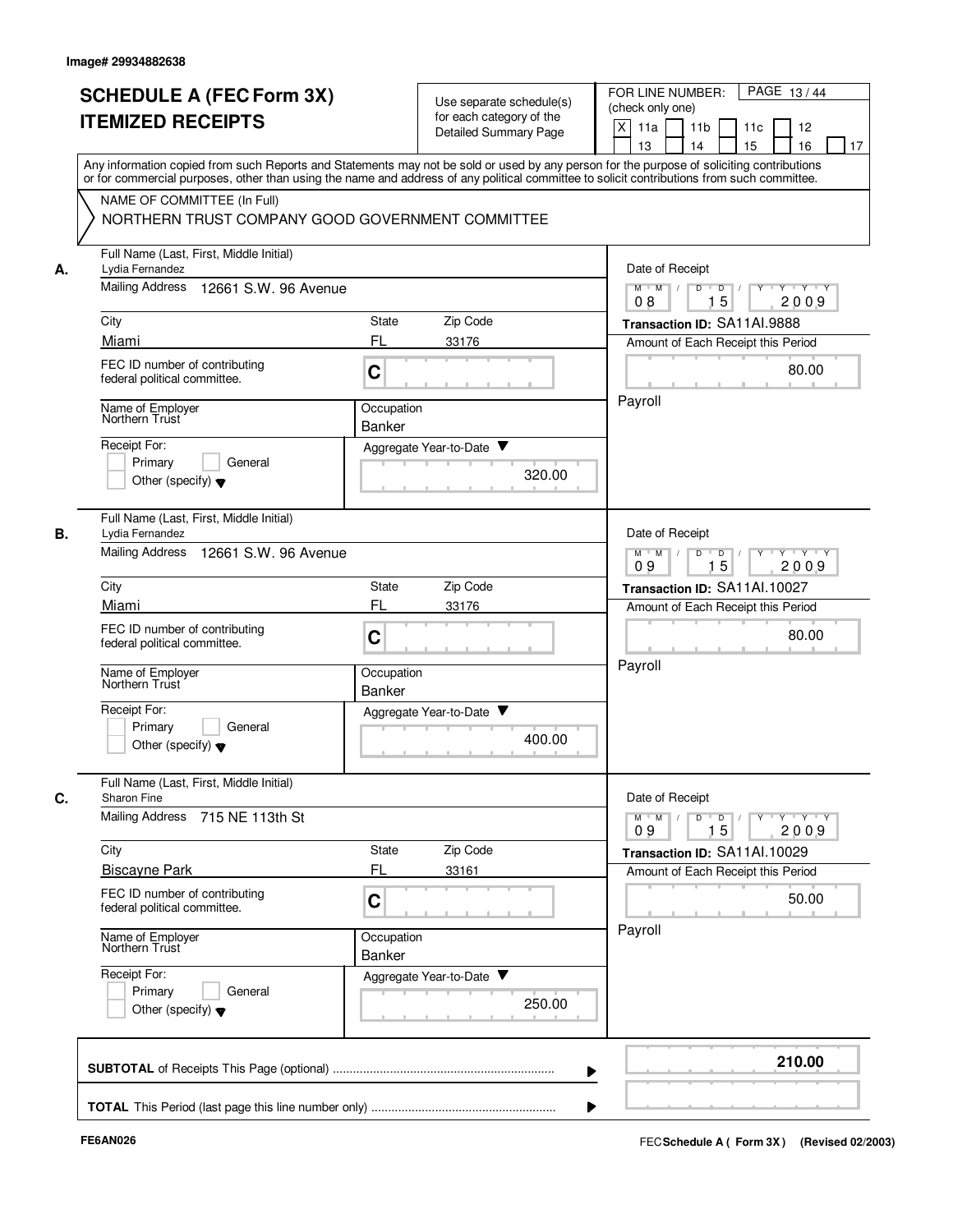|    | <b>SCHEDULE A (FEC Form 3X)</b>                                                                                                                                                                                                                                                         |                             |                                                                               | PAGE 13/44<br>FOR LINE NUMBER:                                                                                                      |
|----|-----------------------------------------------------------------------------------------------------------------------------------------------------------------------------------------------------------------------------------------------------------------------------------------|-----------------------------|-------------------------------------------------------------------------------|-------------------------------------------------------------------------------------------------------------------------------------|
|    | <b>ITEMIZED RECEIPTS</b>                                                                                                                                                                                                                                                                |                             | Use separate schedule(s)<br>for each category of the<br>Detailed Summary Page | (check only one)<br>X<br>11a<br>11 <sub>b</sub><br>11c<br>12                                                                        |
|    | Any information copied from such Reports and Statements may not be sold or used by any person for the purpose of soliciting contributions<br>or for commercial purposes, other than using the name and address of any political committee to solicit contributions from such committee. |                             |                                                                               | 15<br>13<br>14<br>16<br>17                                                                                                          |
|    | NAME OF COMMITTEE (In Full)<br>NORTHERN TRUST COMPANY GOOD GOVERNMENT COMMITTEE                                                                                                                                                                                                         |                             |                                                                               |                                                                                                                                     |
| А. | Full Name (Last, First, Middle Initial)<br>Lydia Fernandez                                                                                                                                                                                                                              |                             |                                                                               | Date of Receipt                                                                                                                     |
|    | Mailing Address<br>12661 S.W. 96 Avenue                                                                                                                                                                                                                                                 |                             |                                                                               | $M$ $M$ /<br>D<br>$\overline{\mathsf{D}}$<br>$Y - Y - Y$<br>15<br>2009<br>08                                                        |
|    | City                                                                                                                                                                                                                                                                                    | State                       | Zip Code                                                                      | Transaction ID: SA11AI.9888                                                                                                         |
|    | Miami                                                                                                                                                                                                                                                                                   | FL                          | 33176                                                                         | Amount of Each Receipt this Period                                                                                                  |
|    | FEC ID number of contributing<br>federal political committee.                                                                                                                                                                                                                           | C                           |                                                                               | 80.00                                                                                                                               |
|    | Name of Employer<br>Northern Trust                                                                                                                                                                                                                                                      | Occupation<br>Banker        |                                                                               | Payroll                                                                                                                             |
|    | Receipt For:                                                                                                                                                                                                                                                                            |                             | Aggregate Year-to-Date ▼                                                      |                                                                                                                                     |
|    | Primary<br>General<br>Other (specify) $\blacktriangledown$                                                                                                                                                                                                                              |                             | 320.00                                                                        |                                                                                                                                     |
| В. | Full Name (Last, First, Middle Initial)<br>Lydia Fernandez                                                                                                                                                                                                                              |                             |                                                                               | Date of Receipt                                                                                                                     |
|    | <b>Mailing Address</b><br>12661 S.W. 96 Avenue                                                                                                                                                                                                                                          |                             |                                                                               | $Y \vdash Y \vdash Y$<br>$M$ M<br>D<br>D<br>Y<br>15<br>2009<br>09                                                                   |
|    | City                                                                                                                                                                                                                                                                                    | State                       | Zip Code                                                                      | Transaction ID: SA11AI.10027                                                                                                        |
|    | Miami                                                                                                                                                                                                                                                                                   | FL                          | 33176                                                                         | Amount of Each Receipt this Period                                                                                                  |
|    | FEC ID number of contributing<br>federal political committee.                                                                                                                                                                                                                           | C                           |                                                                               | 80.00                                                                                                                               |
|    | Name of Employer<br>Northern Trust                                                                                                                                                                                                                                                      | Occupation<br><b>Banker</b> |                                                                               | Payroll                                                                                                                             |
|    | Receipt For:<br>Primary<br>General<br>Other (specify) $\blacktriangledown$                                                                                                                                                                                                              |                             | Aggregate Year-to-Date<br>400.00                                              |                                                                                                                                     |
| C. | Full Name (Last, First, Middle Initial)<br>Sharon Fine<br><b>Mailing Address</b><br>715 NE 113th St                                                                                                                                                                                     |                             |                                                                               | Date of Receipt<br>$\mathsf{Y} \dashv \mathsf{Y} \dashv \mathsf{Y} \dashv \mathsf{Y}$<br>$M$ $M$<br>$D$ $D$ $/$<br>15<br>2009<br>09 |
|    | City                                                                                                                                                                                                                                                                                    | State                       | Zip Code                                                                      | Transaction ID: SA11Al.10029                                                                                                        |
|    | <b>Biscayne Park</b>                                                                                                                                                                                                                                                                    | FL                          | 33161                                                                         | Amount of Each Receipt this Period                                                                                                  |
|    | FEC ID number of contributing<br>federal political committee.                                                                                                                                                                                                                           | C                           |                                                                               | 50.00                                                                                                                               |
|    | Name of Employer<br>Northern Trust                                                                                                                                                                                                                                                      | Occupation<br>Banker        |                                                                               | Payroll                                                                                                                             |
|    | Receipt For:<br>Primary<br>General<br>Other (specify) $\blacktriangledown$                                                                                                                                                                                                              |                             | Aggregate Year-to-Date<br>250.00                                              |                                                                                                                                     |
|    |                                                                                                                                                                                                                                                                                         |                             |                                                                               | 210.00                                                                                                                              |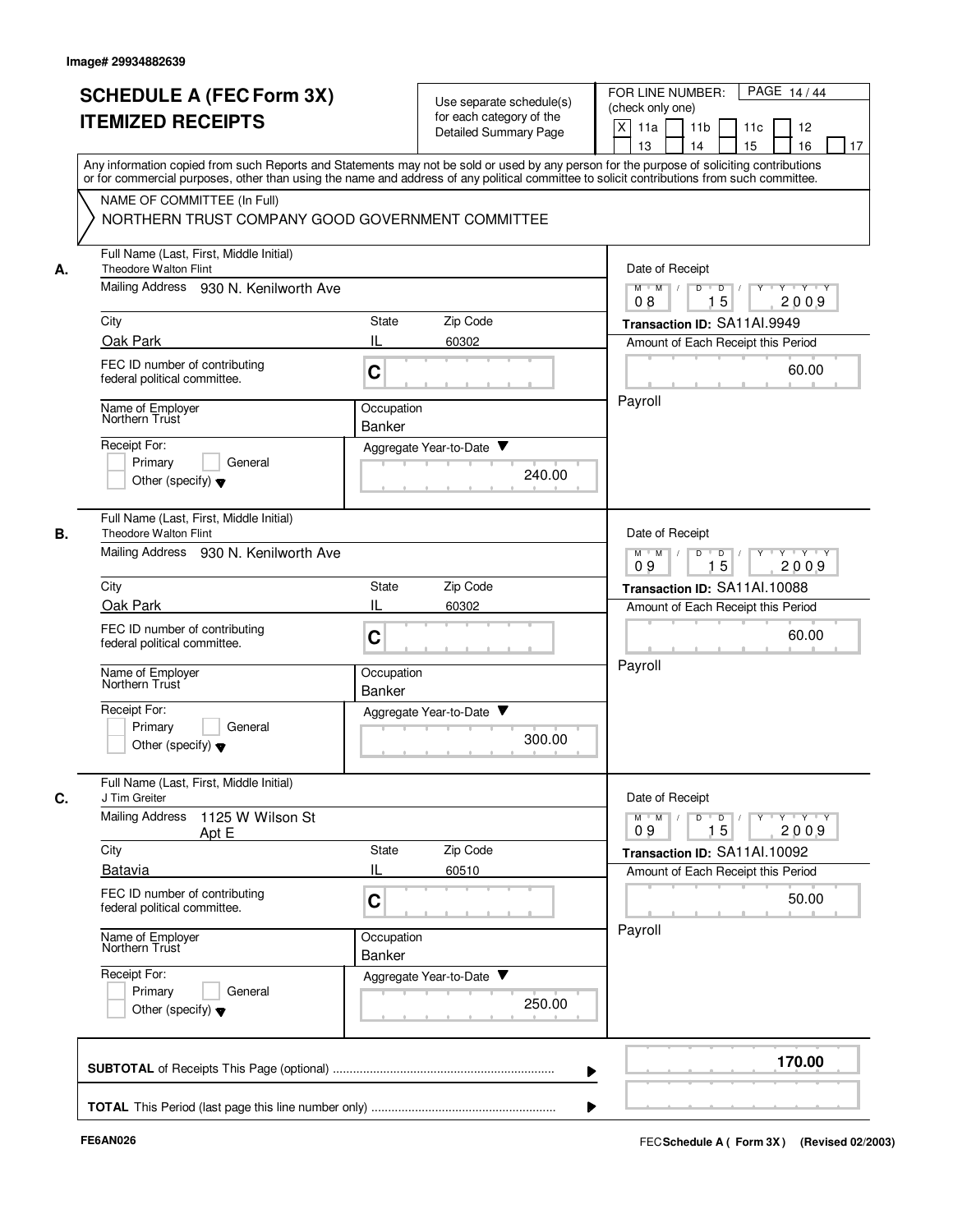|    | <b>SCHEDULE A (FEC Form 3X)</b><br><b>ITEMIZED RECEIPTS</b>                                                                                                                                                                                                                                                            |                             | Use separate schedule(s)<br>for each category of the<br><b>Detailed Summary Page</b> | PAGE 14/44<br>FOR LINE NUMBER:<br>(check only one)<br>X<br>11a<br>11 <sub>b</sub><br>11c<br>12<br>15<br>13<br>14<br>16<br>17 |
|----|------------------------------------------------------------------------------------------------------------------------------------------------------------------------------------------------------------------------------------------------------------------------------------------------------------------------|-----------------------------|--------------------------------------------------------------------------------------|------------------------------------------------------------------------------------------------------------------------------|
|    | Any information copied from such Reports and Statements may not be sold or used by any person for the purpose of soliciting contributions<br>or for commercial purposes, other than using the name and address of any political committee to solicit contributions from such committee.<br>NAME OF COMMITTEE (In Full) |                             |                                                                                      |                                                                                                                              |
|    | NORTHERN TRUST COMPANY GOOD GOVERNMENT COMMITTEE                                                                                                                                                                                                                                                                       |                             |                                                                                      |                                                                                                                              |
| А. | Full Name (Last, First, Middle Initial)<br><b>Theodore Walton Flint</b>                                                                                                                                                                                                                                                |                             |                                                                                      | Date of Receipt                                                                                                              |
|    | Mailing Address<br>930 N. Kenilworth Ave                                                                                                                                                                                                                                                                               |                             |                                                                                      | $M$ $M$ /<br>D<br>D<br>Y Y Y Y<br>15<br>2009<br>08                                                                           |
|    | City                                                                                                                                                                                                                                                                                                                   | State                       | Zip Code                                                                             | Transaction ID: SA11Al.9949                                                                                                  |
|    | Oak Park<br>FEC ID number of contributing<br>federal political committee.                                                                                                                                                                                                                                              | IL<br>C                     | 60302                                                                                | Amount of Each Receipt this Period<br>60.00                                                                                  |
|    | Name of Employer<br>Northern Trust                                                                                                                                                                                                                                                                                     | Occupation<br>Banker        |                                                                                      | Payroll                                                                                                                      |
|    | Receipt For:<br>Primary<br>General<br>Other (specify) $\blacktriangledown$                                                                                                                                                                                                                                             |                             | Aggregate Year-to-Date ▼<br>240.00                                                   |                                                                                                                              |
| В. | Full Name (Last, First, Middle Initial)<br><b>Theodore Walton Flint</b><br>Mailing Address 930 N. Kenilworth Ave                                                                                                                                                                                                       |                             |                                                                                      | Date of Receipt<br>Y Y Y Y<br>$M$ $M$<br>D<br>$\Box$<br>Y<br>09<br>15<br>2009                                                |
|    | City                                                                                                                                                                                                                                                                                                                   | State                       | Zip Code                                                                             | Transaction ID: SA11AI.10088                                                                                                 |
|    | Oak Park<br>FEC ID number of contributing<br>federal political committee.                                                                                                                                                                                                                                              | IL<br>C                     | 60302                                                                                | Amount of Each Receipt this Period<br>60.00                                                                                  |
|    | Name of Employer<br>Northern Trust                                                                                                                                                                                                                                                                                     | Occupation<br>Banker        |                                                                                      | Payroll                                                                                                                      |
|    | Receipt For:<br>Primary<br>General<br>Other (specify) $\blacktriangledown$                                                                                                                                                                                                                                             |                             | Aggregate Year-to-Date<br>300.00                                                     |                                                                                                                              |
|    | Full Name (Last, First, Middle Initial)<br>J Tim Greiter                                                                                                                                                                                                                                                               |                             |                                                                                      | Date of Receipt                                                                                                              |
|    | <b>Mailing Address</b><br>1125 W Wilson St<br>Apt E                                                                                                                                                                                                                                                                    |                             |                                                                                      | $Y - Y - Y - Y$<br>$M$ $M$<br>D<br>$\overline{D}$<br>Y<br>15<br>2009<br>09                                                   |
|    | City<br>Batavia                                                                                                                                                                                                                                                                                                        | State<br>IL                 | Zip Code<br>60510                                                                    | Transaction ID: SA11Al.10092<br>Amount of Each Receipt this Period                                                           |
|    | FEC ID number of contributing<br>federal political committee.                                                                                                                                                                                                                                                          | C                           |                                                                                      | 50.00                                                                                                                        |
|    | Name of Employer<br>Northern Trust                                                                                                                                                                                                                                                                                     | Occupation<br><b>Banker</b> |                                                                                      | Payroll                                                                                                                      |
|    | Receipt For:<br>Primary<br>General<br>Other (specify) $\blacktriangledown$                                                                                                                                                                                                                                             |                             | Aggregate Year-to-Date<br>250.00                                                     |                                                                                                                              |
|    |                                                                                                                                                                                                                                                                                                                        |                             |                                                                                      | 170.00                                                                                                                       |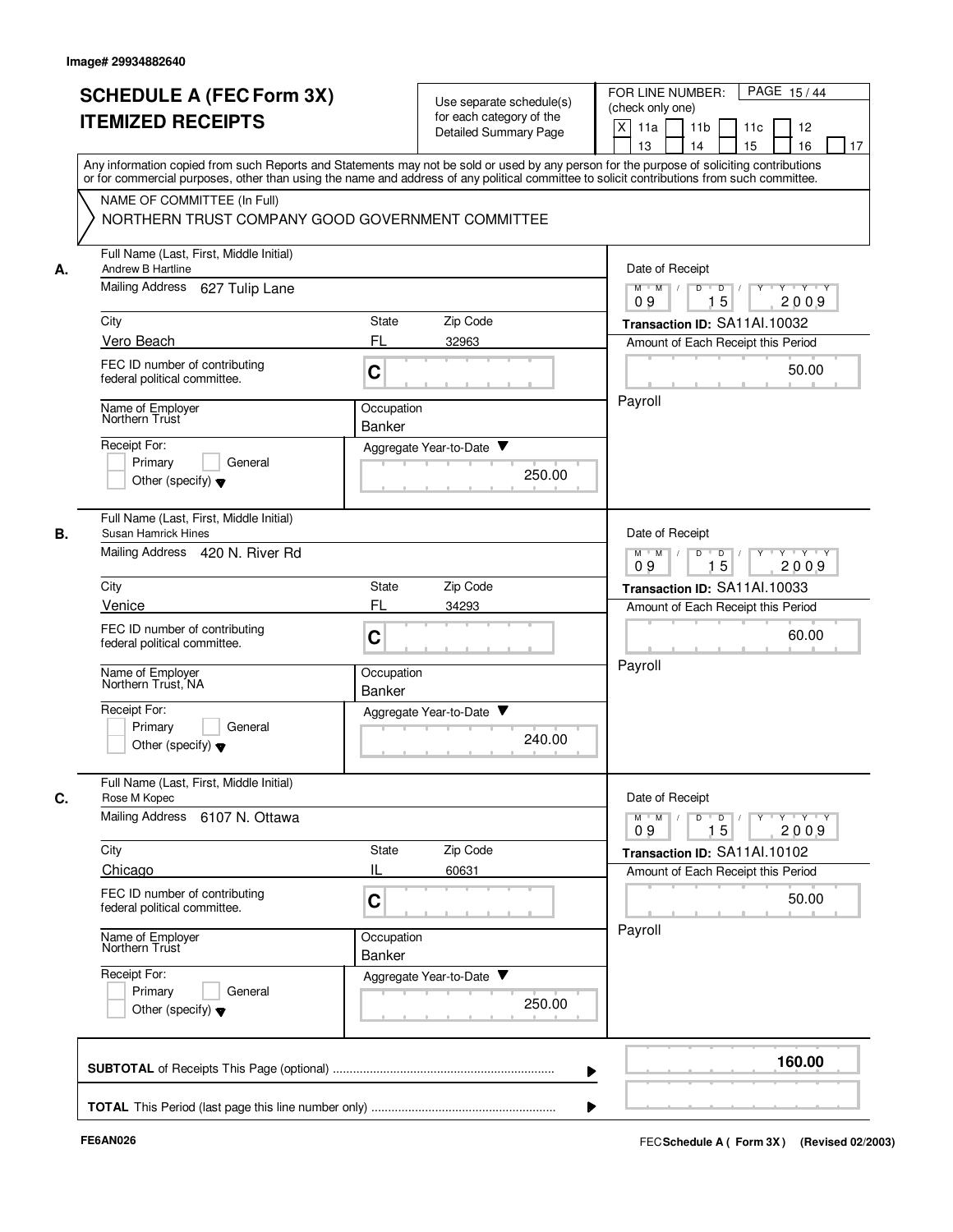|    | <b>SCHEDULE A (FEC Form 3X)</b><br><b>ITEMIZED RECEIPTS</b>                     | Use separate schedule(s)<br>for each category of the<br><b>Detailed Summary Page</b>                                                                                                                                                                                                    | PAGE 15/44<br>FOR LINE NUMBER:<br>(check only one)<br>X<br>11 <sub>b</sub><br>11a<br>11c<br>12                                          |
|----|---------------------------------------------------------------------------------|-----------------------------------------------------------------------------------------------------------------------------------------------------------------------------------------------------------------------------------------------------------------------------------------|-----------------------------------------------------------------------------------------------------------------------------------------|
|    |                                                                                 | Any information copied from such Reports and Statements may not be sold or used by any person for the purpose of soliciting contributions<br>or for commercial purposes, other than using the name and address of any political committee to solicit contributions from such committee. | 15<br>13<br>14<br>16<br>17                                                                                                              |
|    | NAME OF COMMITTEE (In Full)<br>NORTHERN TRUST COMPANY GOOD GOVERNMENT COMMITTEE |                                                                                                                                                                                                                                                                                         |                                                                                                                                         |
| А. | Full Name (Last, First, Middle Initial)<br>Andrew B Hartline                    |                                                                                                                                                                                                                                                                                         | Date of Receipt                                                                                                                         |
|    | <b>Mailing Address</b><br>627 Tulip Lane                                        |                                                                                                                                                                                                                                                                                         | Y 'Y 'Y<br>$M$ $M$ /<br>D<br>$\overline{D}$ /<br>$Y$ <sup><math>\top</math></sup><br>15<br>09<br>2009                                   |
|    | City                                                                            | Zip Code<br>State                                                                                                                                                                                                                                                                       | Transaction ID: SA11Al.10032                                                                                                            |
|    | Vero Beach<br>FEC ID number of contributing                                     | FL<br>32963                                                                                                                                                                                                                                                                             | Amount of Each Receipt this Period                                                                                                      |
|    | federal political committee.                                                    | C                                                                                                                                                                                                                                                                                       | 50.00                                                                                                                                   |
|    | Name of Employer<br>Northern Trust                                              | Occupation                                                                                                                                                                                                                                                                              | Payroll                                                                                                                                 |
|    | Receipt For:                                                                    | Banker<br>Aggregate Year-to-Date ▼                                                                                                                                                                                                                                                      |                                                                                                                                         |
|    | Primary<br>General<br>Other (specify) $\blacktriangledown$                      | 250.00                                                                                                                                                                                                                                                                                  |                                                                                                                                         |
| В. | Full Name (Last, First, Middle Initial)<br>Susan Hamrick Hines                  |                                                                                                                                                                                                                                                                                         | Date of Receipt                                                                                                                         |
|    | Mailing Address 420 N. River Rd                                                 |                                                                                                                                                                                                                                                                                         | $Y - Y - Y$<br>$M$ $M$<br>D<br>D<br>15<br>2009<br>09                                                                                    |
|    | City                                                                            | Zip Code<br>State                                                                                                                                                                                                                                                                       | Transaction ID: SA11Al.10033                                                                                                            |
|    | Venice                                                                          | FL<br>34293                                                                                                                                                                                                                                                                             | Amount of Each Receipt this Period                                                                                                      |
|    | FEC ID number of contributing<br>federal political committee.                   | C                                                                                                                                                                                                                                                                                       | 60.00                                                                                                                                   |
|    | Name of Employer<br>Northern Trust, NA                                          | Occupation<br><b>Banker</b>                                                                                                                                                                                                                                                             | Payroll                                                                                                                                 |
|    | Receipt For:<br>Primary<br>General<br>Other (specify) $\blacktriangledown$      | Aggregate Year-to-Date<br>240.00                                                                                                                                                                                                                                                        |                                                                                                                                         |
|    | Full Name (Last, First, Middle Initial)<br>Rose M Kopec                         |                                                                                                                                                                                                                                                                                         | Date of Receipt                                                                                                                         |
|    | Mailing Address 6107 N. Ottawa                                                  |                                                                                                                                                                                                                                                                                         | $\mathsf{Y} \dashv \mathsf{Y} \dashv \mathsf{Y}$<br>$M$ $M$ /<br>D<br>$\overline{\phantom{0}}$<br>$Y$ <sup>-1</sup><br>15<br>2009<br>09 |
|    | City                                                                            | Zip Code<br>State                                                                                                                                                                                                                                                                       | Transaction ID: SA11Al.10102                                                                                                            |
|    | Chicago<br>FEC ID number of contributing<br>federal political committee.        | IL<br>60631<br>C                                                                                                                                                                                                                                                                        | Amount of Each Receipt this Period<br>50.00                                                                                             |
|    | Name of Employer<br>Northern Trust                                              | Occupation<br>Banker                                                                                                                                                                                                                                                                    | Payroll                                                                                                                                 |
|    | Receipt For:<br>Primary<br>General<br>Other (specify) $\blacktriangledown$      | Aggregate Year-to-Date<br>250.00                                                                                                                                                                                                                                                        |                                                                                                                                         |
|    |                                                                                 |                                                                                                                                                                                                                                                                                         | 160.00                                                                                                                                  |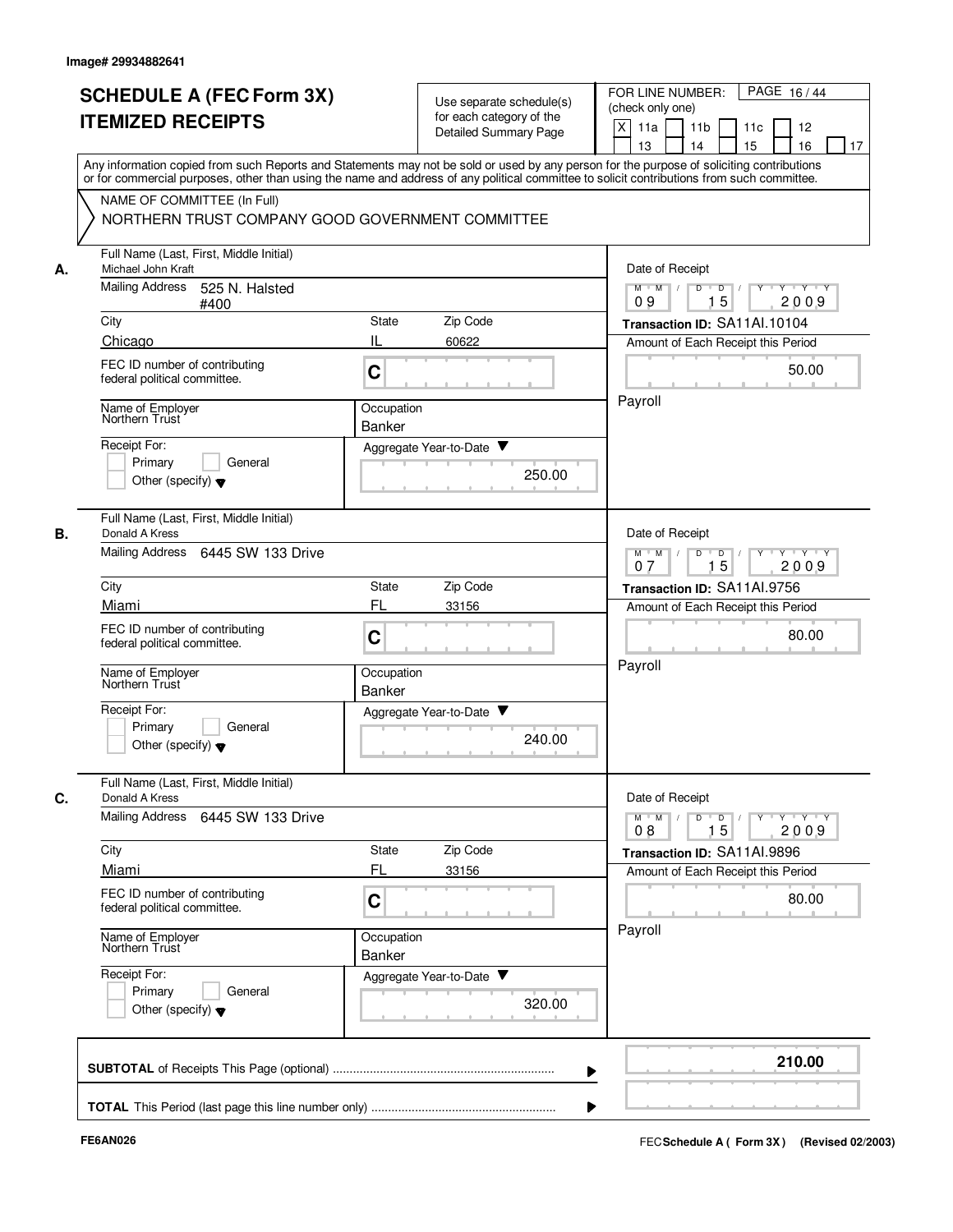|    | <b>SCHEDULE A (FEC Form 3X)</b><br><b>ITEMIZED RECEIPTS</b>                                                                                                                                                                                                                                                            |                             | Use separate schedule(s)<br>for each category of the<br>Detailed Summary Page | PAGE 16/44<br>FOR LINE NUMBER:<br>(check only one)<br>X<br>11a<br>11 <sub>b</sub><br>11c<br>12<br>13<br>14<br>15<br>16<br>17 |
|----|------------------------------------------------------------------------------------------------------------------------------------------------------------------------------------------------------------------------------------------------------------------------------------------------------------------------|-----------------------------|-------------------------------------------------------------------------------|------------------------------------------------------------------------------------------------------------------------------|
|    | Any information copied from such Reports and Statements may not be sold or used by any person for the purpose of soliciting contributions<br>or for commercial purposes, other than using the name and address of any political committee to solicit contributions from such committee.<br>NAME OF COMMITTEE (In Full) |                             |                                                                               |                                                                                                                              |
|    | NORTHERN TRUST COMPANY GOOD GOVERNMENT COMMITTEE                                                                                                                                                                                                                                                                       |                             |                                                                               |                                                                                                                              |
| А. | Full Name (Last, First, Middle Initial)<br>Michael John Kraft                                                                                                                                                                                                                                                          |                             |                                                                               | Date of Receipt                                                                                                              |
|    | <b>Mailing Address</b><br>525 N. Halsted<br>#400                                                                                                                                                                                                                                                                       |                             |                                                                               | $M$ $M$ /<br>D<br>$\overline{D}$<br>Y Y Y Y<br>15<br>2009<br>09                                                              |
|    | City                                                                                                                                                                                                                                                                                                                   | State                       | Zip Code                                                                      | Transaction ID: SA11Al.10104                                                                                                 |
|    | Chicago                                                                                                                                                                                                                                                                                                                | IL                          | 60622                                                                         | Amount of Each Receipt this Period                                                                                           |
|    | FEC ID number of contributing<br>federal political committee.                                                                                                                                                                                                                                                          | $\mathbf C$                 |                                                                               | 50.00                                                                                                                        |
|    | Name of Employer<br>Northern Trust                                                                                                                                                                                                                                                                                     | Occupation<br><b>Banker</b> |                                                                               | Payroll                                                                                                                      |
|    | Receipt For:                                                                                                                                                                                                                                                                                                           |                             | Aggregate Year-to-Date ▼                                                      |                                                                                                                              |
|    | Primary<br>General<br>Other (specify) $\blacktriangledown$                                                                                                                                                                                                                                                             |                             | 250.00                                                                        |                                                                                                                              |
|    | Full Name (Last, First, Middle Initial)<br>Donald A Kress                                                                                                                                                                                                                                                              |                             |                                                                               | Date of Receipt                                                                                                              |
|    | Mailing Address 6445 SW 133 Drive                                                                                                                                                                                                                                                                                      |                             |                                                                               | Y Y Y Y<br>$M$ M<br>D<br>D<br>15<br>2009<br>07                                                                               |
|    | City                                                                                                                                                                                                                                                                                                                   | State                       | Zip Code                                                                      | Transaction ID: SA11Al.9756                                                                                                  |
|    | Miami                                                                                                                                                                                                                                                                                                                  | FL                          | 33156                                                                         | Amount of Each Receipt this Period                                                                                           |
|    | FEC ID number of contributing<br>federal political committee.                                                                                                                                                                                                                                                          | C                           |                                                                               | 80.00                                                                                                                        |
|    | Name of Employer<br>Northern Trust                                                                                                                                                                                                                                                                                     | Occupation<br>Banker        |                                                                               | Payroll                                                                                                                      |
|    | Receipt For:<br>Primary<br>General<br>Other (specify) $\blacktriangledown$                                                                                                                                                                                                                                             |                             | Aggregate Year-to-Date<br>240.00                                              |                                                                                                                              |
|    | Full Name (Last, First, Middle Initial)<br>Donald A Kress                                                                                                                                                                                                                                                              |                             |                                                                               | Date of Receipt                                                                                                              |
|    | Mailing Address<br>6445 SW 133 Drive                                                                                                                                                                                                                                                                                   |                             |                                                                               | $M$ $M$ /<br>$Y \rightarrow Y \rightarrow Y$<br>D<br>$\overline{\phantom{0}}$<br>15<br>2009<br>08                            |
|    | City                                                                                                                                                                                                                                                                                                                   | State                       | Zip Code                                                                      | Transaction ID: SA11AI.9896                                                                                                  |
|    | Miami                                                                                                                                                                                                                                                                                                                  | FL                          | 33156                                                                         | Amount of Each Receipt this Period                                                                                           |
|    | FEC ID number of contributing<br>federal political committee.                                                                                                                                                                                                                                                          | C                           |                                                                               | 80.00                                                                                                                        |
|    | Name of Employer<br>Northern Trust                                                                                                                                                                                                                                                                                     | Occupation<br>Banker        |                                                                               | Payroll                                                                                                                      |
|    | Receipt For:<br>Primary<br>General<br>Other (specify) $\blacktriangledown$                                                                                                                                                                                                                                             |                             | Aggregate Year-to-Date ▼<br>320.00                                            |                                                                                                                              |
|    |                                                                                                                                                                                                                                                                                                                        |                             |                                                                               | 210.00                                                                                                                       |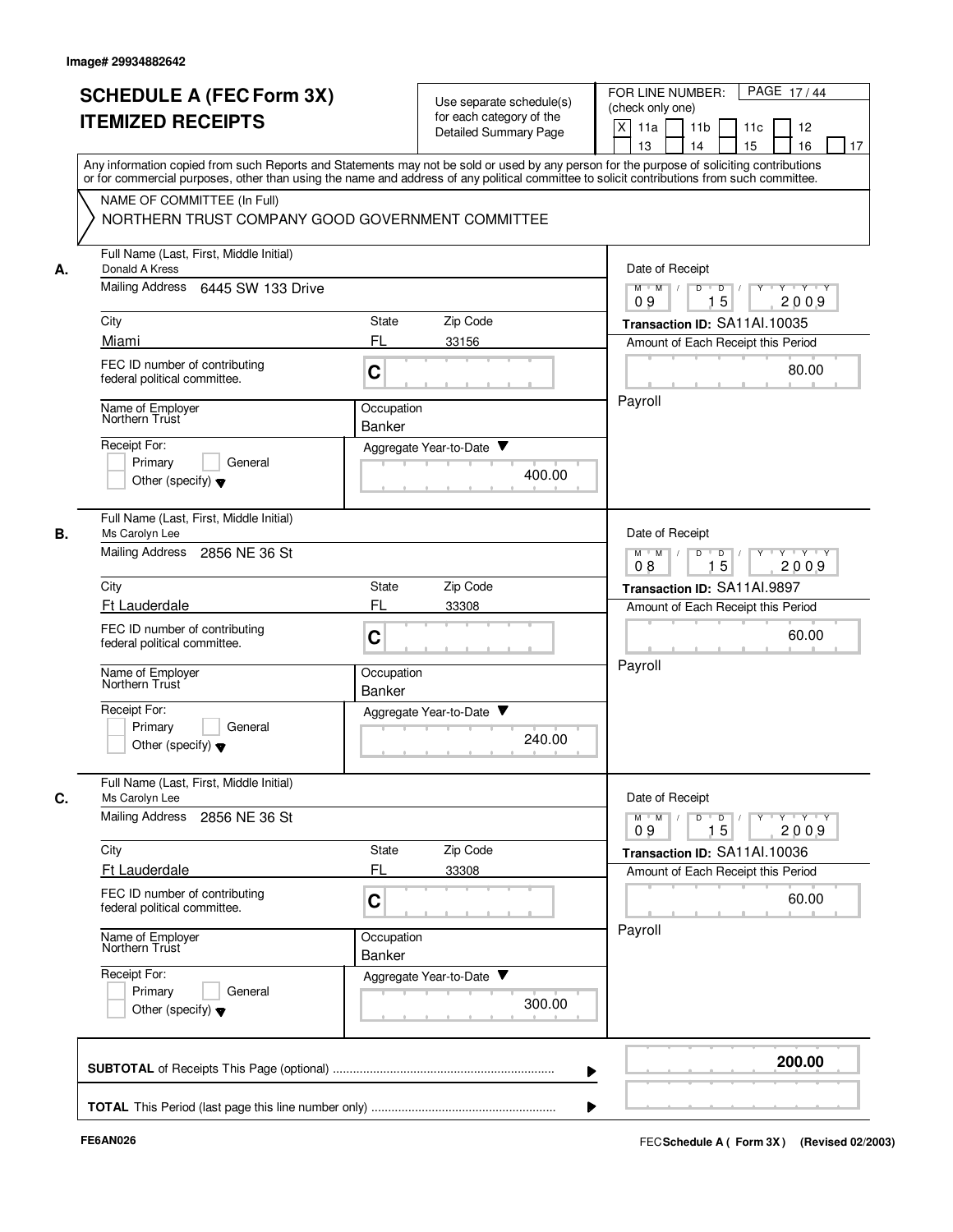|    | <b>SCHEDULE A (FEC Form 3X)</b><br><b>ITEMIZED RECEIPTS</b>                                                                                                                                                                   | Use separate schedule(s)<br>for each category of the | PAGE 17/44<br>FOR LINE NUMBER:<br>(check only one)<br>X<br>11 <sub>b</sub><br>11a<br>11c<br>12                                |
|----|-------------------------------------------------------------------------------------------------------------------------------------------------------------------------------------------------------------------------------|------------------------------------------------------|-------------------------------------------------------------------------------------------------------------------------------|
|    | Any information copied from such Reports and Statements may not be sold or used by any person for the purpose of soliciting contributions                                                                                     | <b>Detailed Summary Page</b>                         | 15<br>13<br>14<br>16<br>17                                                                                                    |
|    | or for commercial purposes, other than using the name and address of any political committee to solicit contributions from such committee.<br>NAME OF COMMITTEE (In Full)<br>NORTHERN TRUST COMPANY GOOD GOVERNMENT COMMITTEE |                                                      |                                                                                                                               |
| А. | Full Name (Last, First, Middle Initial)<br>Donald A Kress                                                                                                                                                                     |                                                      | Date of Receipt                                                                                                               |
|    | <b>Mailing Address</b><br>6445 SW 133 Drive                                                                                                                                                                                   |                                                      | Y 'Y 'Y<br>$M$ $M$ /<br>D<br>$\overline{D}$ /<br>$Y$ <sup><math>\top</math></sup><br>15<br>09<br>2009                         |
|    | City                                                                                                                                                                                                                          | Zip Code<br>State                                    | Transaction ID: SA11Al.10035                                                                                                  |
|    | Miami<br>FEC ID number of contributing<br>federal political committee.                                                                                                                                                        | FL<br>33156<br>C                                     | Amount of Each Receipt this Period<br>80.00                                                                                   |
|    | Name of Employer<br>Northern Trust                                                                                                                                                                                            | Occupation<br>Banker                                 | Payroll                                                                                                                       |
|    | Receipt For:<br>Primary<br>General<br>Other (specify) $\blacktriangledown$                                                                                                                                                    | Aggregate Year-to-Date ▼<br>400.00                   |                                                                                                                               |
| В. | Full Name (Last, First, Middle Initial)<br>Ms Carolyn Lee                                                                                                                                                                     |                                                      | Date of Receipt                                                                                                               |
|    | <b>Mailing Address</b><br>2856 NE 36 St                                                                                                                                                                                       |                                                      | $M$ $M$<br>$Y - Y - Y$<br>D<br>D<br>15<br>2009<br>08                                                                          |
|    | City                                                                                                                                                                                                                          | Zip Code<br>State                                    | Transaction ID: SA11Al.9897                                                                                                   |
|    | <b>Ft Lauderdale</b><br>FEC ID number of contributing<br>federal political committee.                                                                                                                                         | FL<br>33308<br>C                                     | Amount of Each Receipt this Period<br>60.00                                                                                   |
|    | Name of Employer<br>Northern Trust                                                                                                                                                                                            | Occupation<br><b>Banker</b>                          | Payroll                                                                                                                       |
|    | Receipt For:<br>Primary<br>General<br>Other (specify) $\blacktriangledown$                                                                                                                                                    | Aggregate Year-to-Date<br>240.00                     |                                                                                                                               |
| C. | Full Name (Last, First, Middle Initial)<br>Ms Carolyn Lee                                                                                                                                                                     |                                                      | Date of Receipt                                                                                                               |
|    | Mailing Address<br>2856 NE 36 St                                                                                                                                                                                              |                                                      | $\mathsf{Y} \dashv \mathsf{Y} \dashv \mathsf{Y}$<br>$M$ $M$ /<br>D<br>$\overline{D}$<br>$Y$ <sup>-1</sup><br>15<br>2009<br>09 |
|    | City<br>Ft Lauderdale                                                                                                                                                                                                         | Zip Code<br>State<br>FL<br>33308                     | Transaction ID: SA11Al.10036<br>Amount of Each Receipt this Period                                                            |
|    | FEC ID number of contributing<br>federal political committee.                                                                                                                                                                 | C                                                    | 60.00                                                                                                                         |
|    | Name of Employer<br>Northern Trust                                                                                                                                                                                            | Occupation<br>Banker                                 | Payroll                                                                                                                       |
|    | Receipt For:<br>Primary<br>General<br>Other (specify) $\blacktriangledown$                                                                                                                                                    | Aggregate Year-to-Date<br>300.00                     |                                                                                                                               |
|    |                                                                                                                                                                                                                               |                                                      | 200.00                                                                                                                        |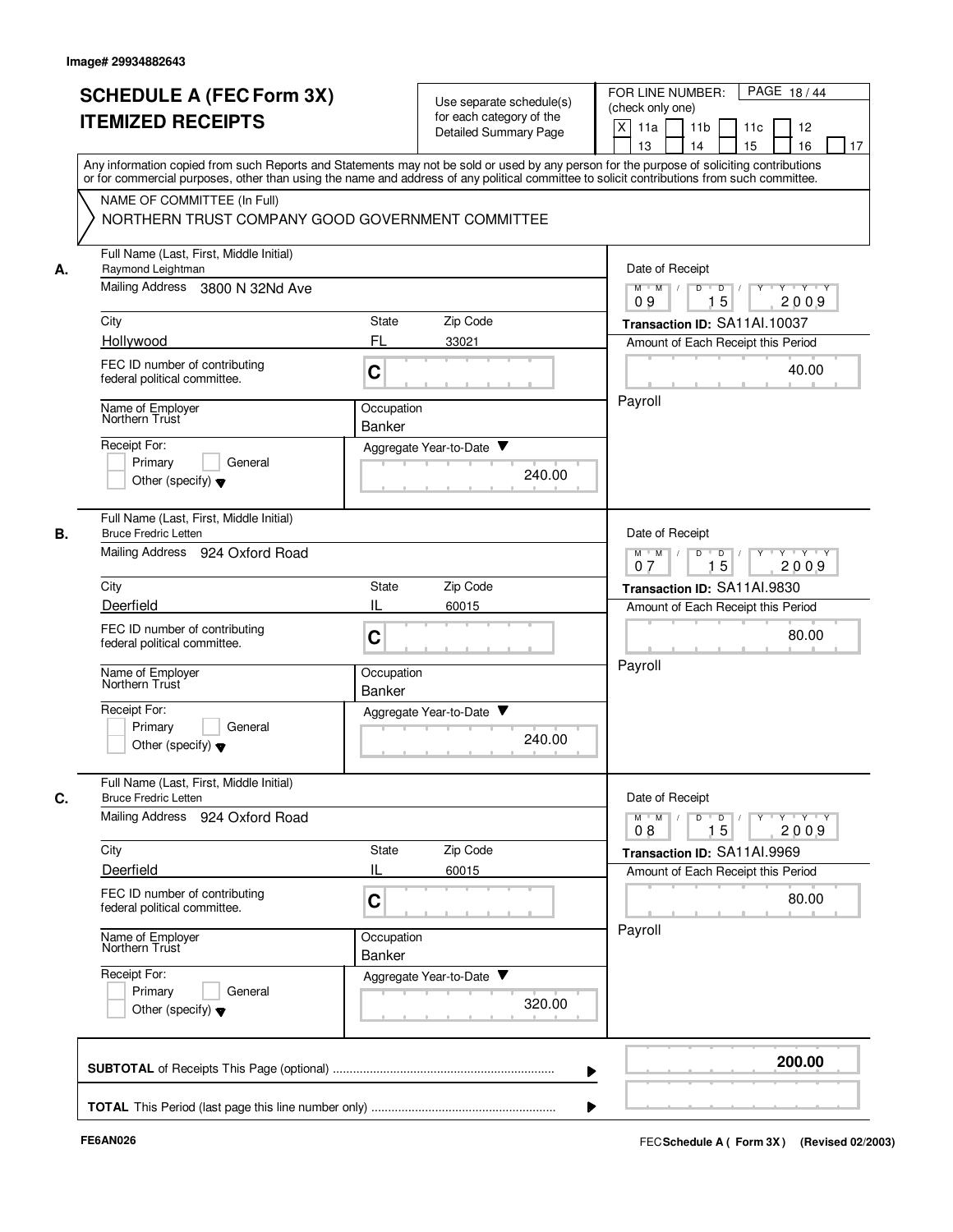|    | <b>SCHEDULE A (FEC Form 3X)</b>                                                                                                                                                                                                                                                         |                             |                                                      |        | PAGE 18/44<br>FOR LINE NUMBER:                                                                                                                                            |
|----|-----------------------------------------------------------------------------------------------------------------------------------------------------------------------------------------------------------------------------------------------------------------------------------------|-----------------------------|------------------------------------------------------|--------|---------------------------------------------------------------------------------------------------------------------------------------------------------------------------|
|    | <b>ITEMIZED RECEIPTS</b>                                                                                                                                                                                                                                                                |                             | Use separate schedule(s)<br>for each category of the |        | (check only one)                                                                                                                                                          |
|    |                                                                                                                                                                                                                                                                                         |                             | <b>Detailed Summary Page</b>                         |        | X<br>11a<br>11 <sub>b</sub><br>11c<br>12<br>13<br>14<br>15<br>16<br>17                                                                                                    |
|    | Any information copied from such Reports and Statements may not be sold or used by any person for the purpose of soliciting contributions<br>or for commercial purposes, other than using the name and address of any political committee to solicit contributions from such committee. |                             |                                                      |        |                                                                                                                                                                           |
|    | NAME OF COMMITTEE (In Full)                                                                                                                                                                                                                                                             |                             |                                                      |        |                                                                                                                                                                           |
|    | NORTHERN TRUST COMPANY GOOD GOVERNMENT COMMITTEE                                                                                                                                                                                                                                        |                             |                                                      |        |                                                                                                                                                                           |
| А. | Full Name (Last, First, Middle Initial)<br>Raymond Leightman                                                                                                                                                                                                                            |                             |                                                      |        | Date of Receipt                                                                                                                                                           |
|    | Mailing Address 3800 N 32Nd Ave                                                                                                                                                                                                                                                         |                             |                                                      |        | $M$ $M$ /<br>D<br>$D$ /<br>$Y - Y - Y$<br>15<br>2009<br>09                                                                                                                |
|    | City                                                                                                                                                                                                                                                                                    | State                       | Zip Code                                             |        | Transaction ID: SA11Al.10037                                                                                                                                              |
|    | Hollywood                                                                                                                                                                                                                                                                               | FL                          | 33021                                                |        | Amount of Each Receipt this Period                                                                                                                                        |
|    | FEC ID number of contributing<br>federal political committee.                                                                                                                                                                                                                           | C                           |                                                      |        | 40.00                                                                                                                                                                     |
|    | Name of Employer<br>Northern Trust                                                                                                                                                                                                                                                      | Occupation                  |                                                      |        | Payroll                                                                                                                                                                   |
|    | Receipt For:                                                                                                                                                                                                                                                                            | Banker                      |                                                      |        |                                                                                                                                                                           |
|    | Primary<br>General                                                                                                                                                                                                                                                                      |                             | Aggregate Year-to-Date ▼                             |        |                                                                                                                                                                           |
|    | Other (specify) $\blacktriangledown$                                                                                                                                                                                                                                                    |                             |                                                      | 240.00 |                                                                                                                                                                           |
| В. | Full Name (Last, First, Middle Initial)<br><b>Bruce Fredric Letten</b>                                                                                                                                                                                                                  |                             |                                                      |        | Date of Receipt                                                                                                                                                           |
|    | Mailing Address 924 Oxford Road                                                                                                                                                                                                                                                         |                             |                                                      |        | $Y - Y - Y$<br>$M$ M<br>D<br>$\overline{D}$<br>15<br>2009<br>07                                                                                                           |
|    | City                                                                                                                                                                                                                                                                                    | State                       | Zip Code                                             |        | Transaction ID: SA11AI.9830                                                                                                                                               |
|    | Deerfield                                                                                                                                                                                                                                                                               |                             | 60015                                                |        | Amount of Each Receipt this Period                                                                                                                                        |
|    | FEC ID number of contributing<br>federal political committee.                                                                                                                                                                                                                           | C                           |                                                      |        | 80.00                                                                                                                                                                     |
|    | Name of Employer<br>Northern Trust                                                                                                                                                                                                                                                      | Occupation<br><b>Banker</b> |                                                      |        | Payroll                                                                                                                                                                   |
|    | Receipt For:                                                                                                                                                                                                                                                                            |                             | v<br>Aggregate Year-to-Date                          |        |                                                                                                                                                                           |
|    | Primary<br>General<br>Other (specify) $\blacktriangledown$                                                                                                                                                                                                                              |                             |                                                      | 240.00 |                                                                                                                                                                           |
|    | Full Name (Last, First, Middle Initial)                                                                                                                                                                                                                                                 |                             |                                                      |        |                                                                                                                                                                           |
| C. | <b>Bruce Fredric Letten</b><br>Mailing Address 924 Oxford Road                                                                                                                                                                                                                          |                             |                                                      |        | Date of Receipt<br>$\mathsf{Y} \dashv \mathsf{Y} \dashv \mathsf{Y} \dashv \mathsf{Y}$<br>$M$ $M$ /<br>$\overline{D}$<br>$\overline{D}$ $\overline{I}$<br>15<br>08<br>2009 |
|    | City                                                                                                                                                                                                                                                                                    | <b>State</b>                | Zip Code                                             |        | Transaction ID: SA11AI.9969                                                                                                                                               |
|    | Deerfield                                                                                                                                                                                                                                                                               | IL                          | 60015                                                |        | Amount of Each Receipt this Period                                                                                                                                        |
|    | FEC ID number of contributing<br>federal political committee.                                                                                                                                                                                                                           | C                           |                                                      |        | 80.00                                                                                                                                                                     |
|    | Name of Employer<br>Northern Trust                                                                                                                                                                                                                                                      | Occupation<br>Banker        |                                                      |        | Payroll                                                                                                                                                                   |
|    | Receipt For:                                                                                                                                                                                                                                                                            |                             | Aggregate Year-to-Date                               |        |                                                                                                                                                                           |
|    | Primary<br>General<br>Other (specify) $\blacktriangledown$                                                                                                                                                                                                                              |                             |                                                      | 320.00 |                                                                                                                                                                           |
|    |                                                                                                                                                                                                                                                                                         |                             |                                                      |        | 200.00                                                                                                                                                                    |
|    |                                                                                                                                                                                                                                                                                         |                             |                                                      |        |                                                                                                                                                                           |
|    |                                                                                                                                                                                                                                                                                         |                             |                                                      |        |                                                                                                                                                                           |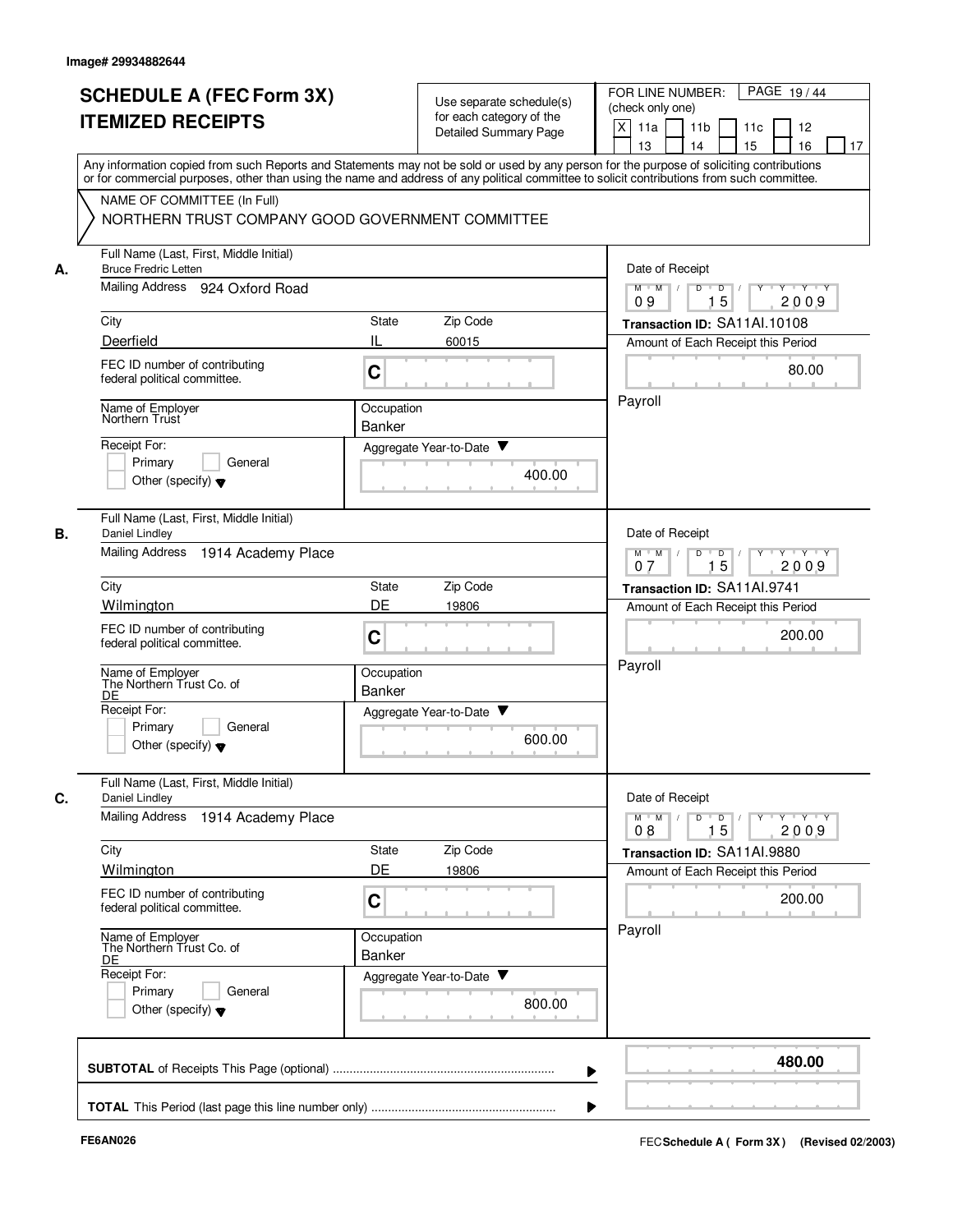|    |                                                                                                                                                                                                                                                                                         |                      |                                                      | PAGE 19/44<br>FOR LINE NUMBER:                                                         |  |  |  |
|----|-----------------------------------------------------------------------------------------------------------------------------------------------------------------------------------------------------------------------------------------------------------------------------------------|----------------------|------------------------------------------------------|----------------------------------------------------------------------------------------|--|--|--|
|    | <b>SCHEDULE A (FEC Form 3X)</b>                                                                                                                                                                                                                                                         |                      | Use separate schedule(s)<br>for each category of the | (check only one)                                                                       |  |  |  |
|    | <b>ITEMIZED RECEIPTS</b>                                                                                                                                                                                                                                                                |                      | Detailed Summary Page                                | X<br>11a<br>11 <sub>b</sub><br>11c<br>12                                               |  |  |  |
|    |                                                                                                                                                                                                                                                                                         |                      |                                                      | 15<br>13<br>14<br>16<br>17                                                             |  |  |  |
|    | Any information copied from such Reports and Statements may not be sold or used by any person for the purpose of soliciting contributions<br>or for commercial purposes, other than using the name and address of any political committee to solicit contributions from such committee. |                      |                                                      |                                                                                        |  |  |  |
|    | NAME OF COMMITTEE (In Full)                                                                                                                                                                                                                                                             |                      |                                                      |                                                                                        |  |  |  |
|    | NORTHERN TRUST COMPANY GOOD GOVERNMENT COMMITTEE                                                                                                                                                                                                                                        |                      |                                                      |                                                                                        |  |  |  |
| А. | Full Name (Last, First, Middle Initial)<br><b>Bruce Fredric Letten</b>                                                                                                                                                                                                                  |                      |                                                      | Date of Receipt                                                                        |  |  |  |
|    | Mailing Address 924 Oxford Road                                                                                                                                                                                                                                                         |                      |                                                      | $M$ $M$ /<br>D<br>$\overline{\mathsf{D}}$<br>$Y - Y - Y$<br>$\Box$<br>15<br>2009<br>09 |  |  |  |
|    | City                                                                                                                                                                                                                                                                                    | State                | Zip Code                                             | Transaction ID: SA11Al.10108                                                           |  |  |  |
|    | Deerfield                                                                                                                                                                                                                                                                               | IL                   | 60015                                                | Amount of Each Receipt this Period                                                     |  |  |  |
|    | FEC ID number of contributing<br>federal political committee.                                                                                                                                                                                                                           | C                    |                                                      | 80.00                                                                                  |  |  |  |
|    | Name of Employer<br>Northern Trust                                                                                                                                                                                                                                                      | Occupation           |                                                      | Payroll                                                                                |  |  |  |
|    |                                                                                                                                                                                                                                                                                         | Banker               |                                                      |                                                                                        |  |  |  |
|    | Receipt For:<br>Primary<br>General                                                                                                                                                                                                                                                      |                      | Aggregate Year-to-Date ▼                             |                                                                                        |  |  |  |
|    | Other (specify) $\blacktriangledown$                                                                                                                                                                                                                                                    |                      | 400.00                                               |                                                                                        |  |  |  |
| В. | Full Name (Last, First, Middle Initial)<br>Daniel Lindley                                                                                                                                                                                                                               |                      |                                                      | Date of Receipt                                                                        |  |  |  |
|    | <b>Mailing Address</b><br>1914 Academy Place                                                                                                                                                                                                                                            |                      |                                                      | $Y \vdash Y \vdash Y$<br>$M$ M<br>D<br>D<br>Y<br>15<br>2009<br>07                      |  |  |  |
|    | City                                                                                                                                                                                                                                                                                    | State                | Zip Code                                             | Transaction ID: SA11AI.9741                                                            |  |  |  |
|    | Wilmington                                                                                                                                                                                                                                                                              | DE                   | 19806                                                | Amount of Each Receipt this Period                                                     |  |  |  |
|    | FEC ID number of contributing<br>federal political committee.                                                                                                                                                                                                                           | C                    |                                                      | 200.00                                                                                 |  |  |  |
|    | Name of Employer<br>The Northern Trust Co. of                                                                                                                                                                                                                                           | Occupation           |                                                      | Payroll                                                                                |  |  |  |
|    | DE<br>Receipt For:                                                                                                                                                                                                                                                                      | <b>Banker</b>        |                                                      |                                                                                        |  |  |  |
|    | Primary<br>General                                                                                                                                                                                                                                                                      |                      | Aggregate Year-to-Date                               |                                                                                        |  |  |  |
|    | Other (specify) $\blacktriangledown$                                                                                                                                                                                                                                                    |                      | 600.00                                               |                                                                                        |  |  |  |
| C. | Full Name (Last, First, Middle Initial)<br>Daniel Lindley                                                                                                                                                                                                                               |                      |                                                      | Date of Receipt                                                                        |  |  |  |
|    | <b>Mailing Address</b><br>1914 Academy Place                                                                                                                                                                                                                                            |                      |                                                      | $M^{\prime}$ $M^{\prime}$ /<br>y y y y y y<br>D<br>$\overline{D}$ /                    |  |  |  |
|    | City                                                                                                                                                                                                                                                                                    | State                | Zip Code                                             | 15<br>2009<br>08<br>Transaction ID: SA11AI.9880                                        |  |  |  |
|    | Wilmington                                                                                                                                                                                                                                                                              | DE                   | 19806                                                | Amount of Each Receipt this Period                                                     |  |  |  |
|    | FEC ID number of contributing<br>federal political committee.                                                                                                                                                                                                                           | C                    |                                                      | 200.00                                                                                 |  |  |  |
|    | Name of Employer<br>The Northern Trust Co. of<br>DE                                                                                                                                                                                                                                     | Occupation<br>Banker |                                                      | Payroll                                                                                |  |  |  |
|    | Receipt For:                                                                                                                                                                                                                                                                            |                      | Aggregate Year-to-Date                               |                                                                                        |  |  |  |
|    | Primary<br>General<br>Other (specify) $\blacktriangledown$                                                                                                                                                                                                                              |                      | 800.00                                               |                                                                                        |  |  |  |
|    |                                                                                                                                                                                                                                                                                         |                      |                                                      | 480.00                                                                                 |  |  |  |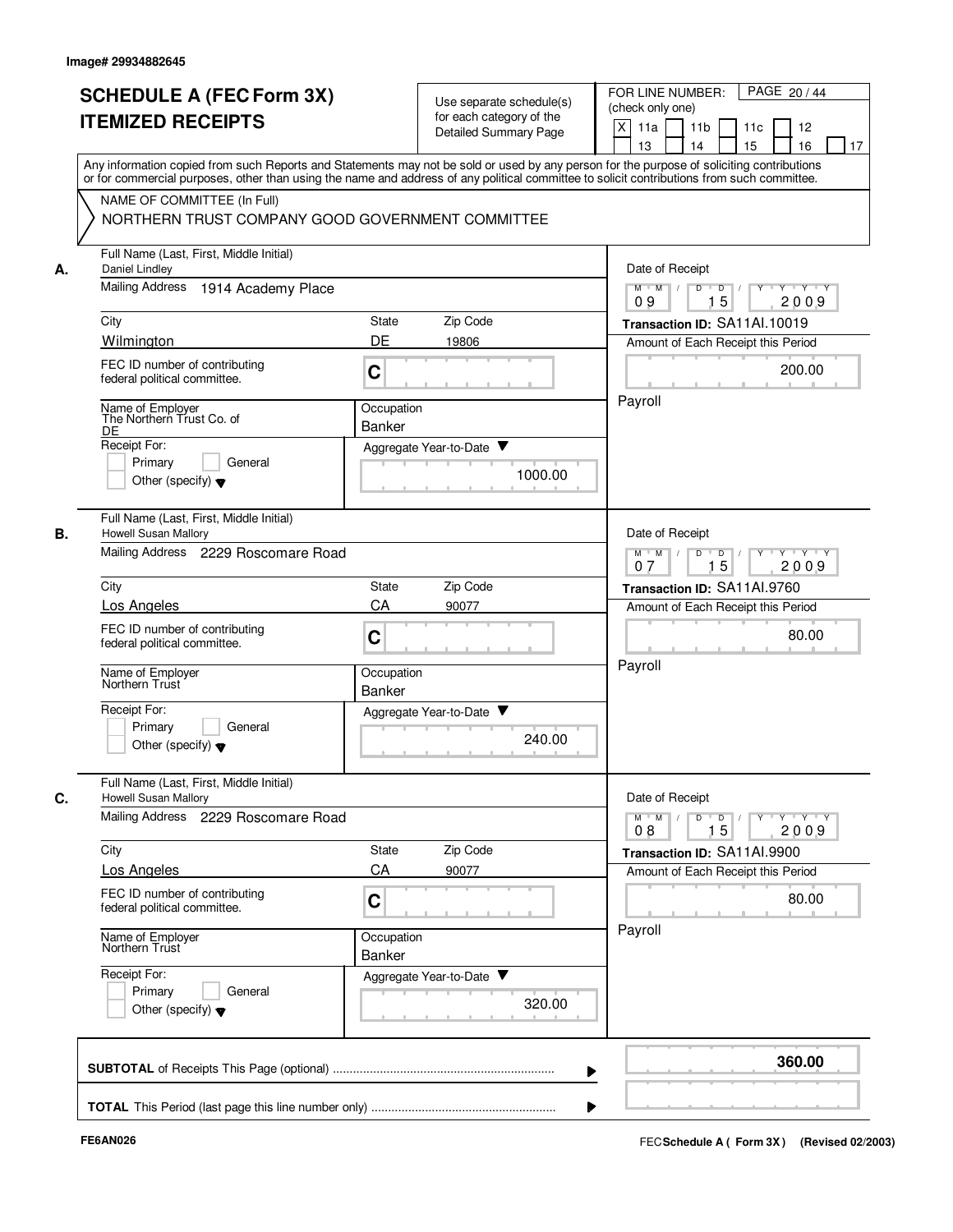|    | <b>SCHEDULE A (FEC Form 3X)</b><br><b>ITEMIZED RECEIPTS</b>                     | Use separate schedule(s)<br>for each category of the<br><b>Detailed Summary Page</b>                                                                                                                                                                                                    | PAGE 20 / 44<br>FOR LINE NUMBER:<br>(check only one)<br>X<br>11 <sub>b</sub><br>11a<br>11c<br>12<br>15<br>13<br>14<br>16<br>17               |  |
|----|---------------------------------------------------------------------------------|-----------------------------------------------------------------------------------------------------------------------------------------------------------------------------------------------------------------------------------------------------------------------------------------|----------------------------------------------------------------------------------------------------------------------------------------------|--|
|    |                                                                                 | Any information copied from such Reports and Statements may not be sold or used by any person for the purpose of soliciting contributions<br>or for commercial purposes, other than using the name and address of any political committee to solicit contributions from such committee. |                                                                                                                                              |  |
|    | NAME OF COMMITTEE (In Full)<br>NORTHERN TRUST COMPANY GOOD GOVERNMENT COMMITTEE |                                                                                                                                                                                                                                                                                         |                                                                                                                                              |  |
| А. | Full Name (Last, First, Middle Initial)<br>Daniel Lindley                       |                                                                                                                                                                                                                                                                                         | Date of Receipt                                                                                                                              |  |
|    | <b>Mailing Address</b><br>1914 Academy Place                                    |                                                                                                                                                                                                                                                                                         | Y Y Y Y<br>$M$ $M$ /<br>D<br>$\blacksquare$ D $\blacksquare$ /<br>$Y$ <sup><math>\top</math></sup><br>15<br>09<br>2009                       |  |
|    | City                                                                            | Zip Code<br>State                                                                                                                                                                                                                                                                       | Transaction ID: SA11Al.10019                                                                                                                 |  |
|    | Wilmington                                                                      | DE<br>19806                                                                                                                                                                                                                                                                             | Amount of Each Receipt this Period                                                                                                           |  |
|    | FEC ID number of contributing<br>federal political committee.                   | C                                                                                                                                                                                                                                                                                       | 200.00                                                                                                                                       |  |
|    | Name of Employer<br>The Northern Trust Co. of                                   | Occupation<br>Banker                                                                                                                                                                                                                                                                    | Payroll                                                                                                                                      |  |
|    | DE<br>Receipt For:                                                              | Aggregate Year-to-Date ▼                                                                                                                                                                                                                                                                |                                                                                                                                              |  |
|    | Primary<br>General<br>Other (specify) $\blacktriangledown$                      | 1000.00                                                                                                                                                                                                                                                                                 |                                                                                                                                              |  |
| В. | Full Name (Last, First, Middle Initial)<br>Howell Susan Mallory                 |                                                                                                                                                                                                                                                                                         | Date of Receipt                                                                                                                              |  |
|    | Mailing Address 2229 Roscomare Road                                             | $Y - Y - Y$<br>$M$ M<br>D<br>D<br>15<br>2009<br>07                                                                                                                                                                                                                                      |                                                                                                                                              |  |
|    | City                                                                            | Zip Code<br>State                                                                                                                                                                                                                                                                       | Transaction ID: SA11Al.9760                                                                                                                  |  |
|    | Los Angeles                                                                     | CA<br>90077                                                                                                                                                                                                                                                                             | Amount of Each Receipt this Period                                                                                                           |  |
|    | FEC ID number of contributing<br>federal political committee.                   | C                                                                                                                                                                                                                                                                                       | 80.00                                                                                                                                        |  |
|    | Name of Employer<br>Northern Trust                                              | Occupation<br><b>Banker</b>                                                                                                                                                                                                                                                             | Payroll                                                                                                                                      |  |
|    | Receipt For:<br>Primary<br>General<br>Other (specify) $\blacktriangledown$      | v<br>Aggregate Year-to-Date<br>240.00                                                                                                                                                                                                                                                   |                                                                                                                                              |  |
| C. | Full Name (Last, First, Middle Initial)<br><b>Howell Susan Mallory</b>          |                                                                                                                                                                                                                                                                                         | Date of Receipt                                                                                                                              |  |
|    | Mailing Address 2229 Roscomare Road                                             |                                                                                                                                                                                                                                                                                         | $\mathsf{Y} \dashv \mathsf{Y} \dashv \mathsf{Y}$<br>$M$ $M$ /<br>D<br>$\overline{D}$<br>$Y$ <sup><math>\top</math></sup><br>15<br>2009<br>08 |  |
|    | City                                                                            | State<br>Zip Code                                                                                                                                                                                                                                                                       | Transaction ID: SA11Al.9900                                                                                                                  |  |
|    | Los Angeles                                                                     | CA<br>90077                                                                                                                                                                                                                                                                             | Amount of Each Receipt this Period                                                                                                           |  |
|    | FEC ID number of contributing<br>federal political committee.                   | C                                                                                                                                                                                                                                                                                       | 80.00                                                                                                                                        |  |
|    | Name of Employer<br>Northern Trust                                              | Occupation<br>Banker                                                                                                                                                                                                                                                                    | Payroll                                                                                                                                      |  |
|    | Receipt For:<br>Primary<br>General<br>Other (specify) $\blacktriangledown$      | Aggregate Year-to-Date<br>320.00                                                                                                                                                                                                                                                        |                                                                                                                                              |  |
|    |                                                                                 |                                                                                                                                                                                                                                                                                         | 360.00                                                                                                                                       |  |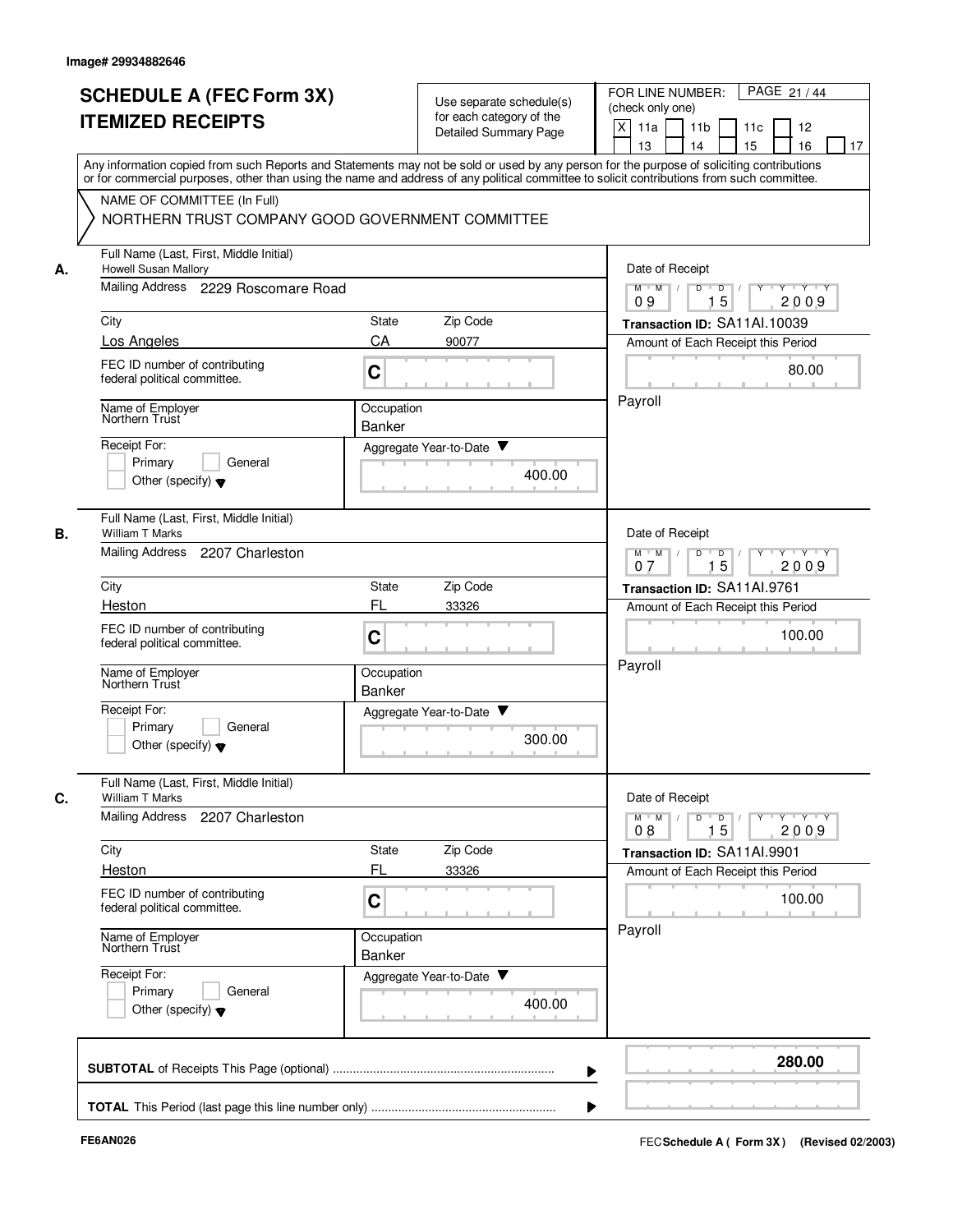|    | <b>SCHEDULE A (FEC Form 3X)</b><br><b>ITEMIZED RECEIPTS</b>                                                                                                                                                                                                                                                            |                             | Use separate schedule(s)<br>for each category of the<br>Detailed Summary Page | PAGE 21 / 44<br>FOR LINE NUMBER:<br>(check only one)<br>X<br>11a<br>11 <sub>b</sub><br>11c<br>12<br>13<br>14<br>15<br>16<br>17 |
|----|------------------------------------------------------------------------------------------------------------------------------------------------------------------------------------------------------------------------------------------------------------------------------------------------------------------------|-----------------------------|-------------------------------------------------------------------------------|--------------------------------------------------------------------------------------------------------------------------------|
|    | Any information copied from such Reports and Statements may not be sold or used by any person for the purpose of soliciting contributions<br>or for commercial purposes, other than using the name and address of any political committee to solicit contributions from such committee.<br>NAME OF COMMITTEE (In Full) |                             |                                                                               |                                                                                                                                |
|    | NORTHERN TRUST COMPANY GOOD GOVERNMENT COMMITTEE                                                                                                                                                                                                                                                                       |                             |                                                                               |                                                                                                                                |
| А. | Full Name (Last, First, Middle Initial)<br>Howell Susan Mallory                                                                                                                                                                                                                                                        |                             |                                                                               | Date of Receipt                                                                                                                |
|    | Mailing Address 2229 Roscomare Road                                                                                                                                                                                                                                                                                    |                             |                                                                               | $M$ $M$ /<br>D<br>$\Box$<br>Y Y Y Y<br>15<br>2009<br>09                                                                        |
|    | City                                                                                                                                                                                                                                                                                                                   | State                       | Zip Code                                                                      | Transaction ID: SA11Al.10039                                                                                                   |
|    | Los Angeles                                                                                                                                                                                                                                                                                                            | CA                          | 90077                                                                         | Amount of Each Receipt this Period                                                                                             |
|    | FEC ID number of contributing<br>federal political committee.                                                                                                                                                                                                                                                          | C                           |                                                                               | 80.00                                                                                                                          |
|    | Name of Employer<br>Northern Trust                                                                                                                                                                                                                                                                                     | Occupation<br><b>Banker</b> |                                                                               | Payroll                                                                                                                        |
|    | Receipt For:                                                                                                                                                                                                                                                                                                           | Aggregate Year-to-Date ▼    |                                                                               |                                                                                                                                |
|    | Primary<br>General<br>Other (specify) $\blacktriangledown$                                                                                                                                                                                                                                                             |                             | 400.00                                                                        |                                                                                                                                |
|    | Full Name (Last, First, Middle Initial)<br>William T Marks                                                                                                                                                                                                                                                             |                             |                                                                               | Date of Receipt                                                                                                                |
|    | Mailing Address 2207 Charleston                                                                                                                                                                                                                                                                                        |                             |                                                                               | $Y - Y - Y$<br>$M$ M<br>D<br>D<br>15<br>2009<br>07                                                                             |
|    | City                                                                                                                                                                                                                                                                                                                   | State                       | Zip Code                                                                      | Transaction ID: SA11AI.9761                                                                                                    |
|    | Heston                                                                                                                                                                                                                                                                                                                 | FL                          | 33326                                                                         | Amount of Each Receipt this Period                                                                                             |
|    | FEC ID number of contributing<br>federal political committee.                                                                                                                                                                                                                                                          | C                           |                                                                               | 100.00                                                                                                                         |
|    | Name of Employer<br>Northern Trust                                                                                                                                                                                                                                                                                     | Occupation<br>Banker        |                                                                               | Payroll                                                                                                                        |
|    | Receipt For:<br>Primary<br>General<br>Other (specify) $\blacktriangledown$                                                                                                                                                                                                                                             | Aggregate Year-to-Date      | 300.00                                                                        |                                                                                                                                |
|    | Full Name (Last, First, Middle Initial)<br>William T Marks                                                                                                                                                                                                                                                             |                             |                                                                               | Date of Receipt                                                                                                                |
|    | <b>Mailing Address</b><br>2207 Charleston                                                                                                                                                                                                                                                                              |                             |                                                                               | $Y \rightarrow Y \rightarrow Y$<br>$M$ $M$ /<br>D<br>$\overline{\phantom{0}}$<br>15<br>2009<br>08                              |
|    | City                                                                                                                                                                                                                                                                                                                   | State                       | Zip Code                                                                      | Transaction ID: SA11Al.9901                                                                                                    |
|    | Heston                                                                                                                                                                                                                                                                                                                 | FL                          | 33326                                                                         | Amount of Each Receipt this Period                                                                                             |
|    | FEC ID number of contributing<br>federal political committee.                                                                                                                                                                                                                                                          | C                           |                                                                               | 100.00                                                                                                                         |
|    | Name of Employer<br>Northern Trust                                                                                                                                                                                                                                                                                     | Occupation<br>Banker        |                                                                               | Payroll                                                                                                                        |
|    | Receipt For:<br>Primary<br>General<br>Other (specify) $\blacktriangledown$                                                                                                                                                                                                                                             | Aggregate Year-to-Date ▼    | 400.00                                                                        |                                                                                                                                |
|    |                                                                                                                                                                                                                                                                                                                        |                             |                                                                               | 280.00                                                                                                                         |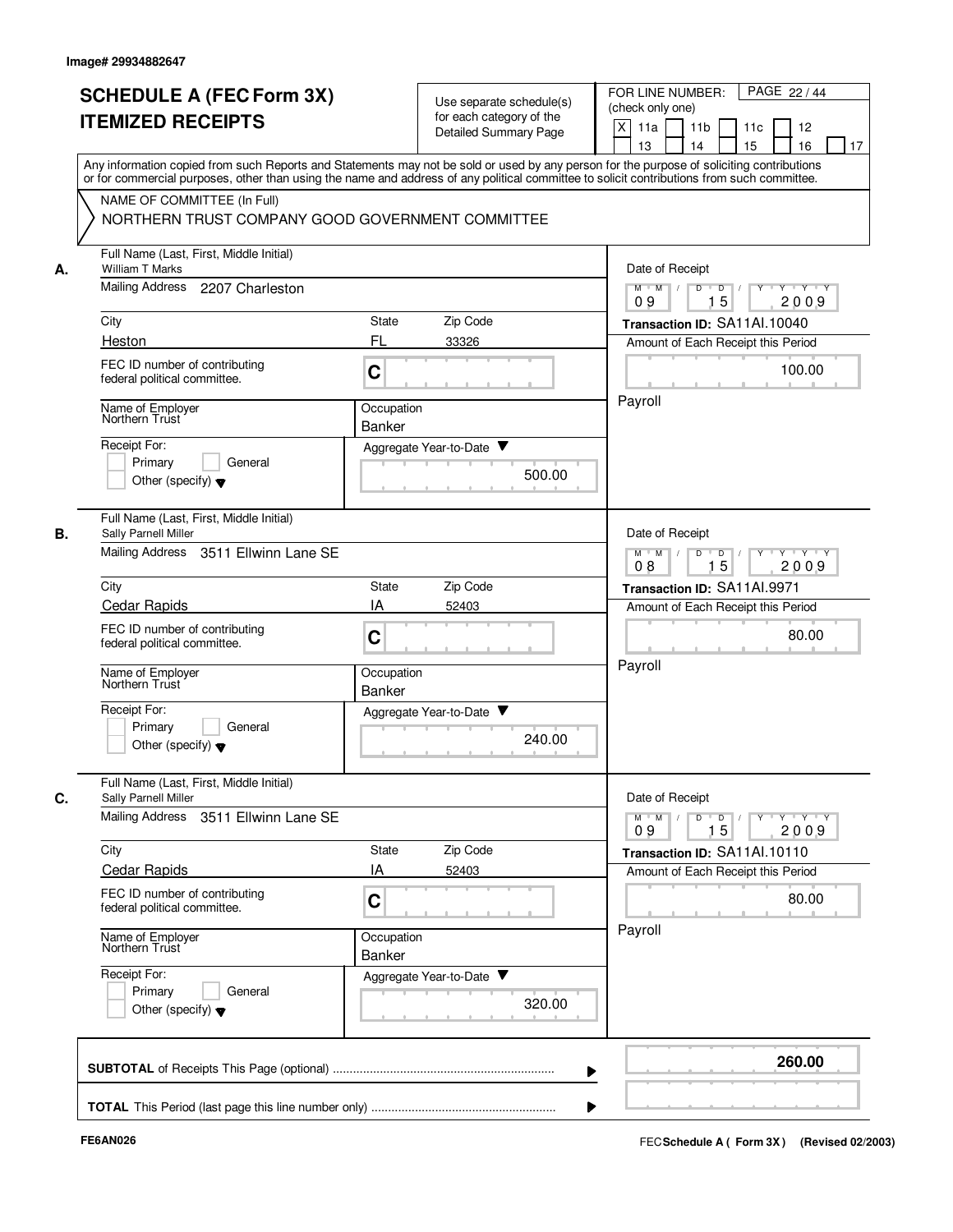|    | <b>SCHEDULE A (FEC Form 3X)</b><br><b>ITEMIZED RECEIPTS</b>                                                                                                                                                                                                                             | Use separate schedule(s)<br>for each category of the<br><b>Detailed Summary Page</b> | PAGE 22 / 44<br>FOR LINE NUMBER:<br>(check only one)<br>X<br>11 <sub>b</sub><br>11a<br>11c<br>12<br>15<br>13<br>14<br>16<br>17          |
|----|-----------------------------------------------------------------------------------------------------------------------------------------------------------------------------------------------------------------------------------------------------------------------------------------|--------------------------------------------------------------------------------------|-----------------------------------------------------------------------------------------------------------------------------------------|
|    | Any information copied from such Reports and Statements may not be sold or used by any person for the purpose of soliciting contributions<br>or for commercial purposes, other than using the name and address of any political committee to solicit contributions from such committee. |                                                                                      |                                                                                                                                         |
|    | NAME OF COMMITTEE (In Full)<br>NORTHERN TRUST COMPANY GOOD GOVERNMENT COMMITTEE                                                                                                                                                                                                         |                                                                                      |                                                                                                                                         |
| А. | Full Name (Last, First, Middle Initial)<br>William T Marks                                                                                                                                                                                                                              |                                                                                      | Date of Receipt                                                                                                                         |
|    | <b>Mailing Address</b><br>2207 Charleston                                                                                                                                                                                                                                               |                                                                                      | Y 'Y 'Y<br>$M$ $M$ /<br>D<br>$\overline{D}$ /<br>$Y$ <sup><math>\top</math></sup><br>15<br>09<br>2009                                   |
|    | City                                                                                                                                                                                                                                                                                    | Zip Code<br>State                                                                    | Transaction ID: SA11Al.10040                                                                                                            |
|    | Heston                                                                                                                                                                                                                                                                                  | FL<br>33326                                                                          | Amount of Each Receipt this Period                                                                                                      |
|    | FEC ID number of contributing<br>federal political committee.                                                                                                                                                                                                                           | C                                                                                    | 100.00                                                                                                                                  |
|    | Name of Employer<br>Northern Trust                                                                                                                                                                                                                                                      | Occupation<br>Banker                                                                 | Payroll                                                                                                                                 |
|    | Receipt For:                                                                                                                                                                                                                                                                            | Aggregate Year-to-Date ▼                                                             |                                                                                                                                         |
|    | Primary<br>General<br>Other (specify) $\blacktriangledown$                                                                                                                                                                                                                              | 500.00                                                                               |                                                                                                                                         |
| В. | Full Name (Last, First, Middle Initial)<br>Sally Parnell Miller                                                                                                                                                                                                                         |                                                                                      | Date of Receipt                                                                                                                         |
|    | Mailing Address<br>3511 Ellwinn Lane SE                                                                                                                                                                                                                                                 |                                                                                      | $M$ $M$<br>$Y - Y - Y$<br>D<br>D<br>15<br>2009<br>08                                                                                    |
|    | City                                                                                                                                                                                                                                                                                    | Zip Code<br>State                                                                    | Transaction ID: SA11AI.9971                                                                                                             |
|    | <b>Cedar Rapids</b>                                                                                                                                                                                                                                                                     | IA<br>52403                                                                          | Amount of Each Receipt this Period                                                                                                      |
|    | FEC ID number of contributing<br>federal political committee.                                                                                                                                                                                                                           | C                                                                                    | 80.00                                                                                                                                   |
|    | Name of Employer<br>Northern Trust                                                                                                                                                                                                                                                      | Occupation<br><b>Banker</b>                                                          | Payroll                                                                                                                                 |
|    | Receipt For:<br>Primary<br>General<br>Other (specify) $\blacktriangledown$                                                                                                                                                                                                              | Aggregate Year-to-Date<br>240.00                                                     |                                                                                                                                         |
| C. | Full Name (Last, First, Middle Initial)<br>Sally Parnell Miller                                                                                                                                                                                                                         |                                                                                      | Date of Receipt                                                                                                                         |
|    | Mailing Address<br>3511 Ellwinn Lane SE                                                                                                                                                                                                                                                 |                                                                                      | $\mathsf{Y} \dashv \mathsf{Y} \dashv \mathsf{Y}$<br>$M$ $M$ /<br>D<br>$\overline{\phantom{0}}$<br>$Y$ <sup>-1</sup><br>15<br>2009<br>09 |
|    | City                                                                                                                                                                                                                                                                                    | State<br>Zip Code                                                                    | Transaction ID: SA11Al.10110                                                                                                            |
|    | <b>Cedar Rapids</b>                                                                                                                                                                                                                                                                     | IA<br>52403                                                                          | Amount of Each Receipt this Period                                                                                                      |
|    | FEC ID number of contributing<br>federal political committee.                                                                                                                                                                                                                           | C                                                                                    | 80.00                                                                                                                                   |
|    | Name of Employer<br>Northern Trust                                                                                                                                                                                                                                                      | Occupation<br>Banker                                                                 | Payroll                                                                                                                                 |
|    | Receipt For:<br>Primary<br>General<br>Other (specify) $\blacktriangledown$                                                                                                                                                                                                              | Aggregate Year-to-Date<br>320.00                                                     |                                                                                                                                         |
|    |                                                                                                                                                                                                                                                                                         |                                                                                      | 260.00                                                                                                                                  |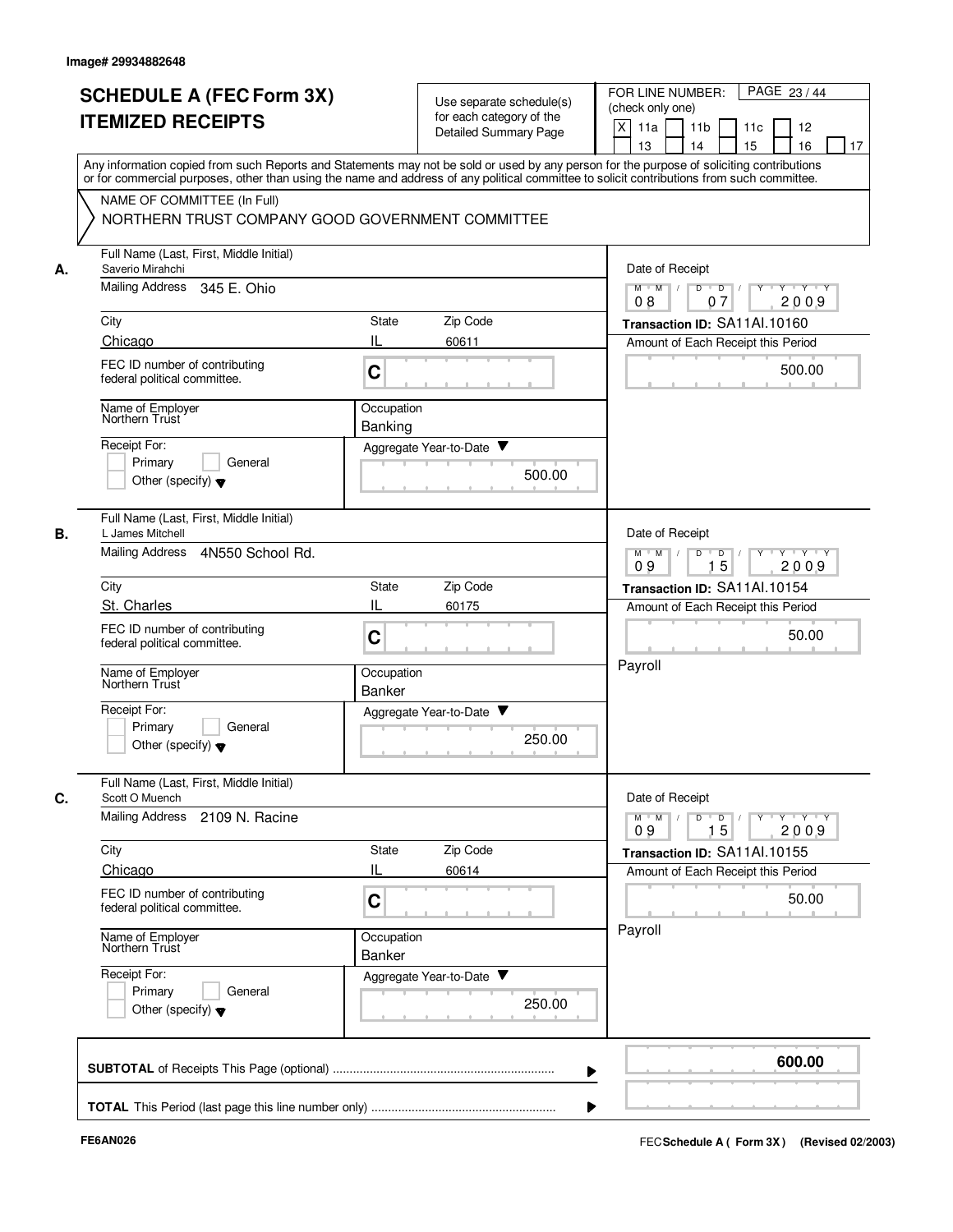|    | <b>SCHEDULE A (FEC Form 3X)</b><br><b>ITEMIZED RECEIPTS</b>                                                                                                                                                                                                                             |                             | Use separate schedule(s)<br>for each category of the<br><b>Detailed Summary Page</b> | PAGE 23/44<br>FOR LINE NUMBER:<br>(check only one)<br>X<br>11a<br>11 <sub>b</sub><br>11c<br>12<br>15<br>13<br>14<br>16<br>17 |
|----|-----------------------------------------------------------------------------------------------------------------------------------------------------------------------------------------------------------------------------------------------------------------------------------------|-----------------------------|--------------------------------------------------------------------------------------|------------------------------------------------------------------------------------------------------------------------------|
|    | Any information copied from such Reports and Statements may not be sold or used by any person for the purpose of soliciting contributions<br>or for commercial purposes, other than using the name and address of any political committee to solicit contributions from such committee. |                             |                                                                                      |                                                                                                                              |
|    | NAME OF COMMITTEE (In Full)<br>NORTHERN TRUST COMPANY GOOD GOVERNMENT COMMITTEE                                                                                                                                                                                                         |                             |                                                                                      |                                                                                                                              |
| А. | Full Name (Last, First, Middle Initial)<br>Saverio Mirahchi                                                                                                                                                                                                                             |                             |                                                                                      | Date of Receipt                                                                                                              |
|    | Mailing Address<br>345 E. Ohio                                                                                                                                                                                                                                                          |                             |                                                                                      | $M$ $M$ /<br>D<br>$\overline{D}$<br>Y Y Y Y<br>2009<br>08<br>07                                                              |
|    | City                                                                                                                                                                                                                                                                                    | State                       | Zip Code                                                                             | Transaction ID: SA11Al.10160                                                                                                 |
|    | Chicago<br>FEC ID number of contributing<br>federal political committee.                                                                                                                                                                                                                | IL<br>C                     | 60611                                                                                | Amount of Each Receipt this Period<br>500.00                                                                                 |
|    | Name of Employer<br>Northern Trust                                                                                                                                                                                                                                                      | Occupation<br>Banking       |                                                                                      |                                                                                                                              |
|    | Receipt For:<br>Primary<br>General<br>Other (specify) $\blacktriangledown$                                                                                                                                                                                                              |                             | Aggregate Year-to-Date ▼<br>500.00                                                   |                                                                                                                              |
|    | Full Name (Last, First, Middle Initial)<br>L James Mitchell<br>Mailing Address<br>4N550 School Rd.                                                                                                                                                                                      |                             |                                                                                      | Date of Receipt<br>Y Y Y Y<br>$M$ M<br>D<br>$\mathsf D$<br>Y<br>09<br>15<br>2009                                             |
|    | City                                                                                                                                                                                                                                                                                    | State                       | Zip Code                                                                             | Transaction ID: SA11AI.10154                                                                                                 |
|    | St. Charles                                                                                                                                                                                                                                                                             | IL                          | 60175                                                                                | Amount of Each Receipt this Period                                                                                           |
|    | FEC ID number of contributing<br>federal political committee.                                                                                                                                                                                                                           | C                           |                                                                                      | 50.00<br>Payroll                                                                                                             |
|    | Name of Employer<br>Northern Trust                                                                                                                                                                                                                                                      | Occupation<br>Banker        |                                                                                      |                                                                                                                              |
|    | Receipt For:<br>Primary<br>General<br>Other (specify) $\blacktriangledown$                                                                                                                                                                                                              |                             | Aggregate Year-to-Date<br>250.00                                                     |                                                                                                                              |
|    | Full Name (Last, First, Middle Initial)<br>Scott O Muench                                                                                                                                                                                                                               |                             |                                                                                      | Date of Receipt                                                                                                              |
|    | <b>Mailing Address</b><br>2109 N. Racine                                                                                                                                                                                                                                                |                             |                                                                                      | $\mathsf{Y} \dashv \mathsf{Y} \dashv \mathsf{Y}$<br>$M$ $M$<br>D<br>$\overline{\phantom{a}}$ D<br>$Y^+$<br>15<br>2009<br>09  |
|    | City<br>Chicago                                                                                                                                                                                                                                                                         | State<br>IL                 | Zip Code<br>60614                                                                    | Transaction ID: SA11Al.10155                                                                                                 |
|    | FEC ID number of contributing<br>federal political committee.                                                                                                                                                                                                                           | C                           |                                                                                      | Amount of Each Receipt this Period<br>50.00                                                                                  |
|    | Name of Employer<br>Northern Trust                                                                                                                                                                                                                                                      | Occupation<br><b>Banker</b> |                                                                                      | Payroll                                                                                                                      |
|    | Receipt For:<br>Primary<br>General<br>Other (specify) $\blacktriangledown$                                                                                                                                                                                                              |                             | Aggregate Year-to-Date<br>250.00                                                     |                                                                                                                              |
|    |                                                                                                                                                                                                                                                                                         |                             |                                                                                      | 600.00                                                                                                                       |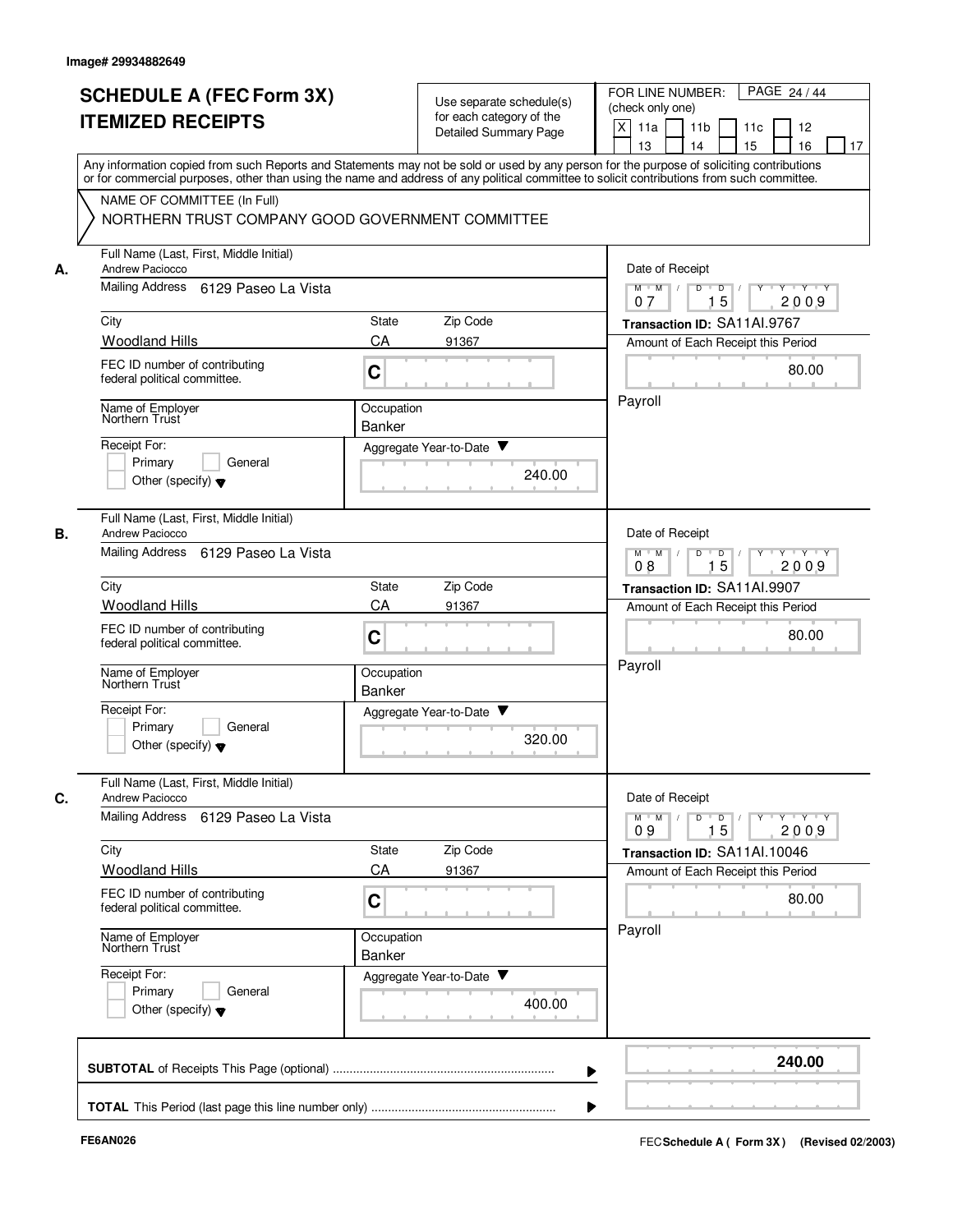| <b>SCHEDULE A (FEC Form 3X)</b>                                  |                                                  | Use separate schedule(s)                          | PAGE 24 / 44<br>FOR LINE NUMBER:                                                                                                                                                                                                                                                        |
|------------------------------------------------------------------|--------------------------------------------------|---------------------------------------------------|-----------------------------------------------------------------------------------------------------------------------------------------------------------------------------------------------------------------------------------------------------------------------------------------|
|                                                                  | <b>ITEMIZED RECEIPTS</b>                         |                                                   | (check only one)                                                                                                                                                                                                                                                                        |
|                                                                  |                                                  | for each category of the<br>Detailed Summary Page | X<br>11a<br>11 <sub>b</sub><br>11c<br>12<br>15<br>13<br>14<br>16<br>17                                                                                                                                                                                                                  |
|                                                                  |                                                  |                                                   | Any information copied from such Reports and Statements may not be sold or used by any person for the purpose of soliciting contributions<br>or for commercial purposes, other than using the name and address of any political committee to solicit contributions from such committee. |
| NAME OF COMMITTEE (In Full)                                      |                                                  |                                                   |                                                                                                                                                                                                                                                                                         |
|                                                                  | NORTHERN TRUST COMPANY GOOD GOVERNMENT COMMITTEE |                                                   |                                                                                                                                                                                                                                                                                         |
| Full Name (Last, First, Middle Initial)<br>Andrew Paciocco<br>А. |                                                  |                                                   | Date of Receipt                                                                                                                                                                                                                                                                         |
| Mailing Address 6129 Paseo La Vista                              |                                                  |                                                   | $M$ $M$ /<br>D<br>$D$ /<br>$Y - Y - Y$<br>15<br>2009<br>07                                                                                                                                                                                                                              |
| City                                                             | State                                            | Zip Code                                          | Transaction ID: SA11AI.9767                                                                                                                                                                                                                                                             |
| <b>Woodland Hills</b>                                            | CA                                               | 91367                                             | Amount of Each Receipt this Period                                                                                                                                                                                                                                                      |
| FEC ID number of contributing<br>federal political committee.    | C                                                |                                                   | 80.00                                                                                                                                                                                                                                                                                   |
| Name of Employer<br>Northern Trust                               | Occupation<br>Banker                             |                                                   | Payroll                                                                                                                                                                                                                                                                                 |
| Receipt For:                                                     |                                                  | Aggregate Year-to-Date ▼                          |                                                                                                                                                                                                                                                                                         |
| Primary<br>General                                               |                                                  | 240.00                                            |                                                                                                                                                                                                                                                                                         |
| Other (specify) $\blacktriangledown$                             |                                                  |                                                   |                                                                                                                                                                                                                                                                                         |
| Full Name (Last, First, Middle Initial)<br>В.<br>Andrew Paciocco |                                                  |                                                   | Date of Receipt                                                                                                                                                                                                                                                                         |
| Mailing Address                                                  | 6129 Paseo La Vista                              |                                                   | $Y \vdash Y \vdash Y$<br>$M$ $M$<br>D<br>D<br>Y<br>15<br>2009<br>08                                                                                                                                                                                                                     |
| City                                                             | State                                            | Zip Code                                          | Transaction ID: SA11AI.9907                                                                                                                                                                                                                                                             |
| <b>Woodland Hills</b>                                            | CA                                               | 91367                                             | Amount of Each Receipt this Period                                                                                                                                                                                                                                                      |
| FEC ID number of contributing<br>federal political committee.    | C                                                |                                                   | 80.00                                                                                                                                                                                                                                                                                   |
| Name of Employer<br>Northern Trust                               | Occupation<br><b>Banker</b>                      |                                                   | Payroll                                                                                                                                                                                                                                                                                 |
| Receipt For:                                                     |                                                  | Aggregate Year-to-Date                            |                                                                                                                                                                                                                                                                                         |
| Primary<br>General<br>Other (specify) $\blacktriangledown$       |                                                  | 320.00                                            |                                                                                                                                                                                                                                                                                         |
| Full Name (Last, First, Middle Initial)                          |                                                  |                                                   |                                                                                                                                                                                                                                                                                         |
| C.<br>Andrew Paciocco<br><b>Mailing Address</b>                  | 6129 Paseo La Vista                              |                                                   | Date of Receipt<br>$\mathsf{Y} \dashv \mathsf{Y} \dashv \mathsf{Y} \dashv \mathsf{Y}$<br>$M^{\prime}$ $M^{\prime}$ /<br>$D$ $D$ $/$<br>2009                                                                                                                                             |
| City                                                             | State                                            | Zip Code                                          | 15<br>09<br>Transaction ID: SA11Al.10046                                                                                                                                                                                                                                                |
| <b>Woodland Hills</b>                                            | CA                                               | 91367                                             | Amount of Each Receipt this Period                                                                                                                                                                                                                                                      |
| FEC ID number of contributing<br>federal political committee.    | C                                                |                                                   | 80.00                                                                                                                                                                                                                                                                                   |
| Name of Employer<br>Northern Trust                               | Occupation<br>Banker                             |                                                   | Payroll                                                                                                                                                                                                                                                                                 |
| Receipt For:                                                     |                                                  | Aggregate Year-to-Date                            |                                                                                                                                                                                                                                                                                         |
| Primary<br>General<br>Other (specify) $\blacktriangledown$       |                                                  | 400.00                                            |                                                                                                                                                                                                                                                                                         |
|                                                                  |                                                  |                                                   |                                                                                                                                                                                                                                                                                         |
|                                                                  |                                                  |                                                   | 240.00                                                                                                                                                                                                                                                                                  |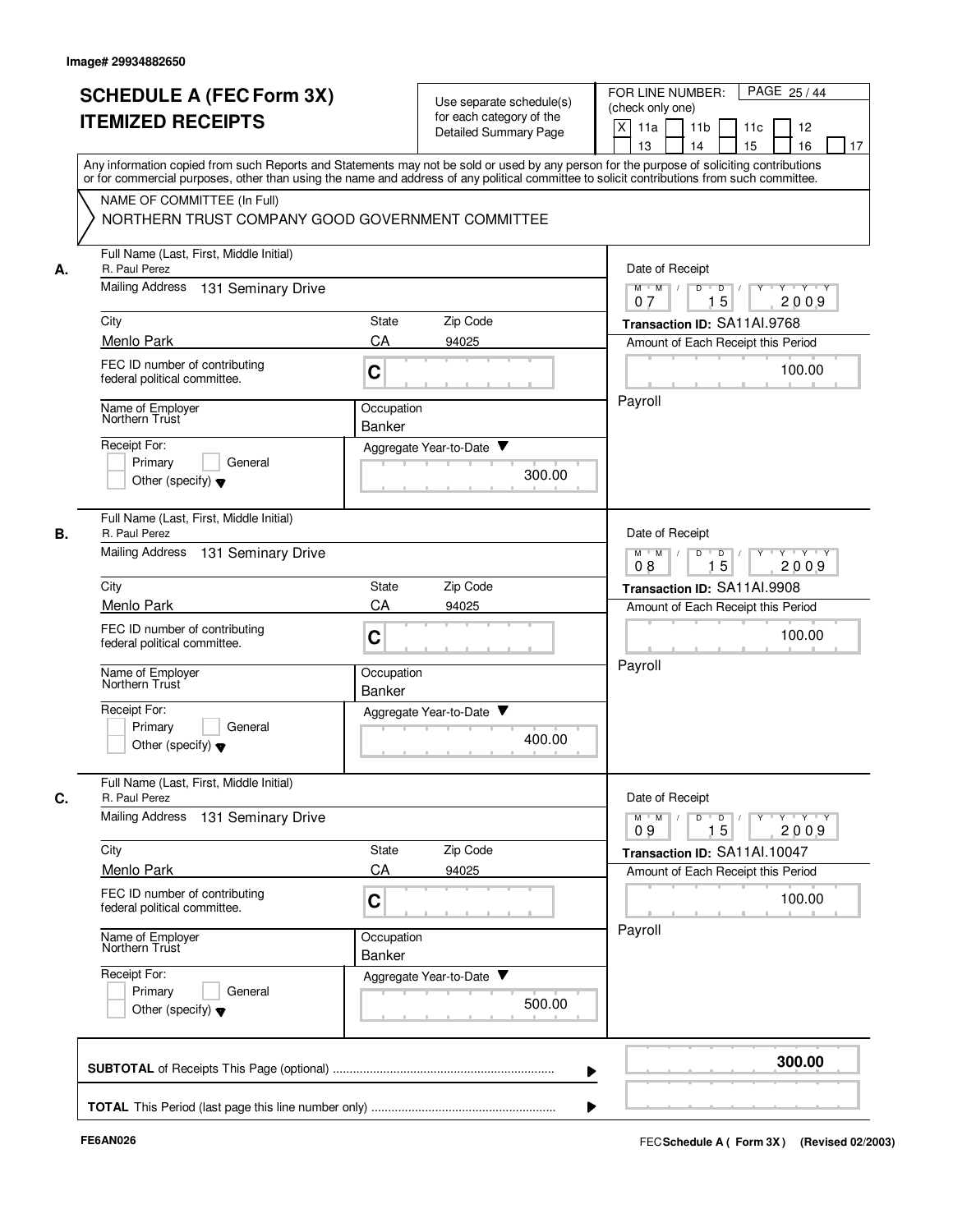|    | <b>SCHEDULE A (FEC Form 3X)</b><br><b>ITEMIZED RECEIPTS</b>                     | Use separate schedule(s)<br>for each category of the<br><b>Detailed Summary Page</b> | PAGE 25/44<br>FOR LINE NUMBER:<br>(check only one)<br>X<br>11 <sub>b</sub><br>11a<br>11c<br>12<br>15<br>13<br>14<br>16<br>17                                                                                                                                                            |
|----|---------------------------------------------------------------------------------|--------------------------------------------------------------------------------------|-----------------------------------------------------------------------------------------------------------------------------------------------------------------------------------------------------------------------------------------------------------------------------------------|
|    |                                                                                 |                                                                                      | Any information copied from such Reports and Statements may not be sold or used by any person for the purpose of soliciting contributions<br>or for commercial purposes, other than using the name and address of any political committee to solicit contributions from such committee. |
|    | NAME OF COMMITTEE (In Full)<br>NORTHERN TRUST COMPANY GOOD GOVERNMENT COMMITTEE |                                                                                      |                                                                                                                                                                                                                                                                                         |
| А. | Full Name (Last, First, Middle Initial)<br>R. Paul Perez                        |                                                                                      | Date of Receipt                                                                                                                                                                                                                                                                         |
|    | <b>Mailing Address</b><br>131 Seminary Drive                                    |                                                                                      | Y 'Y 'Y<br>$M$ $M$ /<br>D<br>$\overline{D}$ /<br>$Y$ <sup><math>\top</math></sup><br>15<br>07<br>2009                                                                                                                                                                                   |
|    | City                                                                            | Zip Code<br>State                                                                    | Transaction ID: SA11AI.9768                                                                                                                                                                                                                                                             |
|    | Menlo Park                                                                      | CA<br>94025                                                                          | Amount of Each Receipt this Period                                                                                                                                                                                                                                                      |
|    | FEC ID number of contributing<br>federal political committee.                   | C                                                                                    | 100.00                                                                                                                                                                                                                                                                                  |
|    | Name of Employer<br>Northern Trust                                              | Occupation<br>Banker                                                                 | Payroll                                                                                                                                                                                                                                                                                 |
|    | Receipt For:                                                                    | Aggregate Year-to-Date ▼                                                             |                                                                                                                                                                                                                                                                                         |
|    | Primary<br>General<br>Other (specify) $\blacktriangledown$                      |                                                                                      | 300.00                                                                                                                                                                                                                                                                                  |
|    | Full Name (Last, First, Middle Initial)<br>R. Paul Perez                        |                                                                                      | Date of Receipt                                                                                                                                                                                                                                                                         |
|    | <b>Mailing Address</b><br>131 Seminary Drive                                    |                                                                                      | $Y - Y - Y - Y$<br>$M$ M<br>D<br>D<br>15<br>2009<br>08                                                                                                                                                                                                                                  |
|    | City                                                                            | Zip Code<br>State                                                                    | Transaction ID: SA11Al.9908                                                                                                                                                                                                                                                             |
|    | Menlo Park                                                                      | CA<br>94025                                                                          | Amount of Each Receipt this Period                                                                                                                                                                                                                                                      |
|    | FEC ID number of contributing<br>federal political committee.                   | C                                                                                    | 100.00                                                                                                                                                                                                                                                                                  |
|    | Name of Employer<br>Northern Trust                                              | Occupation<br><b>Banker</b>                                                          | Payroll                                                                                                                                                                                                                                                                                 |
|    | Receipt For:<br>Primary<br>General<br>Other (specify) $\blacktriangledown$      | v<br>Aggregate Year-to-Date                                                          | 400.00                                                                                                                                                                                                                                                                                  |
|    | Full Name (Last, First, Middle Initial)<br>R. Paul Perez                        |                                                                                      | Date of Receipt                                                                                                                                                                                                                                                                         |
|    | <b>Mailing Address</b><br>131 Seminary Drive                                    |                                                                                      | $\mathsf{Y} \dashv \mathsf{Y} \dashv \mathsf{Y}$<br>$M$ $M$<br>D<br>$\overline{D}$<br>$Y$ <sup><math>\top</math></sup><br>15<br>2009<br>09                                                                                                                                              |
|    | City                                                                            | Zip Code<br>State                                                                    | Transaction ID: SA11Al.10047                                                                                                                                                                                                                                                            |
|    | Menlo Park                                                                      | CA<br>94025                                                                          | Amount of Each Receipt this Period                                                                                                                                                                                                                                                      |
|    | FEC ID number of contributing<br>federal political committee.                   | C                                                                                    | 100.00                                                                                                                                                                                                                                                                                  |
|    | Name of Employer<br>Northern Trust                                              | Occupation<br>Banker                                                                 | Payroll                                                                                                                                                                                                                                                                                 |
|    | Receipt For:<br>Primary<br>General<br>Other (specify) $\blacktriangledown$      | Aggregate Year-to-Date                                                               | 500.00                                                                                                                                                                                                                                                                                  |
|    |                                                                                 |                                                                                      | 300.00                                                                                                                                                                                                                                                                                  |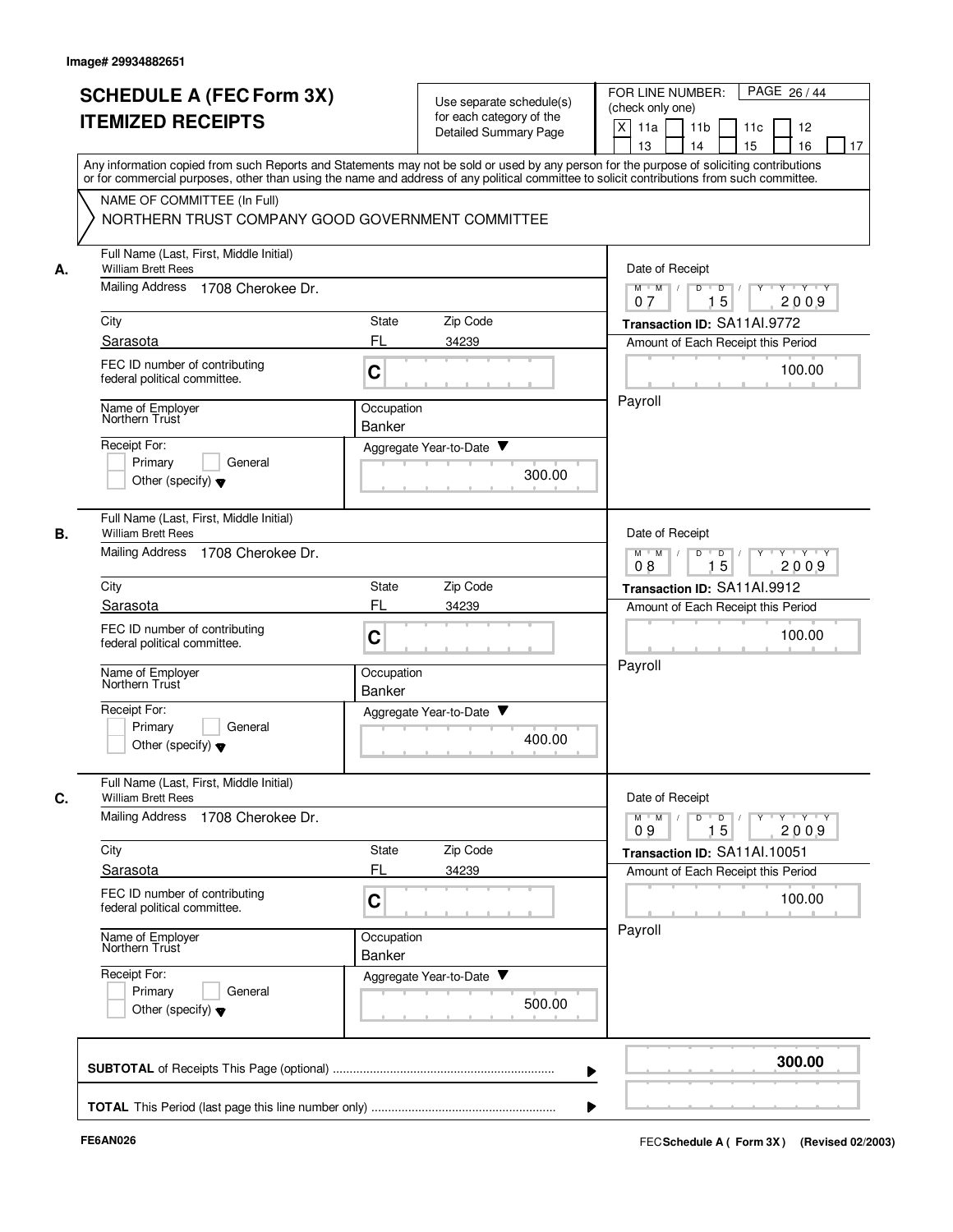|    | <b>SCHEDULE A (FEC Form 3X)</b><br><b>ITEMIZED RECEIPTS</b>                                                         | Use separate schedule(s)<br>for each category of the<br><b>Detailed Summary Page</b>                                                                                                                                                                                                    | PAGE 26/44<br>FOR LINE NUMBER:<br>(check only one)<br>X<br>11a<br>11 <sub>b</sub><br>11c<br>12<br>13<br>14<br>15<br>16<br>17 |
|----|---------------------------------------------------------------------------------------------------------------------|-----------------------------------------------------------------------------------------------------------------------------------------------------------------------------------------------------------------------------------------------------------------------------------------|------------------------------------------------------------------------------------------------------------------------------|
|    | NAME OF COMMITTEE (In Full)<br>NORTHERN TRUST COMPANY GOOD GOVERNMENT COMMITTEE                                     | Any information copied from such Reports and Statements may not be sold or used by any person for the purpose of soliciting contributions<br>or for commercial purposes, other than using the name and address of any political committee to solicit contributions from such committee. |                                                                                                                              |
| А. | Full Name (Last, First, Middle Initial)<br><b>William Brett Rees</b><br><b>Mailing Address</b><br>1708 Cherokee Dr. |                                                                                                                                                                                                                                                                                         | Date of Receipt<br>Y Y Y Y<br>$M$ $M$ /<br>D<br>$\Box$<br>$Y$ <sup>-1</sup><br>15<br>2009<br>07                              |
|    | City                                                                                                                | Zip Code<br>State                                                                                                                                                                                                                                                                       | Transaction ID: SA11Al.9772                                                                                                  |
|    | Sarasota                                                                                                            | FL<br>34239                                                                                                                                                                                                                                                                             | Amount of Each Receipt this Period                                                                                           |
|    | FEC ID number of contributing<br>federal political committee.                                                       | C                                                                                                                                                                                                                                                                                       | 100.00                                                                                                                       |
|    | Name of Employer<br>Northern Trust<br>Receipt For:<br>Primary<br>General<br>Other (specify) $\blacktriangledown$    | Occupation<br><b>Banker</b><br>Aggregate Year-to-Date ▼<br>300.00                                                                                                                                                                                                                       | Payroll                                                                                                                      |
|    | Full Name (Last, First, Middle Initial)<br><b>William Brett Rees</b><br><b>Mailing Address</b><br>1708 Cherokee Dr. |                                                                                                                                                                                                                                                                                         | Date of Receipt<br>$M$ M<br>D<br>$\overline{D}$<br>Y Y Y Y<br>$\sqrt{ }$<br>Y<br>$\top$                                      |
|    | City                                                                                                                | Zip Code<br>State                                                                                                                                                                                                                                                                       | 15<br>2009<br>08<br>Transaction ID: SA11Al.9912                                                                              |
|    | Sarasota                                                                                                            | FL<br>34239                                                                                                                                                                                                                                                                             | Amount of Each Receipt this Period                                                                                           |
|    | FEC ID number of contributing<br>federal political committee.                                                       | C                                                                                                                                                                                                                                                                                       | 100.00                                                                                                                       |
|    | Name of Employer<br>Northern Trust                                                                                  | Occupation<br><b>Banker</b>                                                                                                                                                                                                                                                             | Payroll                                                                                                                      |
|    | Receipt For:<br>Primary<br>General<br>Other (specify) $\blacktriangledown$                                          | Aggregate Year-to-Date ▼<br>400.00                                                                                                                                                                                                                                                      |                                                                                                                              |
|    | Full Name (Last, First, Middle Initial)<br><b>William Brett Rees</b>                                                |                                                                                                                                                                                                                                                                                         | Date of Receipt                                                                                                              |
|    | Mailing Address<br>1708 Cherokee Dr.                                                                                |                                                                                                                                                                                                                                                                                         | $Y - Y - Y$<br>$M$ $M$<br>D<br>$\overline{D}$<br>Y<br>15<br>2009<br>09                                                       |
|    | City<br>Sarasota                                                                                                    | Zip Code<br>State<br>FL<br>34239                                                                                                                                                                                                                                                        | Transaction ID: SA11Al.10051<br>Amount of Each Receipt this Period                                                           |
|    | FEC ID number of contributing<br>federal political committee.                                                       | C                                                                                                                                                                                                                                                                                       | 100.00                                                                                                                       |
|    | Name of Employer<br>Northern Trust                                                                                  | Occupation<br>Banker                                                                                                                                                                                                                                                                    | Payroll                                                                                                                      |
|    | Receipt For:<br>Primary<br>General<br>Other (specify) $\blacktriangledown$                                          | Aggregate Year-to-Date<br>500.00                                                                                                                                                                                                                                                        |                                                                                                                              |
|    |                                                                                                                     |                                                                                                                                                                                                                                                                                         | 300.00                                                                                                                       |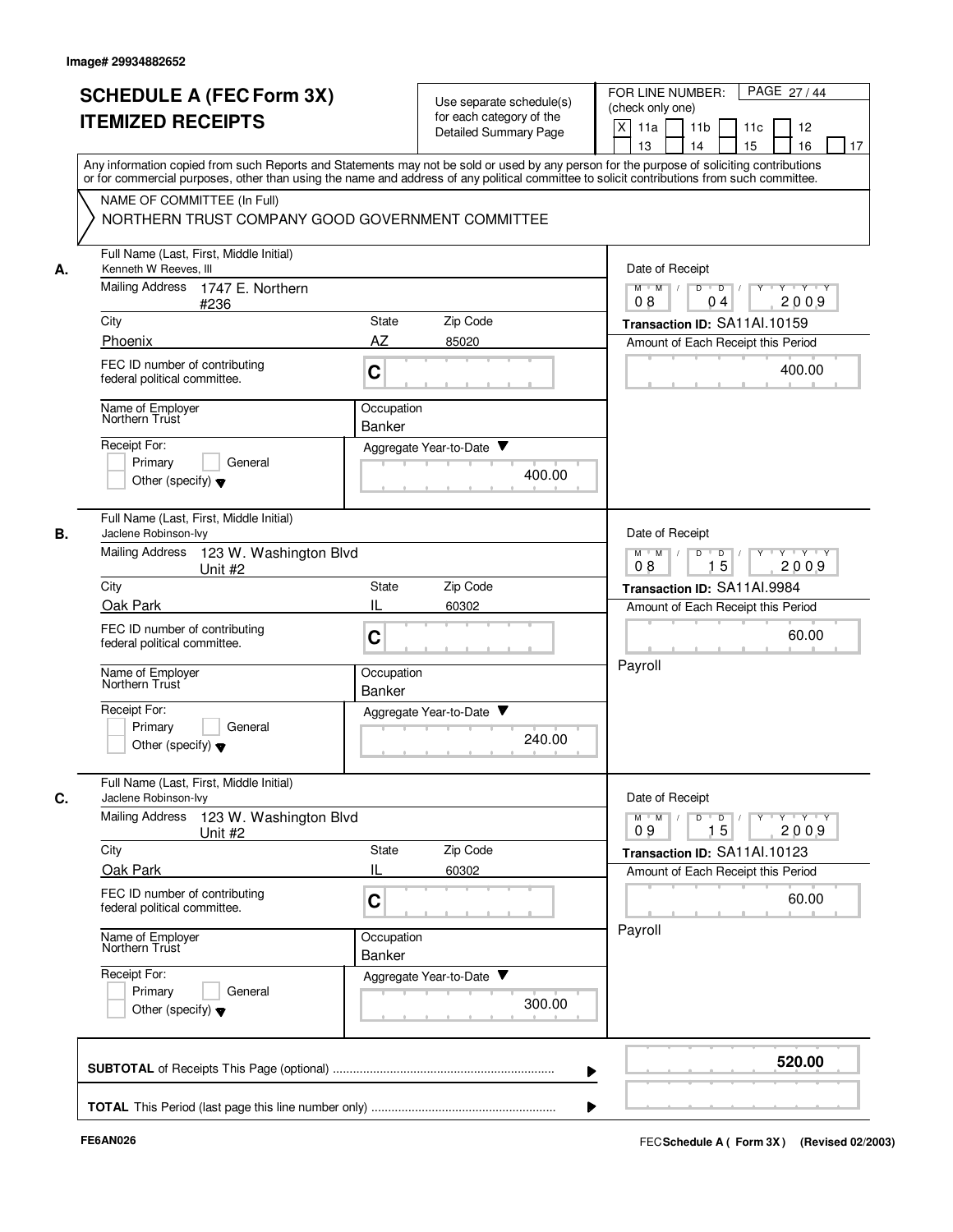|    | <b>SCHEDULE A (FEC Form 3X)</b><br><b>ITEMIZED RECEIPTS</b>                                                                                                                                                                                                                             | Use separate schedule(s)<br>for each category of the<br><b>Detailed Summary Page</b> | PAGE 27 / 44<br>FOR LINE NUMBER:<br>(check only one)<br>X<br>11a<br>11 <sub>b</sub><br>11c<br>12<br>15<br>13<br>14<br>16<br>17 |
|----|-----------------------------------------------------------------------------------------------------------------------------------------------------------------------------------------------------------------------------------------------------------------------------------------|--------------------------------------------------------------------------------------|--------------------------------------------------------------------------------------------------------------------------------|
|    | Any information copied from such Reports and Statements may not be sold or used by any person for the purpose of soliciting contributions<br>or for commercial purposes, other than using the name and address of any political committee to solicit contributions from such committee. |                                                                                      |                                                                                                                                |
|    | NAME OF COMMITTEE (In Full)<br>NORTHERN TRUST COMPANY GOOD GOVERNMENT COMMITTEE                                                                                                                                                                                                         |                                                                                      |                                                                                                                                |
| А. | Full Name (Last, First, Middle Initial)<br>Kenneth W Reeves, III                                                                                                                                                                                                                        |                                                                                      | Date of Receipt                                                                                                                |
|    | Mailing Address<br>1747 E. Northern<br>#236                                                                                                                                                                                                                                             |                                                                                      | $M$ $M$ /<br>D<br>$\overline{D}$<br>Y Y Y Y<br>2009<br>08<br>04                                                                |
|    | City                                                                                                                                                                                                                                                                                    | Zip Code<br>State                                                                    | Transaction ID: SA11Al.10159                                                                                                   |
|    | Phoenix<br>FEC ID number of contributing<br>federal political committee.                                                                                                                                                                                                                | AZ<br>85020<br>C                                                                     | Amount of Each Receipt this Period<br>400.00                                                                                   |
|    | Name of Employer<br>Northern Trust                                                                                                                                                                                                                                                      | Occupation<br>Banker                                                                 |                                                                                                                                |
|    | Receipt For:<br>Primary<br>General<br>Other (specify) $\blacktriangledown$                                                                                                                                                                                                              | Aggregate Year-to-Date ▼<br>400.00                                                   |                                                                                                                                |
| В. | Full Name (Last, First, Middle Initial)<br>Jaclene Robinson-lvy<br><b>Mailing Address</b><br>123 W. Washington Blvd                                                                                                                                                                     |                                                                                      | Date of Receipt<br>Y Y Y Y<br>$M$ $M$<br>D<br>$\overline{D}$<br>Y                                                              |
|    | Unit #2                                                                                                                                                                                                                                                                                 | 08<br>15<br>2009                                                                     |                                                                                                                                |
|    | City<br>Oak Park                                                                                                                                                                                                                                                                        | State<br>Zip Code<br>IL<br>60302                                                     | Transaction ID: SA11AI.9984                                                                                                    |
|    | FEC ID number of contributing<br>federal political committee.                                                                                                                                                                                                                           | C                                                                                    | Amount of Each Receipt this Period<br>60.00                                                                                    |
|    | Name of Employer<br>Northern Trust                                                                                                                                                                                                                                                      | Occupation<br><b>Banker</b>                                                          | Payroll                                                                                                                        |
|    | Receipt For:<br>Primary<br>General<br>Other (specify) $\blacktriangledown$                                                                                                                                                                                                              | Aggregate Year-to-Date<br>240.00                                                     |                                                                                                                                |
| C. | Full Name (Last, First, Middle Initial)<br>Jaclene Robinson-lvy                                                                                                                                                                                                                         |                                                                                      | Date of Receipt                                                                                                                |
|    | <b>Mailing Address</b><br>123 W. Washington Blvd<br>Unit #2                                                                                                                                                                                                                             |                                                                                      | $\mathsf{Y} \dashv \mathsf{Y} \dashv \mathsf{Y}$<br>$M$ $M$<br>D<br>$\overline{\phantom{a}}$ D<br>$Y^+$<br>15<br>2009<br>09    |
|    | City<br>Oak Park                                                                                                                                                                                                                                                                        | State<br>Zip Code<br>IL<br>60302                                                     | Transaction ID: SA11Al.10123                                                                                                   |
|    | FEC ID number of contributing<br>federal political committee.                                                                                                                                                                                                                           | C                                                                                    | Amount of Each Receipt this Period<br>60.00                                                                                    |
|    | Name of Employer<br>Northern Trust                                                                                                                                                                                                                                                      | Occupation<br><b>Banker</b>                                                          | Payroll                                                                                                                        |
|    | Receipt For:<br>Primary<br>General<br>Other (specify) $\blacktriangledown$                                                                                                                                                                                                              | Aggregate Year-to-Date<br>300.00                                                     |                                                                                                                                |
|    |                                                                                                                                                                                                                                                                                         |                                                                                      | 520.00                                                                                                                         |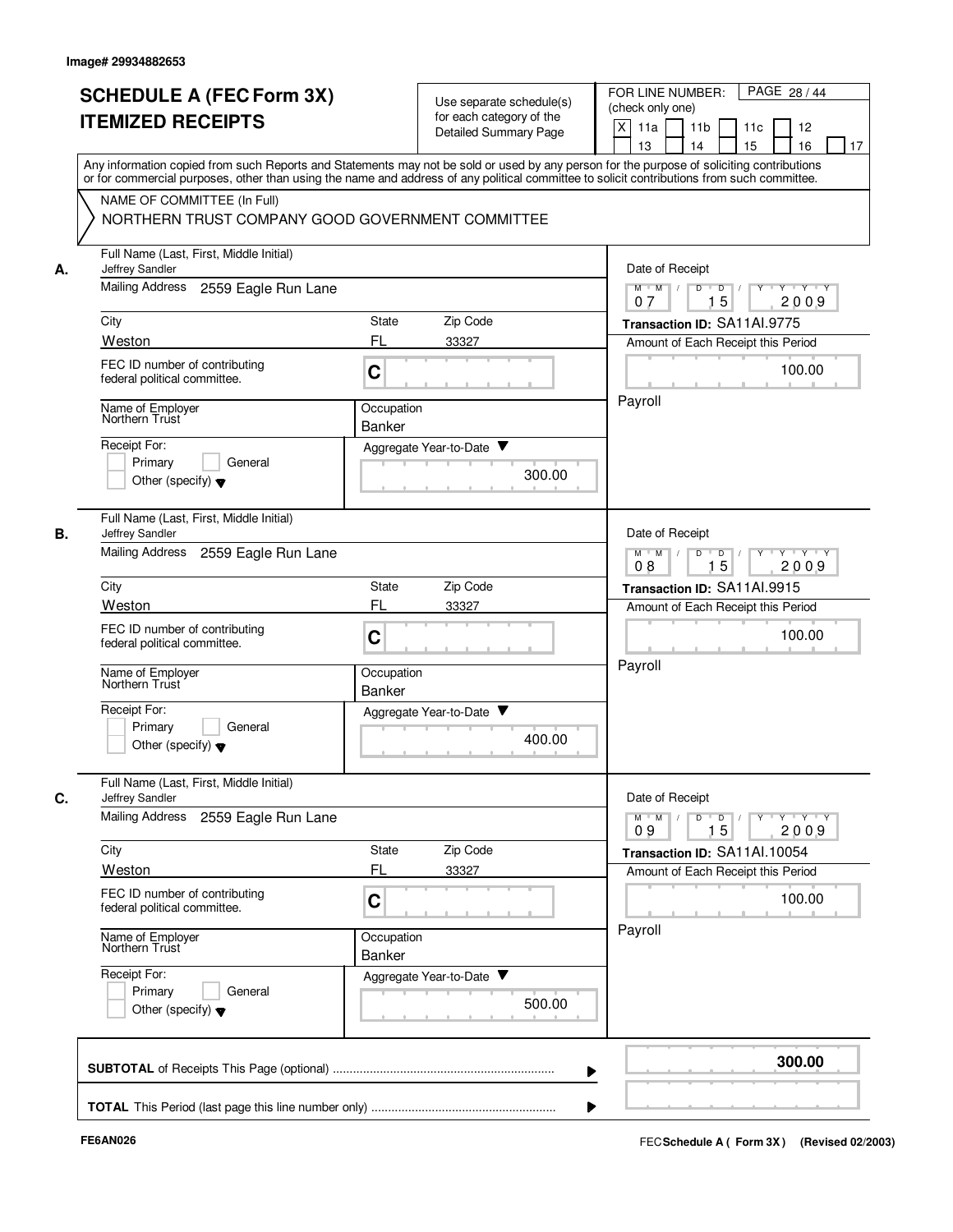|    | <b>SCHEDULE A (FEC Form 3X)</b><br><b>ITEMIZED RECEIPTS</b>                                                                                                                                                                                                                                                                                                                |                             | Use separate schedule(s)<br>for each category of the<br><b>Detailed Summary Page</b> | PAGE 28 / 44<br>FOR LINE NUMBER:<br>(check only one)<br>$\times$<br>11a<br>11 <sub>b</sub><br>11c<br>12<br>13<br>14<br>15<br>16<br>17 |
|----|----------------------------------------------------------------------------------------------------------------------------------------------------------------------------------------------------------------------------------------------------------------------------------------------------------------------------------------------------------------------------|-----------------------------|--------------------------------------------------------------------------------------|---------------------------------------------------------------------------------------------------------------------------------------|
|    | Any information copied from such Reports and Statements may not be sold or used by any person for the purpose of soliciting contributions<br>or for commercial purposes, other than using the name and address of any political committee to solicit contributions from such committee.<br>NAME OF COMMITTEE (In Full)<br>NORTHERN TRUST COMPANY GOOD GOVERNMENT COMMITTEE |                             |                                                                                      |                                                                                                                                       |
| А. | Full Name (Last, First, Middle Initial)<br>Jeffrey Sandler<br><b>Mailing Address</b><br>2559 Eagle Run Lane                                                                                                                                                                                                                                                                |                             |                                                                                      | Date of Receipt<br>$D$ $D$ $I$<br>$M$ $M$ /<br>$Y$ <sup><math>\top</math></sup><br>$Y - Y - Y$                                        |
|    |                                                                                                                                                                                                                                                                                                                                                                            |                             |                                                                                      | 15<br>2009<br>07                                                                                                                      |
|    | City<br>Weston                                                                                                                                                                                                                                                                                                                                                             | State<br>FL                 | Zip Code<br>33327                                                                    | Transaction ID: SA11AI.9775<br>Amount of Each Receipt this Period                                                                     |
|    | FEC ID number of contributing<br>federal political committee.                                                                                                                                                                                                                                                                                                              | C                           |                                                                                      | 100.00                                                                                                                                |
|    | Name of Employer<br>Northern Trust                                                                                                                                                                                                                                                                                                                                         | Occupation<br><b>Banker</b> |                                                                                      | Payroll                                                                                                                               |
|    | Receipt For:<br>Primary<br>General<br>Other (specify) $\blacktriangledown$                                                                                                                                                                                                                                                                                                 |                             | Aggregate Year-to-Date ▼<br>300.00                                                   |                                                                                                                                       |
| В. | Full Name (Last, First, Middle Initial)<br>Jeffrey Sandler<br><b>Mailing Address</b><br>2559 Eagle Run Lane                                                                                                                                                                                                                                                                |                             |                                                                                      | Date of Receipt<br>$Y - Y - Y - Y$<br>$M$ M<br>D<br>$\overline{D}$                                                                    |
|    |                                                                                                                                                                                                                                                                                                                                                                            |                             |                                                                                      | 15<br>2009<br>08                                                                                                                      |
|    | City                                                                                                                                                                                                                                                                                                                                                                       | State                       | Zip Code                                                                             | Transaction ID: SA11Al.9915                                                                                                           |
|    | Weston<br>FEC ID number of contributing<br>federal political committee.                                                                                                                                                                                                                                                                                                    | FL<br>C                     | 33327                                                                                | Amount of Each Receipt this Period<br>100.00                                                                                          |
|    | Name of Employer<br>Northern Trust                                                                                                                                                                                                                                                                                                                                         | Occupation<br><b>Banker</b> |                                                                                      | Payroll                                                                                                                               |
|    | Receipt For:<br>Primary<br>General<br>Other (specify) $\blacktriangledown$                                                                                                                                                                                                                                                                                                 | Aggregate Year-to-Date      | ▼<br>400.00                                                                          |                                                                                                                                       |
| C. | Full Name (Last, First, Middle Initial)<br>Jeffrey Sandler                                                                                                                                                                                                                                                                                                                 |                             |                                                                                      | Date of Receipt                                                                                                                       |
|    | <b>Mailing Address</b><br>2559 Eagle Run Lane                                                                                                                                                                                                                                                                                                                              |                             |                                                                                      | $Y + Y + Y$<br>$M$ $M$ /<br>D<br>$\overline{D}$<br>Y<br>15<br>2009<br>09                                                              |
|    | City                                                                                                                                                                                                                                                                                                                                                                       | State                       | Zip Code                                                                             | Transaction ID: SA11Al.10054                                                                                                          |
|    | Weston<br>FEC ID number of contributing<br>federal political committee.                                                                                                                                                                                                                                                                                                    | FL<br>C                     | 33327                                                                                | Amount of Each Receipt this Period<br>100.00                                                                                          |
|    | Name of Employer<br>Northern Trust                                                                                                                                                                                                                                                                                                                                         | Occupation<br>Banker        |                                                                                      | Payroll                                                                                                                               |
|    | Receipt For:<br>Primary<br>General<br>Other (specify) $\blacktriangledown$                                                                                                                                                                                                                                                                                                 |                             | Aggregate Year-to-Date<br>500.00                                                     |                                                                                                                                       |
|    |                                                                                                                                                                                                                                                                                                                                                                            |                             |                                                                                      | 300.00                                                                                                                                |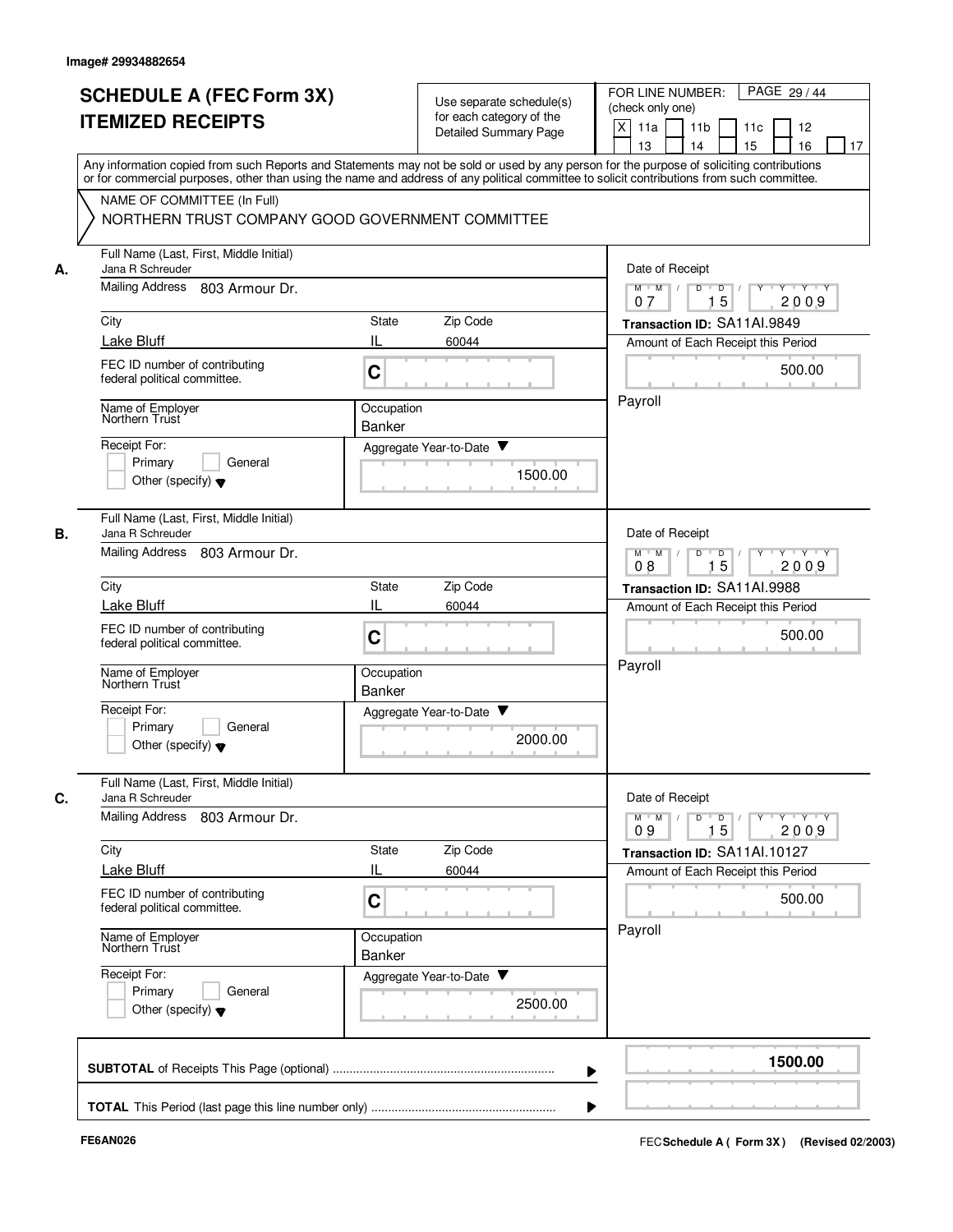|    | <b>SCHEDULE A (FEC Form 3X)</b><br><b>ITEMIZED RECEIPTS</b>                                                                                                                                                                                                                                                                                                                | Use separate schedule(s)<br>for each category of the<br><b>Detailed Summary Page</b>                       | PAGE 29 / 44<br>FOR LINE NUMBER:<br>(check only one)<br>$\times$<br>11a<br>11 <sub>b</sub><br>11c<br>12<br>13<br>14<br>15<br>16<br>17                                                                        |
|----|----------------------------------------------------------------------------------------------------------------------------------------------------------------------------------------------------------------------------------------------------------------------------------------------------------------------------------------------------------------------------|------------------------------------------------------------------------------------------------------------|--------------------------------------------------------------------------------------------------------------------------------------------------------------------------------------------------------------|
|    | Any information copied from such Reports and Statements may not be sold or used by any person for the purpose of soliciting contributions<br>or for commercial purposes, other than using the name and address of any political committee to solicit contributions from such committee.<br>NAME OF COMMITTEE (In Full)<br>NORTHERN TRUST COMPANY GOOD GOVERNMENT COMMITTEE |                                                                                                            |                                                                                                                                                                                                              |
| А. | Full Name (Last, First, Middle Initial)<br>Jana R Schreuder<br>Mailing Address<br>803 Armour Dr.<br>City<br>Lake Bluff<br>FEC ID number of contributing<br>federal political committee.<br>Name of Employer<br>Northern Trust<br>Receipt For:<br>Primary<br>General<br>Other (specify) $\blacktriangledown$                                                                | Zip Code<br>State<br>Ш<br>60044<br>C<br>Occupation<br><b>Banker</b><br>Aggregate Year-to-Date ▼<br>1500.00 | Date of Receipt<br>$D$ $D$ $1$<br>$M$ $M$ /<br>$Y$ <sup><math>\top</math></sup><br>$Y - Y - Y$<br>15<br>2009<br>07<br>Transaction ID: SA11AI.9849<br>Amount of Each Receipt this Period<br>500.00<br>Payroll |
| В. | Full Name (Last, First, Middle Initial)<br>Jana R Schreuder<br>Mailing Address<br>803 Armour Dr.<br>City<br><b>Lake Bluff</b><br>FEC ID number of contributing<br>federal political committee.<br>Name of Employer<br>Northern Trust<br>Receipt For:<br>Primary<br>General<br>Other (specify) $\blacktriangledown$                                                         | Zip Code<br>State<br>IL<br>60044<br>C<br>Occupation<br><b>Banker</b><br>Aggregate Year-to-Date<br>2000.00  | Date of Receipt<br>$Y - Y - Y - Y$<br>$M$ M<br>D<br>$\overline{D}$<br>15<br>2009<br>08<br>Transaction ID: SA11AI.9988<br>Amount of Each Receipt this Period<br>500.00<br>Payroll                             |
| C. | Full Name (Last, First, Middle Initial)<br>Jana R Schreuder<br>Mailing Address 803 Armour Dr.<br>City<br>Lake Bluff<br>FEC ID number of contributing<br>federal political committee.<br>Name of Employer<br>Northern Trust<br>Receipt For:<br>Primary<br>General<br>Other (specify) $\blacktriangledown$                                                                   | State<br>Zip Code<br>IL<br>60044<br>C<br>Occupation<br>Banker<br>Aggregate Year-to-Date<br>2500.00         | Date of Receipt<br>$Y + Y + Y$<br>$M$ $M$ /<br>D<br>$\overline{D}$<br>Y<br>15<br>2009<br>09<br>Transaction ID: SA11Al.10127<br>Amount of Each Receipt this Period<br>500.00<br>Payroll                       |
|    |                                                                                                                                                                                                                                                                                                                                                                            |                                                                                                            | 1500.00                                                                                                                                                                                                      |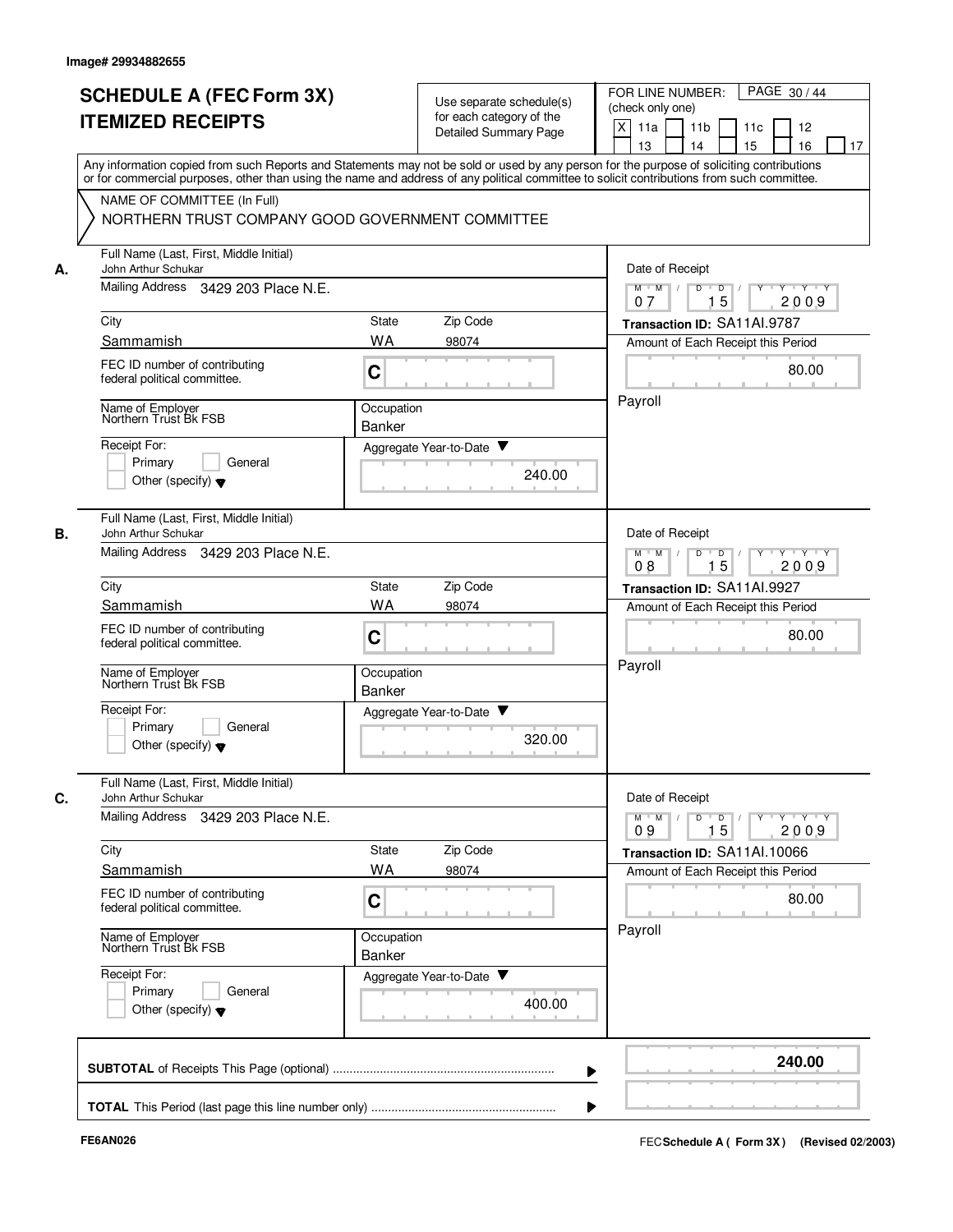|      | <b>SCHEDULE A (FEC Form 3X)</b>                                                                                                                                                                                                                                                         |                             | Use separate schedule(s)                                 |        | PAGE 30/44<br>FOR LINE NUMBER:<br>(check only one)                                                                                                                        |
|------|-----------------------------------------------------------------------------------------------------------------------------------------------------------------------------------------------------------------------------------------------------------------------------------------|-----------------------------|----------------------------------------------------------|--------|---------------------------------------------------------------------------------------------------------------------------------------------------------------------------|
|      | <b>ITEMIZED RECEIPTS</b>                                                                                                                                                                                                                                                                |                             | for each category of the<br><b>Detailed Summary Page</b> |        | X<br>11a<br>11 <sub>b</sub><br>11c<br>12<br>13<br>14<br>15<br>16<br>17                                                                                                    |
|      | Any information copied from such Reports and Statements may not be sold or used by any person for the purpose of soliciting contributions<br>or for commercial purposes, other than using the name and address of any political committee to solicit contributions from such committee. |                             |                                                          |        |                                                                                                                                                                           |
|      | NAME OF COMMITTEE (In Full)<br>NORTHERN TRUST COMPANY GOOD GOVERNMENT COMMITTEE                                                                                                                                                                                                         |                             |                                                          |        |                                                                                                                                                                           |
| А.   | Full Name (Last, First, Middle Initial)<br>John Arthur Schukar                                                                                                                                                                                                                          |                             |                                                          |        | Date of Receipt                                                                                                                                                           |
|      | Mailing Address 3429 203 Place N.E.                                                                                                                                                                                                                                                     |                             |                                                          |        | D<br>$M$ $M$ /<br>$D$ /<br>$Y - Y - Y$<br>15<br>2009<br>07                                                                                                                |
| City |                                                                                                                                                                                                                                                                                         | State                       | Zip Code                                                 |        | Transaction ID: SA11AI.9787                                                                                                                                               |
|      | Sammamish                                                                                                                                                                                                                                                                               | <b>WA</b>                   | 98074                                                    |        | Amount of Each Receipt this Period                                                                                                                                        |
|      | FEC ID number of contributing<br>federal political committee.                                                                                                                                                                                                                           | C                           |                                                          |        | 80.00                                                                                                                                                                     |
|      | Name of Employer<br>Northern Trust Bk FSB                                                                                                                                                                                                                                               | Occupation<br>Banker        |                                                          |        | Payroll                                                                                                                                                                   |
|      | Receipt For:<br>General                                                                                                                                                                                                                                                                 |                             | Aggregate Year-to-Date ▼                                 |        |                                                                                                                                                                           |
|      | Primary<br>Other (specify) $\blacktriangledown$                                                                                                                                                                                                                                         |                             |                                                          | 240.00 |                                                                                                                                                                           |
| В.   | Full Name (Last, First, Middle Initial)<br>John Arthur Schukar                                                                                                                                                                                                                          |                             |                                                          |        | Date of Receipt                                                                                                                                                           |
|      | Mailing Address 3429 203 Place N.E.                                                                                                                                                                                                                                                     |                             |                                                          |        | $Y - Y - Y$<br>$M$ M<br>D<br>$\overline{D}$<br>15<br>2009<br>08                                                                                                           |
| City |                                                                                                                                                                                                                                                                                         | <b>State</b>                | Zip Code                                                 |        | Transaction ID: SA11AI.9927                                                                                                                                               |
|      | Sammamish                                                                                                                                                                                                                                                                               | WA                          | 98074                                                    |        | Amount of Each Receipt this Period                                                                                                                                        |
|      | FEC ID number of contributing<br>federal political committee.                                                                                                                                                                                                                           | C                           |                                                          |        | 80.00                                                                                                                                                                     |
|      | Name of Employer<br>Northern Trust Bk FSB                                                                                                                                                                                                                                               | Occupation<br><b>Banker</b> |                                                          |        | Payroll                                                                                                                                                                   |
|      | Receipt For:<br>Primary<br>General<br>Other (specify) $\blacktriangledown$                                                                                                                                                                                                              |                             | Aggregate Year-to-Date                                   | 320.00 |                                                                                                                                                                           |
| C.   | Full Name (Last, First, Middle Initial)<br>John Arthur Schukar<br>Mailing Address 3429 203 Place N.E.                                                                                                                                                                                   |                             |                                                          |        | Date of Receipt<br>$\mathsf{Y} \dashv \mathsf{Y} \dashv \mathsf{Y} \dashv \mathsf{Y}$<br>$M$ $M$ /<br>$\overline{D}$<br>$\overline{D}$ $\overline{I}$<br>15<br>09<br>2009 |
| City |                                                                                                                                                                                                                                                                                         | <b>State</b>                | Zip Code                                                 |        | Transaction ID: SA11Al.10066                                                                                                                                              |
|      | Sammamish                                                                                                                                                                                                                                                                               | <b>WA</b>                   | 98074                                                    |        | Amount of Each Receipt this Period                                                                                                                                        |
|      | FEC ID number of contributing<br>federal political committee.                                                                                                                                                                                                                           | C                           |                                                          |        | 80.00                                                                                                                                                                     |
|      | Name of Employer<br>Northern Trust Bk FSB                                                                                                                                                                                                                                               | Occupation<br>Banker        |                                                          |        | Payroll                                                                                                                                                                   |
|      | Receipt For:<br>Primary<br>General                                                                                                                                                                                                                                                      |                             | Aggregate Year-to-Date                                   |        |                                                                                                                                                                           |
|      | Other (specify) $\blacktriangledown$                                                                                                                                                                                                                                                    |                             |                                                          | 400.00 |                                                                                                                                                                           |
|      |                                                                                                                                                                                                                                                                                         |                             |                                                          |        | 240.00                                                                                                                                                                    |
|      |                                                                                                                                                                                                                                                                                         |                             |                                                          |        |                                                                                                                                                                           |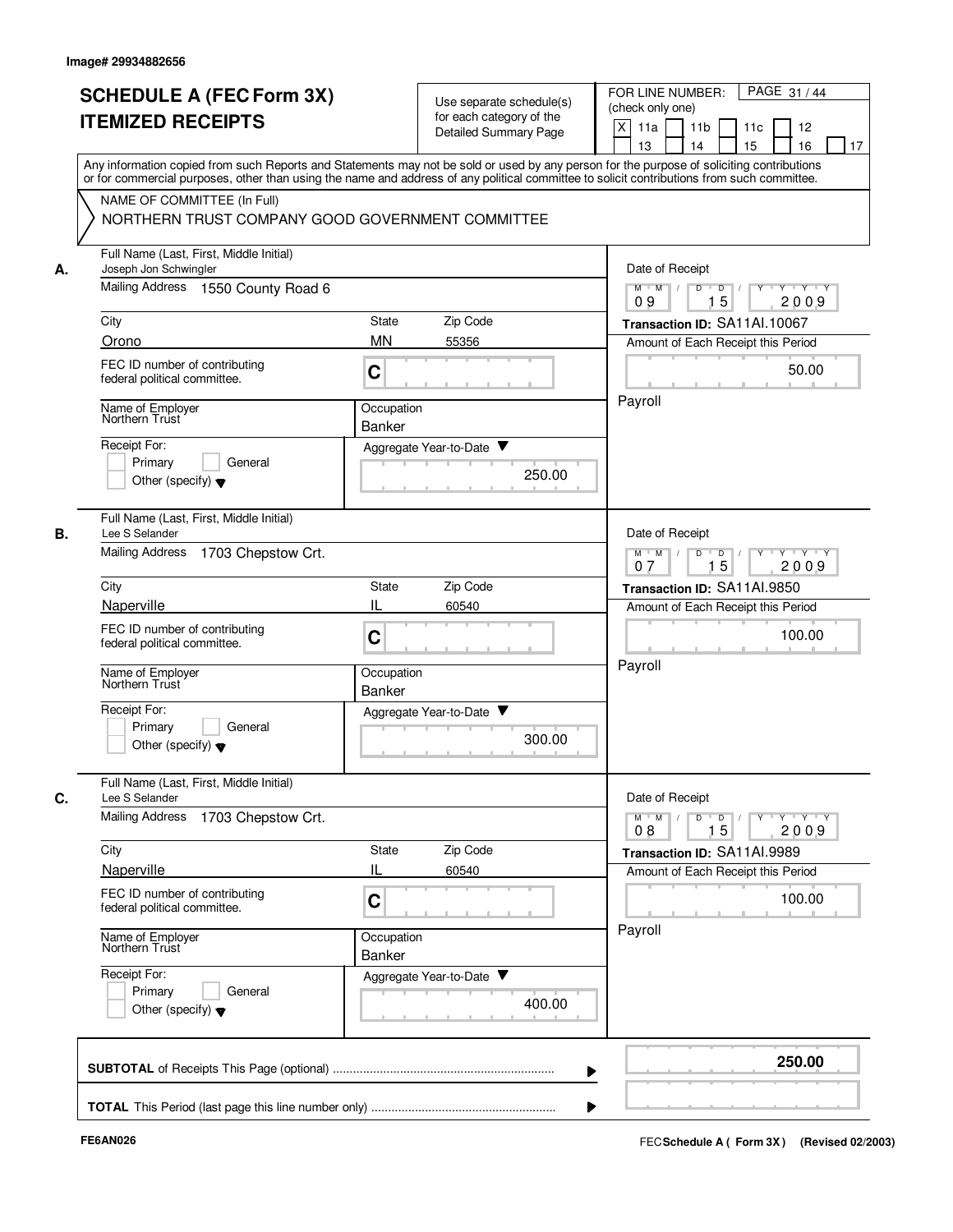|    | <b>SCHEDULE A (FEC Form 3X)</b>                                                                                                                                                                                                                                                         |                             | Use separate schedule(s)                          | PAGE 31/44<br>FOR LINE NUMBER:                                                                                                                          |
|----|-----------------------------------------------------------------------------------------------------------------------------------------------------------------------------------------------------------------------------------------------------------------------------------------|-----------------------------|---------------------------------------------------|---------------------------------------------------------------------------------------------------------------------------------------------------------|
|    | <b>ITEMIZED RECEIPTS</b>                                                                                                                                                                                                                                                                |                             | for each category of the<br>Detailed Summary Page | (check only one)<br>X<br>11a<br>11 <sub>b</sub><br>11c<br>12<br>15<br>13<br>14<br>16<br>17                                                              |
|    | Any information copied from such Reports and Statements may not be sold or used by any person for the purpose of soliciting contributions<br>or for commercial purposes, other than using the name and address of any political committee to solicit contributions from such committee. |                             |                                                   |                                                                                                                                                         |
|    | NAME OF COMMITTEE (In Full)<br>NORTHERN TRUST COMPANY GOOD GOVERNMENT COMMITTEE                                                                                                                                                                                                         |                             |                                                   |                                                                                                                                                         |
| А. | Full Name (Last, First, Middle Initial)<br>Joseph Jon Schwingler                                                                                                                                                                                                                        |                             |                                                   | Date of Receipt                                                                                                                                         |
|    | Mailing Address<br>1550 County Road 6                                                                                                                                                                                                                                                   |                             |                                                   | $M$ $M$ /<br>D<br>$\overline{\mathsf{D}}$<br>$Y - Y - Y$<br>15<br>2009<br>09                                                                            |
|    | City                                                                                                                                                                                                                                                                                    | State                       | Zip Code                                          | Transaction ID: SA11Al.10067                                                                                                                            |
|    | Orono                                                                                                                                                                                                                                                                                   | <b>MN</b>                   | 55356                                             | Amount of Each Receipt this Period                                                                                                                      |
|    | FEC ID number of contributing<br>federal political committee.                                                                                                                                                                                                                           | C                           |                                                   | 50.00                                                                                                                                                   |
|    | Name of Employer<br>Northern Trust                                                                                                                                                                                                                                                      | Occupation<br>Banker        |                                                   | Payroll                                                                                                                                                 |
|    | Receipt For:                                                                                                                                                                                                                                                                            |                             | Aggregate Year-to-Date ▼                          |                                                                                                                                                         |
|    | Primary<br>General<br>Other (specify) $\blacktriangledown$                                                                                                                                                                                                                              |                             | 250.00                                            |                                                                                                                                                         |
| В. | Full Name (Last, First, Middle Initial)<br>Lee S Selander                                                                                                                                                                                                                               |                             |                                                   | Date of Receipt                                                                                                                                         |
|    | <b>Mailing Address</b><br>1703 Chepstow Crt.                                                                                                                                                                                                                                            |                             |                                                   | $Y \vdash Y \vdash Y$<br>$M$ M<br>D<br>D<br>Y<br>15<br>2009<br>07                                                                                       |
|    | City                                                                                                                                                                                                                                                                                    | State                       | Zip Code                                          | Transaction ID: SA11AI.9850                                                                                                                             |
|    | Naperville                                                                                                                                                                                                                                                                              | IL                          | 60540                                             | Amount of Each Receipt this Period                                                                                                                      |
|    | FEC ID number of contributing<br>federal political committee.                                                                                                                                                                                                                           | C                           |                                                   | 100.00<br>Payroll                                                                                                                                       |
|    | Name of Employer<br>Northern Trust                                                                                                                                                                                                                                                      | Occupation<br><b>Banker</b> |                                                   |                                                                                                                                                         |
|    | Receipt For:<br>Primary<br>General<br>Other (specify) $\blacktriangledown$                                                                                                                                                                                                              |                             | Aggregate Year-to-Date<br>300.00                  |                                                                                                                                                         |
| C. | Full Name (Last, First, Middle Initial)<br>Lee S Selander<br><b>Mailing Address</b><br>1703 Chepstow Crt.                                                                                                                                                                               |                             |                                                   | Date of Receipt<br>$\mathsf{Y} \dashv \mathsf{Y} \dashv \mathsf{Y} \dashv \mathsf{Y}$<br>$M$ $M$ /<br>D<br>$\overline{\phantom{a}}$<br>15<br>2009<br>08 |
|    | City                                                                                                                                                                                                                                                                                    | State                       | Zip Code                                          | Transaction ID: SA11AI.9989                                                                                                                             |
|    | Naperville                                                                                                                                                                                                                                                                              | IL                          | 60540                                             | Amount of Each Receipt this Period                                                                                                                      |
|    | FEC ID number of contributing<br>federal political committee.                                                                                                                                                                                                                           | C                           |                                                   | 100.00                                                                                                                                                  |
|    | Name of Employer<br>Northern Trust                                                                                                                                                                                                                                                      | Occupation<br>Banker        |                                                   | Payroll                                                                                                                                                 |
|    | Receipt For:<br>Primary<br>General<br>Other (specify) $\blacktriangledown$                                                                                                                                                                                                              |                             | Aggregate Year-to-Date<br>400.00                  |                                                                                                                                                         |
|    |                                                                                                                                                                                                                                                                                         |                             |                                                   | 250.00                                                                                                                                                  |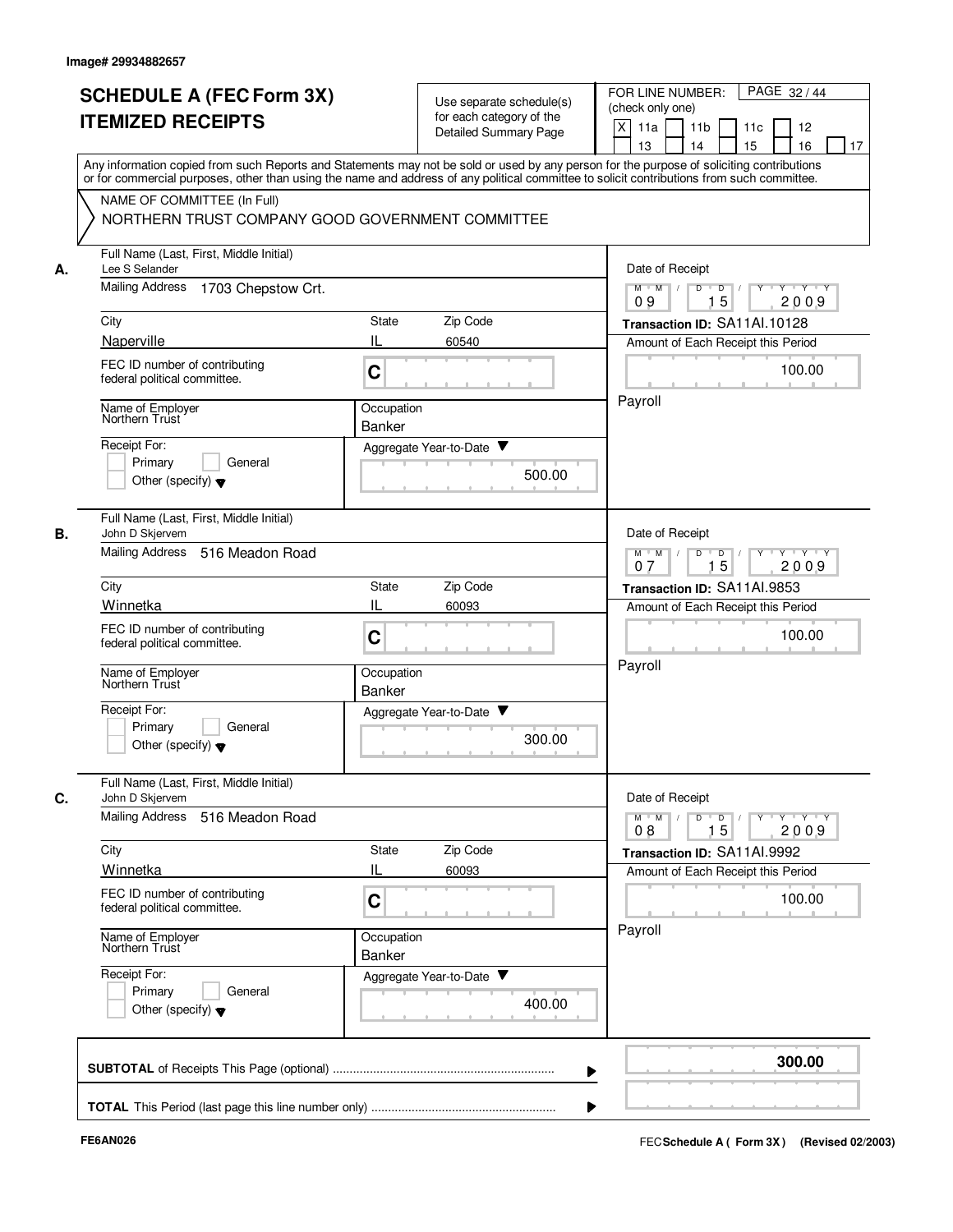|    | <b>SCHEDULE A (FEC Form 3X)</b><br><b>ITEMIZED RECEIPTS</b>                     | Use separate schedule(s)<br>for each category of the<br><b>Detailed Summary Page</b>                                                                                                                                                                                                    | PAGE 32/44<br>FOR LINE NUMBER:<br>(check only one)<br>X<br>11a<br>11 <sub>b</sub><br>11c<br>12<br>13<br>14<br>15<br>16<br>17 |
|----|---------------------------------------------------------------------------------|-----------------------------------------------------------------------------------------------------------------------------------------------------------------------------------------------------------------------------------------------------------------------------------------|------------------------------------------------------------------------------------------------------------------------------|
|    |                                                                                 | Any information copied from such Reports and Statements may not be sold or used by any person for the purpose of soliciting contributions<br>or for commercial purposes, other than using the name and address of any political committee to solicit contributions from such committee. |                                                                                                                              |
|    | NAME OF COMMITTEE (In Full)<br>NORTHERN TRUST COMPANY GOOD GOVERNMENT COMMITTEE |                                                                                                                                                                                                                                                                                         |                                                                                                                              |
| А. | Full Name (Last, First, Middle Initial)<br>Lee S Selander                       |                                                                                                                                                                                                                                                                                         | Date of Receipt                                                                                                              |
|    | <b>Mailing Address</b><br>1703 Chepstow Crt.                                    |                                                                                                                                                                                                                                                                                         | $\mathsf{Y} \dashv \mathsf{Y} \dashv \mathsf{Y}$<br>$M$ $M$ /<br>D<br>$\Box$<br>Y<br>15<br>2009<br>09                        |
|    | City                                                                            | Zip Code<br>State                                                                                                                                                                                                                                                                       | Transaction ID: SA11Al.10128                                                                                                 |
|    | Naperville                                                                      | IL<br>60540                                                                                                                                                                                                                                                                             | Amount of Each Receipt this Period                                                                                           |
|    | FEC ID number of contributing<br>federal political committee.                   | C                                                                                                                                                                                                                                                                                       | 100.00                                                                                                                       |
|    | Name of Employer<br>Northern Trust                                              | Occupation<br><b>Banker</b>                                                                                                                                                                                                                                                             | Payroll                                                                                                                      |
|    | Receipt For:                                                                    | Aggregate Year-to-Date ▼                                                                                                                                                                                                                                                                |                                                                                                                              |
|    | Primary<br>General<br>Other (specify) $\blacktriangledown$                      | 500.00                                                                                                                                                                                                                                                                                  |                                                                                                                              |
| В. | Full Name (Last, First, Middle Initial)<br>John D Skjervem                      |                                                                                                                                                                                                                                                                                         | Date of Receipt                                                                                                              |
|    | <b>Mailing Address</b><br>516 Meadon Road                                       | D<br>$\overline{D}$<br>$Y - Y - Y$<br>$M$ M<br>$\sqrt{ }$<br>15<br>2009<br>07                                                                                                                                                                                                           |                                                                                                                              |
|    | City                                                                            | Zip Code<br>State                                                                                                                                                                                                                                                                       | Transaction ID: SA11Al.9853                                                                                                  |
|    | Winnetka                                                                        | IL<br>60093                                                                                                                                                                                                                                                                             | Amount of Each Receipt this Period                                                                                           |
|    | FEC ID number of contributing<br>federal political committee.                   | C                                                                                                                                                                                                                                                                                       | 100.00                                                                                                                       |
|    | Name of Employer<br>Northern Trust                                              | Occupation<br><b>Banker</b>                                                                                                                                                                                                                                                             | Payroll                                                                                                                      |
|    | Receipt For:<br>Primary<br>General<br>Other (specify) $\blacktriangledown$      | Aggregate Year-to-Date<br>300.00                                                                                                                                                                                                                                                        |                                                                                                                              |
| С. | Full Name (Last, First, Middle Initial)<br>John D Skjervem                      |                                                                                                                                                                                                                                                                                         | Date of Receipt                                                                                                              |
|    | Mailing Address<br>516 Meadon Road                                              |                                                                                                                                                                                                                                                                                         | $Y$ $Y$ $Y$<br>$M$ $M$<br>D<br>D<br>15<br>2009<br>08                                                                         |
|    | City                                                                            | Zip Code<br>State                                                                                                                                                                                                                                                                       | Transaction ID: SA11AI.9992                                                                                                  |
|    | Winnetka                                                                        | IL<br>60093                                                                                                                                                                                                                                                                             | Amount of Each Receipt this Period                                                                                           |
|    | FEC ID number of contributing<br>federal political committee.                   | C                                                                                                                                                                                                                                                                                       | 100.00                                                                                                                       |
|    | Name of Employer<br>Northern Trust                                              | Occupation<br>Banker                                                                                                                                                                                                                                                                    | Payroll                                                                                                                      |
|    | Receipt For:<br>Primary<br>General<br>Other (specify) $\blacktriangledown$      | Aggregate Year-to-Date<br>400.00                                                                                                                                                                                                                                                        |                                                                                                                              |
|    |                                                                                 |                                                                                                                                                                                                                                                                                         | 300.00                                                                                                                       |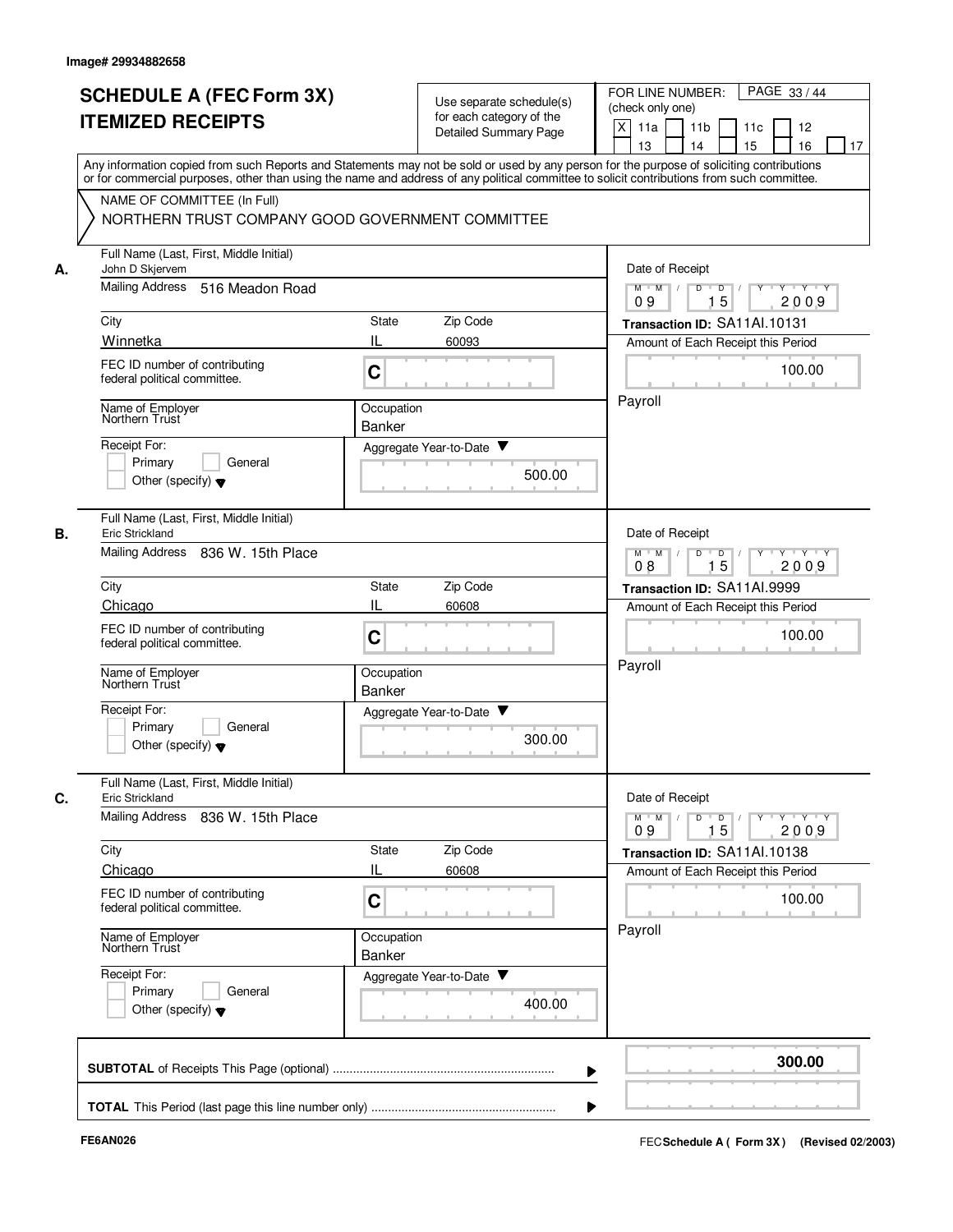|    | <b>SCHEDULE A (FEC Form 3X)</b><br><b>ITEMIZED RECEIPTS</b>                     | Use separate schedule(s)<br>for each category of the<br><b>Detailed Summary Page</b> | PAGE 33/44<br>FOR LINE NUMBER:<br>(check only one)<br>X<br>11 <sub>b</sub><br>11a<br>11c<br>12                                                                                                                                                                                                                        |
|----|---------------------------------------------------------------------------------|--------------------------------------------------------------------------------------|-----------------------------------------------------------------------------------------------------------------------------------------------------------------------------------------------------------------------------------------------------------------------------------------------------------------------|
|    |                                                                                 |                                                                                      | 15<br>13<br>14<br>16<br>17<br>Any information copied from such Reports and Statements may not be sold or used by any person for the purpose of soliciting contributions<br>or for commercial purposes, other than using the name and address of any political committee to solicit contributions from such committee. |
|    | NAME OF COMMITTEE (In Full)<br>NORTHERN TRUST COMPANY GOOD GOVERNMENT COMMITTEE |                                                                                      |                                                                                                                                                                                                                                                                                                                       |
| А. | Full Name (Last, First, Middle Initial)<br>John D Skjervem                      |                                                                                      | Date of Receipt                                                                                                                                                                                                                                                                                                       |
|    | <b>Mailing Address</b><br>516 Meadon Road                                       |                                                                                      | Y 'Y 'Y<br>$M$ $M$ /<br>D<br>$\overline{D}$ /<br>$Y$ <sup><math>\top</math></sup><br>15<br>09<br>2009                                                                                                                                                                                                                 |
|    | City                                                                            | Zip Code<br>State                                                                    | Transaction ID: SA11Al.10131                                                                                                                                                                                                                                                                                          |
|    | Winnetka                                                                        | IL<br>60093                                                                          | Amount of Each Receipt this Period                                                                                                                                                                                                                                                                                    |
|    | FEC ID number of contributing<br>federal political committee.                   | C                                                                                    | 100.00                                                                                                                                                                                                                                                                                                                |
|    | Name of Employer<br>Northern Trust                                              | Occupation<br>Banker                                                                 | Payroll                                                                                                                                                                                                                                                                                                               |
|    | Receipt For:                                                                    | Aggregate Year-to-Date ▼                                                             |                                                                                                                                                                                                                                                                                                                       |
|    | Primary<br>General<br>Other (specify) $\blacktriangledown$                      |                                                                                      | 500.00                                                                                                                                                                                                                                                                                                                |
|    | Full Name (Last, First, Middle Initial)<br>Eric Strickland                      |                                                                                      | Date of Receipt                                                                                                                                                                                                                                                                                                       |
|    | Mailing Address<br>836 W. 15th Place                                            |                                                                                      | $M$ $M$<br>$Y - Y - Y$<br>D<br>D<br>15<br>2009<br>08                                                                                                                                                                                                                                                                  |
|    | City                                                                            | Zip Code<br>State                                                                    | Transaction ID: SA11Al.9999                                                                                                                                                                                                                                                                                           |
|    | Chicago                                                                         | IL<br>60608                                                                          | Amount of Each Receipt this Period                                                                                                                                                                                                                                                                                    |
|    | FEC ID number of contributing<br>federal political committee.                   | C                                                                                    | 100.00                                                                                                                                                                                                                                                                                                                |
|    | Name of Employer<br>Northern Trust                                              | Occupation<br><b>Banker</b>                                                          | Payroll                                                                                                                                                                                                                                                                                                               |
|    | Receipt For:<br>Primary<br>General<br>Other (specify) $\blacktriangledown$      | Aggregate Year-to-Date                                                               | 300.00                                                                                                                                                                                                                                                                                                                |
|    | Full Name (Last, First, Middle Initial)<br>Eric Strickland                      |                                                                                      | Date of Receipt                                                                                                                                                                                                                                                                                                       |
|    | Mailing Address 836 W. 15th Place                                               |                                                                                      | $\mathsf{Y} \dashv \mathsf{Y} \dashv \mathsf{Y}$<br>$M$ $M$ /<br>D<br>$\overline{D}$<br>$Y$ <sup>-1</sup><br>15<br>2009<br>09                                                                                                                                                                                         |
|    | City<br>Chicago                                                                 | Zip Code<br>State<br>IL<br>60608                                                     | Transaction ID: SA11Al.10138                                                                                                                                                                                                                                                                                          |
|    | FEC ID number of contributing<br>federal political committee.                   | C                                                                                    | Amount of Each Receipt this Period<br>100.00                                                                                                                                                                                                                                                                          |
|    | Name of Employer<br>Northern Trust                                              | Occupation<br>Banker                                                                 | Payroll                                                                                                                                                                                                                                                                                                               |
|    | Receipt For:<br>Primary<br>General<br>Other (specify) $\blacktriangledown$      | Aggregate Year-to-Date                                                               | 400.00                                                                                                                                                                                                                                                                                                                |
|    |                                                                                 |                                                                                      | 300.00                                                                                                                                                                                                                                                                                                                |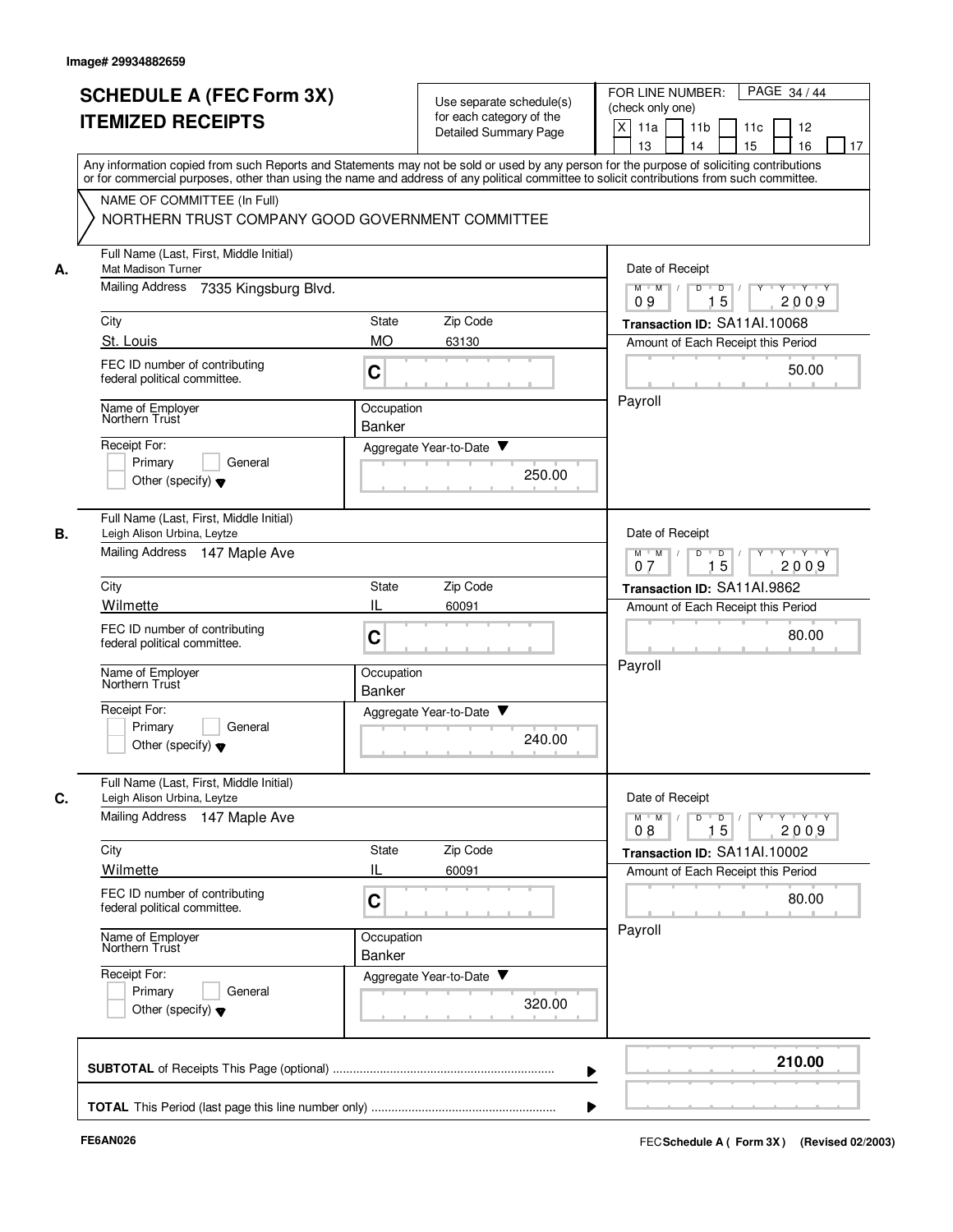|    | <b>SCHEDULE A (FEC Form 3X)</b><br><b>ITEMIZED RECEIPTS</b>                                                                                                                                                                                                                             | Use separate schedule(s)<br>for each category of the<br><b>Detailed Summary Page</b> | PAGE 34 / 44<br>FOR LINE NUMBER:<br>(check only one)<br>X<br>11 <sub>b</sub><br>11a<br>11c<br>12<br>15<br>13<br>14<br>16<br>17               |
|----|-----------------------------------------------------------------------------------------------------------------------------------------------------------------------------------------------------------------------------------------------------------------------------------------|--------------------------------------------------------------------------------------|----------------------------------------------------------------------------------------------------------------------------------------------|
|    | Any information copied from such Reports and Statements may not be sold or used by any person for the purpose of soliciting contributions<br>or for commercial purposes, other than using the name and address of any political committee to solicit contributions from such committee. |                                                                                      |                                                                                                                                              |
|    | NAME OF COMMITTEE (In Full)<br>NORTHERN TRUST COMPANY GOOD GOVERNMENT COMMITTEE                                                                                                                                                                                                         |                                                                                      |                                                                                                                                              |
| А. | Full Name (Last, First, Middle Initial)<br>Mat Madison Turner                                                                                                                                                                                                                           |                                                                                      | Date of Receipt                                                                                                                              |
|    | <b>Mailing Address</b><br>7335 Kingsburg Blvd.                                                                                                                                                                                                                                          |                                                                                      | Y 'Y 'Y<br>$M$ $M$ /<br>D<br>$\blacksquare$<br>$Y$ <sup>U</sup><br>15<br>09<br>2009                                                          |
|    | City                                                                                                                                                                                                                                                                                    | Zip Code<br>State                                                                    | Transaction ID: SA11Al.10068                                                                                                                 |
|    | St. Louis                                                                                                                                                                                                                                                                               | <b>MO</b><br>63130                                                                   | Amount of Each Receipt this Period                                                                                                           |
|    | FEC ID number of contributing<br>federal political committee.                                                                                                                                                                                                                           | C                                                                                    | 50.00                                                                                                                                        |
|    | Name of Employer<br>Northern Trust                                                                                                                                                                                                                                                      | Occupation<br>Banker                                                                 | Payroll                                                                                                                                      |
|    | Receipt For:                                                                                                                                                                                                                                                                            | Aggregate Year-to-Date ▼                                                             |                                                                                                                                              |
|    | Primary<br>General<br>Other (specify) $\blacktriangledown$                                                                                                                                                                                                                              | 250.00                                                                               |                                                                                                                                              |
|    | Full Name (Last, First, Middle Initial)<br>Leigh Alison Urbina, Leytze                                                                                                                                                                                                                  |                                                                                      | Date of Receipt                                                                                                                              |
|    | Mailing Address 147 Maple Ave                                                                                                                                                                                                                                                           |                                                                                      | $Y - Y - Y$<br>$M$ M<br>D<br>D<br>15<br>2009<br>07                                                                                           |
|    | City                                                                                                                                                                                                                                                                                    | Zip Code<br>State                                                                    | Transaction ID: SA11AI.9862                                                                                                                  |
|    | Wilmette                                                                                                                                                                                                                                                                                | IL<br>60091                                                                          | Amount of Each Receipt this Period                                                                                                           |
|    | FEC ID number of contributing<br>federal political committee.                                                                                                                                                                                                                           | C                                                                                    | 80.00                                                                                                                                        |
|    | Name of Employer<br>Northern Trust                                                                                                                                                                                                                                                      | Occupation<br><b>Banker</b>                                                          | Payroll                                                                                                                                      |
|    | Receipt For:<br>Primary<br>General<br>Other (specify) $\blacktriangledown$                                                                                                                                                                                                              | v<br>Aggregate Year-to-Date<br>240.00                                                |                                                                                                                                              |
|    | Full Name (Last, First, Middle Initial)                                                                                                                                                                                                                                                 |                                                                                      | Date of Receipt                                                                                                                              |
|    | Leigh Alison Urbina, Leytze<br>Mailing Address 147 Maple Ave                                                                                                                                                                                                                            |                                                                                      | $\mathsf{Y} \dashv \mathsf{Y} \dashv \mathsf{Y}$<br>$M$ $M$ /<br>D<br>$\overline{D}$<br>$Y$ <sup><math>\top</math></sup><br>15<br>2009<br>08 |
|    | City                                                                                                                                                                                                                                                                                    | Zip Code<br>State                                                                    | Transaction ID: SA11Al.10002                                                                                                                 |
|    | Wilmette<br>FEC ID number of contributing<br>federal political committee.                                                                                                                                                                                                               | IL<br>60091<br>C                                                                     | Amount of Each Receipt this Period<br>80.00                                                                                                  |
|    | Name of Employer<br>Northern Trust                                                                                                                                                                                                                                                      | Occupation<br>Banker                                                                 | Payroll                                                                                                                                      |
|    | Receipt For:<br>Primary<br>General<br>Other (specify) $\blacktriangledown$                                                                                                                                                                                                              | Aggregate Year-to-Date<br>320.00                                                     |                                                                                                                                              |
|    |                                                                                                                                                                                                                                                                                         |                                                                                      | 210.00                                                                                                                                       |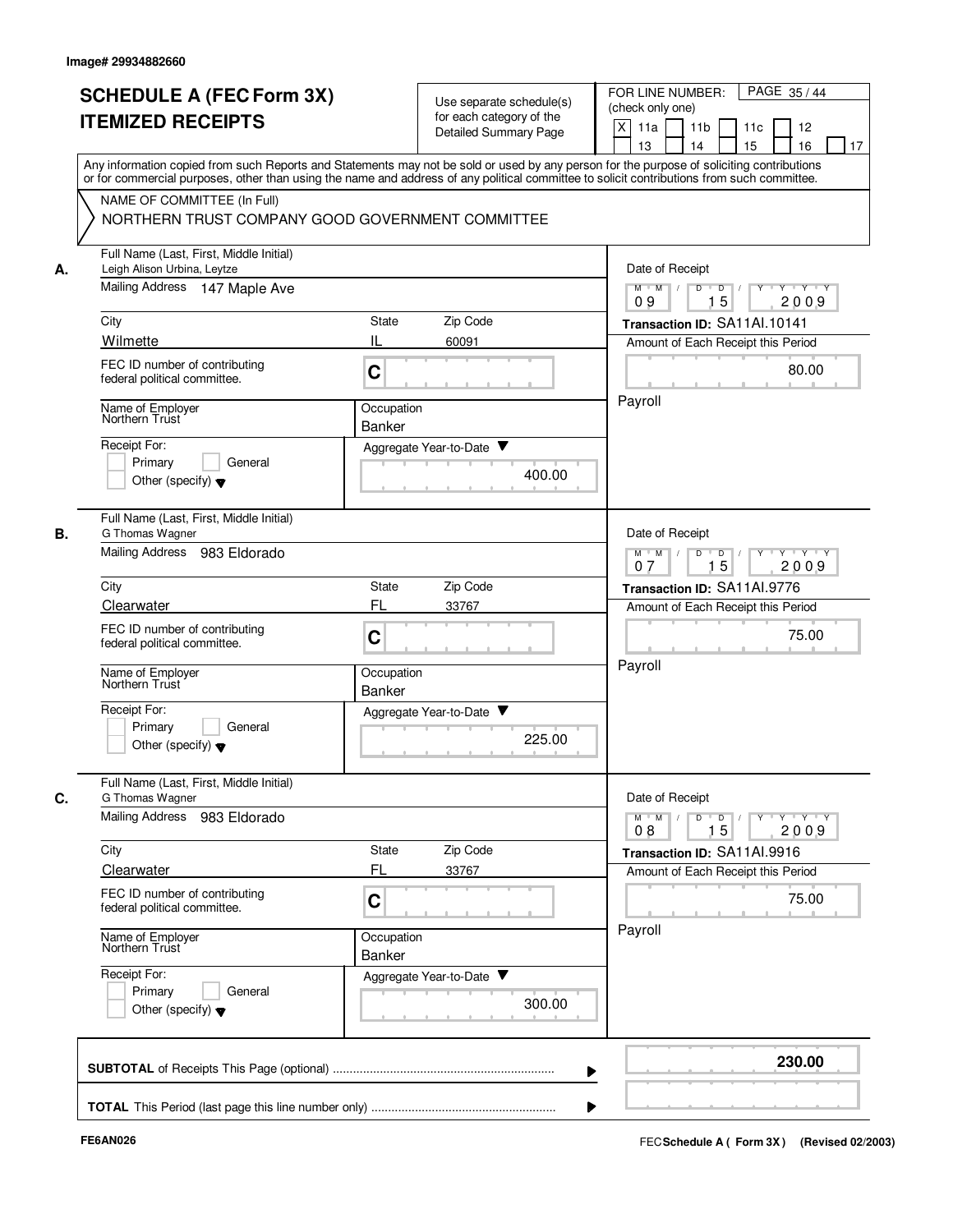| <b>SCHEDULE A (FEC Form 3X)</b><br><b>ITEMIZED RECEIPTS</b>                  |                                                  | Use separate schedule(s)<br>for each category of the<br><b>Detailed Summary Page</b> | PAGE 35/44<br>FOR LINE NUMBER:<br>(check only one)<br>X<br>11a<br>11 <sub>b</sub><br>11c<br>12                                                                                                                                                                                          |
|------------------------------------------------------------------------------|--------------------------------------------------|--------------------------------------------------------------------------------------|-----------------------------------------------------------------------------------------------------------------------------------------------------------------------------------------------------------------------------------------------------------------------------------------|
|                                                                              |                                                  |                                                                                      |                                                                                                                                                                                                                                                                                         |
|                                                                              |                                                  |                                                                                      |                                                                                                                                                                                                                                                                                         |
|                                                                              |                                                  |                                                                                      | 15<br>13<br>14<br>16<br>17                                                                                                                                                                                                                                                              |
|                                                                              |                                                  |                                                                                      | Any information copied from such Reports and Statements may not be sold or used by any person for the purpose of soliciting contributions<br>or for commercial purposes, other than using the name and address of any political committee to solicit contributions from such committee. |
| NAME OF COMMITTEE (In Full)                                                  |                                                  |                                                                                      |                                                                                                                                                                                                                                                                                         |
|                                                                              | NORTHERN TRUST COMPANY GOOD GOVERNMENT COMMITTEE |                                                                                      |                                                                                                                                                                                                                                                                                         |
| Full Name (Last, First, Middle Initial)<br>Leigh Alison Urbina, Leytze<br>А. |                                                  |                                                                                      | Date of Receipt                                                                                                                                                                                                                                                                         |
| Mailing Address<br>147 Maple Ave                                             |                                                  |                                                                                      | $M$ $M$ /<br>D<br>$\overline{\mathsf{D}}$<br>$Y - Y - Y$<br>$\Box$<br>15<br>2009<br>09                                                                                                                                                                                                  |
| City                                                                         | State                                            | Zip Code                                                                             | Transaction ID: SA11Al.10141                                                                                                                                                                                                                                                            |
| Wilmette                                                                     | IL                                               | 60091                                                                                | Amount of Each Receipt this Period                                                                                                                                                                                                                                                      |
| FEC ID number of contributing<br>federal political committee.                | C                                                |                                                                                      | 80.00                                                                                                                                                                                                                                                                                   |
| Name of Employer<br>Northern Trust                                           | Occupation                                       |                                                                                      | Payroll                                                                                                                                                                                                                                                                                 |
|                                                                              | Banker                                           |                                                                                      |                                                                                                                                                                                                                                                                                         |
| Receipt For:                                                                 |                                                  | Aggregate Year-to-Date ▼                                                             |                                                                                                                                                                                                                                                                                         |
| Primary<br>General<br>Other (specify) $\blacktriangledown$                   |                                                  | 400.00                                                                               |                                                                                                                                                                                                                                                                                         |
|                                                                              |                                                  |                                                                                      |                                                                                                                                                                                                                                                                                         |
| Full Name (Last, First, Middle Initial)<br>В.<br>G Thomas Wagner             |                                                  |                                                                                      | Date of Receipt                                                                                                                                                                                                                                                                         |
| Mailing Address<br>983 Eldorado                                              |                                                  |                                                                                      | $Y \vdash Y \vdash Y$<br>$M$ M<br>D<br>D<br>Y<br>15<br>2009<br>07                                                                                                                                                                                                                       |
| City                                                                         | State                                            | Zip Code                                                                             | Transaction ID: SA11Al.9776                                                                                                                                                                                                                                                             |
| Clearwater                                                                   | FL                                               | 33767                                                                                | Amount of Each Receipt this Period                                                                                                                                                                                                                                                      |
| FEC ID number of contributing<br>federal political committee.                | C                                                |                                                                                      | 75.00                                                                                                                                                                                                                                                                                   |
| Name of Employer<br>Northern Trust                                           | Occupation                                       |                                                                                      | Payroll                                                                                                                                                                                                                                                                                 |
| Receipt For:                                                                 | <b>Banker</b>                                    |                                                                                      |                                                                                                                                                                                                                                                                                         |
| Primarv<br>General                                                           |                                                  | Aggregate Year-to-Date                                                               |                                                                                                                                                                                                                                                                                         |
| Other (specify) $\blacktriangledown$                                         |                                                  | 225.00                                                                               |                                                                                                                                                                                                                                                                                         |
| Full Name (Last, First, Middle Initial)<br>G Thomas Wagner                   |                                                  |                                                                                      | Date of Receipt                                                                                                                                                                                                                                                                         |
| C.<br>Mailing Address 983 Eldorado                                           |                                                  |                                                                                      | $\mathsf{Y} \dashv \mathsf{Y} \dashv \mathsf{Y} \dashv \mathsf{Y}$<br>$M^{\prime}$ M $\rightarrow$ /<br>$D$ $D$ $I$                                                                                                                                                                     |
|                                                                              |                                                  |                                                                                      | 15<br>2009<br>08                                                                                                                                                                                                                                                                        |
| City<br>Clearwater                                                           | State<br>FL                                      | Zip Code<br>33767                                                                    | Transaction ID: SA11Al.9916<br>Amount of Each Receipt this Period                                                                                                                                                                                                                       |
| FEC ID number of contributing                                                |                                                  |                                                                                      |                                                                                                                                                                                                                                                                                         |
| federal political committee.                                                 | C                                                |                                                                                      | 75.00                                                                                                                                                                                                                                                                                   |
| Name of Employer<br>Northern Trust                                           | Occupation<br>Banker                             |                                                                                      | Payroll                                                                                                                                                                                                                                                                                 |
| Receipt For:                                                                 |                                                  | Aggregate Year-to-Date                                                               |                                                                                                                                                                                                                                                                                         |
| Primary<br>General                                                           |                                                  | 300.00                                                                               |                                                                                                                                                                                                                                                                                         |
| Other (specify) $\blacktriangledown$                                         |                                                  |                                                                                      |                                                                                                                                                                                                                                                                                         |
|                                                                              |                                                  |                                                                                      | 230.00                                                                                                                                                                                                                                                                                  |
|                                                                              |                                                  |                                                                                      |                                                                                                                                                                                                                                                                                         |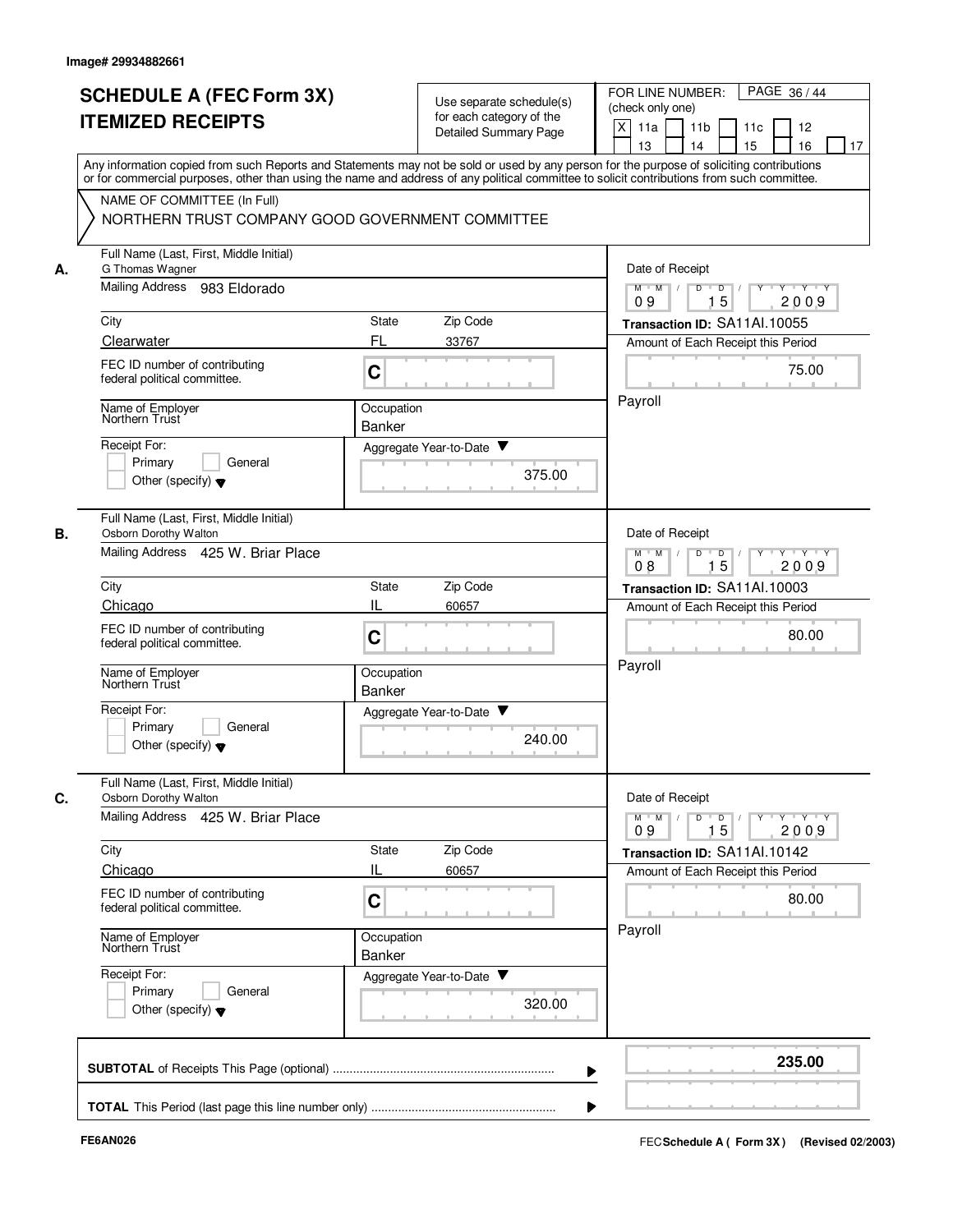|    | <b>SCHEDULE A (FEC Form 3X)</b><br><b>ITEMIZED RECEIPTS</b>      | Use separate schedule(s)<br>for each category of the<br><b>Detailed Summary Page</b>                                                                                                                                                                                                    | FOR LINE NUMBER:<br>PAGE 36/44<br>(check only one)<br>X<br>11a<br>11 <sub>b</sub><br>11c<br>12<br>13<br>14<br>15<br>16<br>17 |
|----|------------------------------------------------------------------|-----------------------------------------------------------------------------------------------------------------------------------------------------------------------------------------------------------------------------------------------------------------------------------------|------------------------------------------------------------------------------------------------------------------------------|
|    |                                                                  | Any information copied from such Reports and Statements may not be sold or used by any person for the purpose of soliciting contributions<br>or for commercial purposes, other than using the name and address of any political committee to solicit contributions from such committee. |                                                                                                                              |
|    | NAME OF COMMITTEE (In Full)                                      | NORTHERN TRUST COMPANY GOOD GOVERNMENT COMMITTEE                                                                                                                                                                                                                                        |                                                                                                                              |
| А. | Full Name (Last, First, Middle Initial)<br>G Thomas Wagner       |                                                                                                                                                                                                                                                                                         | Date of Receipt                                                                                                              |
|    | Mailing Address<br>983 Eldorado                                  |                                                                                                                                                                                                                                                                                         | $M$ $M$ /<br>Y 'Y 'Y<br>D<br>D<br>15<br>2009<br>09                                                                           |
|    | City                                                             | Zip Code<br>State                                                                                                                                                                                                                                                                       | Transaction ID: SA11Al.10055                                                                                                 |
|    | Clearwater                                                       | FL<br>33767                                                                                                                                                                                                                                                                             | Amount of Each Receipt this Period                                                                                           |
|    | FEC ID number of contributing<br>federal political committee.    | C                                                                                                                                                                                                                                                                                       | 75.00                                                                                                                        |
|    | Name of Employer<br>Northern Trust                               | Occupation<br>Banker                                                                                                                                                                                                                                                                    | Payroll                                                                                                                      |
|    | Receipt For:                                                     | Aggregate Year-to-Date ▼                                                                                                                                                                                                                                                                |                                                                                                                              |
|    | Primary<br>General<br>Other (specify) $\blacktriangledown$       | 375.00                                                                                                                                                                                                                                                                                  |                                                                                                                              |
| В. | Full Name (Last, First, Middle Initial)<br>Osborn Dorothy Walton |                                                                                                                                                                                                                                                                                         | Date of Receipt                                                                                                              |
|    | Mailing Address 425 W. Briar Place                               | D<br>$\Box$<br>$M$ M<br>$\sqrt{ }$<br>Y 'Y 'Y<br>15<br>2009<br>08                                                                                                                                                                                                                       |                                                                                                                              |
|    | City                                                             | Zip Code<br>State                                                                                                                                                                                                                                                                       | Transaction ID: SA11Al.10003                                                                                                 |
|    | Chicago                                                          | Ш<br>60657                                                                                                                                                                                                                                                                              | Amount of Each Receipt this Period                                                                                           |
|    | FEC ID number of contributing<br>federal political committee.    | C                                                                                                                                                                                                                                                                                       | 80.00                                                                                                                        |
|    | Name of Employer<br>Northern Trust                               | Occupation<br><b>Banker</b>                                                                                                                                                                                                                                                             | Payroll                                                                                                                      |
|    | Receipt For:                                                     | Aggregate Year-to-Date ▼                                                                                                                                                                                                                                                                |                                                                                                                              |
|    | Primary<br>General<br>Other (specify) $\blacktriangledown$       | 240.00                                                                                                                                                                                                                                                                                  |                                                                                                                              |
| C. | Full Name (Last, First, Middle Initial)<br>Osborn Dorothy Walton |                                                                                                                                                                                                                                                                                         | Date of Receipt                                                                                                              |
|    | Mailing Address 425 W. Briar Place                               |                                                                                                                                                                                                                                                                                         | $\mathsf{Y} \dashv \mathsf{Y} \dashv \mathsf{Y}$<br>$M$ $M$ /<br>$D$ $D$ $I$<br>$Y^+$<br>15<br>2009<br>09                    |
|    | City                                                             | State<br>Zip Code                                                                                                                                                                                                                                                                       | Transaction ID: SA11Al.10142                                                                                                 |
|    | Chicago                                                          | IL<br>60657                                                                                                                                                                                                                                                                             | Amount of Each Receipt this Period                                                                                           |
|    | FEC ID number of contributing<br>federal political committee.    | C                                                                                                                                                                                                                                                                                       | 80.00                                                                                                                        |
|    | Name of Employer<br>Northern Trust                               | Occupation<br>Banker                                                                                                                                                                                                                                                                    | Payroll                                                                                                                      |
|    | Receipt For:                                                     | Aggregate Year-to-Date                                                                                                                                                                                                                                                                  |                                                                                                                              |
|    | Primary<br>General<br>Other (specify) $\blacktriangledown$       | 320.00                                                                                                                                                                                                                                                                                  |                                                                                                                              |
|    |                                                                  |                                                                                                                                                                                                                                                                                         |                                                                                                                              |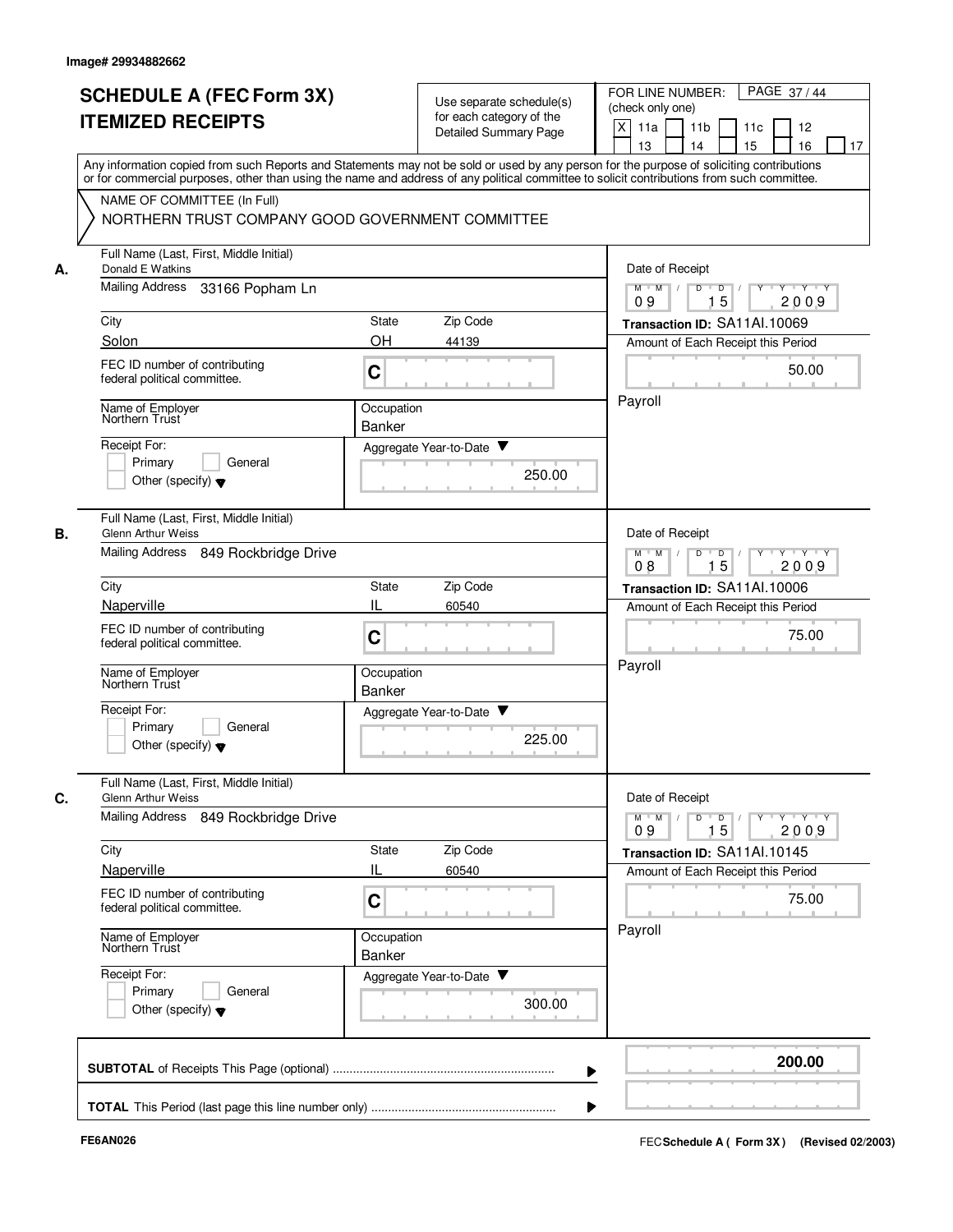|    | <b>SCHEDULE A (FEC Form 3X)</b><br><b>ITEMIZED RECEIPTS</b>                                                                                                                                                                                                                             | Use separate schedule(s)<br>for each category of the<br><b>Detailed Summary Page</b> | PAGE 37/44<br>FOR LINE NUMBER:<br>(check only one)<br>X<br>11 <sub>b</sub><br>11a<br>11c<br>12                                               |
|----|-----------------------------------------------------------------------------------------------------------------------------------------------------------------------------------------------------------------------------------------------------------------------------------------|--------------------------------------------------------------------------------------|----------------------------------------------------------------------------------------------------------------------------------------------|
|    | Any information copied from such Reports and Statements may not be sold or used by any person for the purpose of soliciting contributions<br>or for commercial purposes, other than using the name and address of any political committee to solicit contributions from such committee. |                                                                                      | 15<br>13<br>14<br>16<br>17                                                                                                                   |
|    | NAME OF COMMITTEE (In Full)<br>NORTHERN TRUST COMPANY GOOD GOVERNMENT COMMITTEE                                                                                                                                                                                                         |                                                                                      |                                                                                                                                              |
| А. | Full Name (Last, First, Middle Initial)<br>Donald E Watkins                                                                                                                                                                                                                             |                                                                                      | Date of Receipt                                                                                                                              |
|    | <b>Mailing Address</b><br>33166 Popham Ln                                                                                                                                                                                                                                               |                                                                                      | Y Y Y Y<br>$M$ $M$ /<br>D<br>$\blacksquare$<br>$Y$ <sup>U</sup><br>15<br>09<br>2009                                                          |
|    | City                                                                                                                                                                                                                                                                                    | Zip Code<br>State                                                                    | Transaction ID: SA11Al.10069                                                                                                                 |
|    | Solon                                                                                                                                                                                                                                                                                   | <b>OH</b><br>44139                                                                   | Amount of Each Receipt this Period                                                                                                           |
|    | FEC ID number of contributing<br>federal political committee.                                                                                                                                                                                                                           | C                                                                                    | 50.00                                                                                                                                        |
|    | Name of Employer<br>Northern Trust                                                                                                                                                                                                                                                      | Occupation<br>Banker                                                                 | Payroll                                                                                                                                      |
|    | Receipt For:                                                                                                                                                                                                                                                                            | Aggregate Year-to-Date ▼                                                             |                                                                                                                                              |
|    | Primary<br>General<br>Other (specify) $\blacktriangledown$                                                                                                                                                                                                                              | 250.00                                                                               |                                                                                                                                              |
| В. | Full Name (Last, First, Middle Initial)<br>Glenn Arthur Weiss                                                                                                                                                                                                                           |                                                                                      | Date of Receipt                                                                                                                              |
|    | Mailing Address<br>849 Rockbridge Drive                                                                                                                                                                                                                                                 |                                                                                      | $Y - Y - Y - Y$<br>$M$ M<br>D<br>D<br>15<br>2009<br>08                                                                                       |
|    | City                                                                                                                                                                                                                                                                                    | Zip Code<br>State                                                                    | Transaction ID: SA11Al.10006                                                                                                                 |
|    | Naperville                                                                                                                                                                                                                                                                              | IL<br>60540                                                                          | Amount of Each Receipt this Period                                                                                                           |
|    | FEC ID number of contributing<br>federal political committee.                                                                                                                                                                                                                           | C                                                                                    | 75.00                                                                                                                                        |
|    | Name of Employer<br>Northern Trust                                                                                                                                                                                                                                                      | Occupation<br><b>Banker</b>                                                          | Payroll                                                                                                                                      |
|    | Receipt For:<br>Primary<br>General<br>Other (specify) $\blacktriangledown$                                                                                                                                                                                                              | v<br>Aggregate Year-to-Date<br>225.00                                                |                                                                                                                                              |
| C. | Full Name (Last, First, Middle Initial)<br><b>Glenn Arthur Weiss</b>                                                                                                                                                                                                                    |                                                                                      | Date of Receipt                                                                                                                              |
|    | Mailing Address 849 Rockbridge Drive                                                                                                                                                                                                                                                    |                                                                                      | $\mathsf{Y} \dashv \mathsf{Y} \dashv \mathsf{Y}$<br>$M$ $M$ /<br>D<br>$\overline{D}$<br>$Y$ <sup><math>\top</math></sup><br>15<br>2009<br>09 |
|    | City                                                                                                                                                                                                                                                                                    | State<br>Zip Code                                                                    | Transaction ID: SA11Al.10145                                                                                                                 |
|    | Naperville                                                                                                                                                                                                                                                                              | IL<br>60540                                                                          | Amount of Each Receipt this Period                                                                                                           |
|    | FEC ID number of contributing<br>federal political committee.                                                                                                                                                                                                                           | C                                                                                    | 75.00                                                                                                                                        |
|    | Name of Employer<br>Northern Trust                                                                                                                                                                                                                                                      | Occupation<br>Banker                                                                 | Payroll                                                                                                                                      |
|    | Receipt For:<br>Primary<br>General<br>Other (specify) $\blacktriangledown$                                                                                                                                                                                                              | Aggregate Year-to-Date<br>300.00                                                     |                                                                                                                                              |
|    |                                                                                                                                                                                                                                                                                         |                                                                                      | 200.00                                                                                                                                       |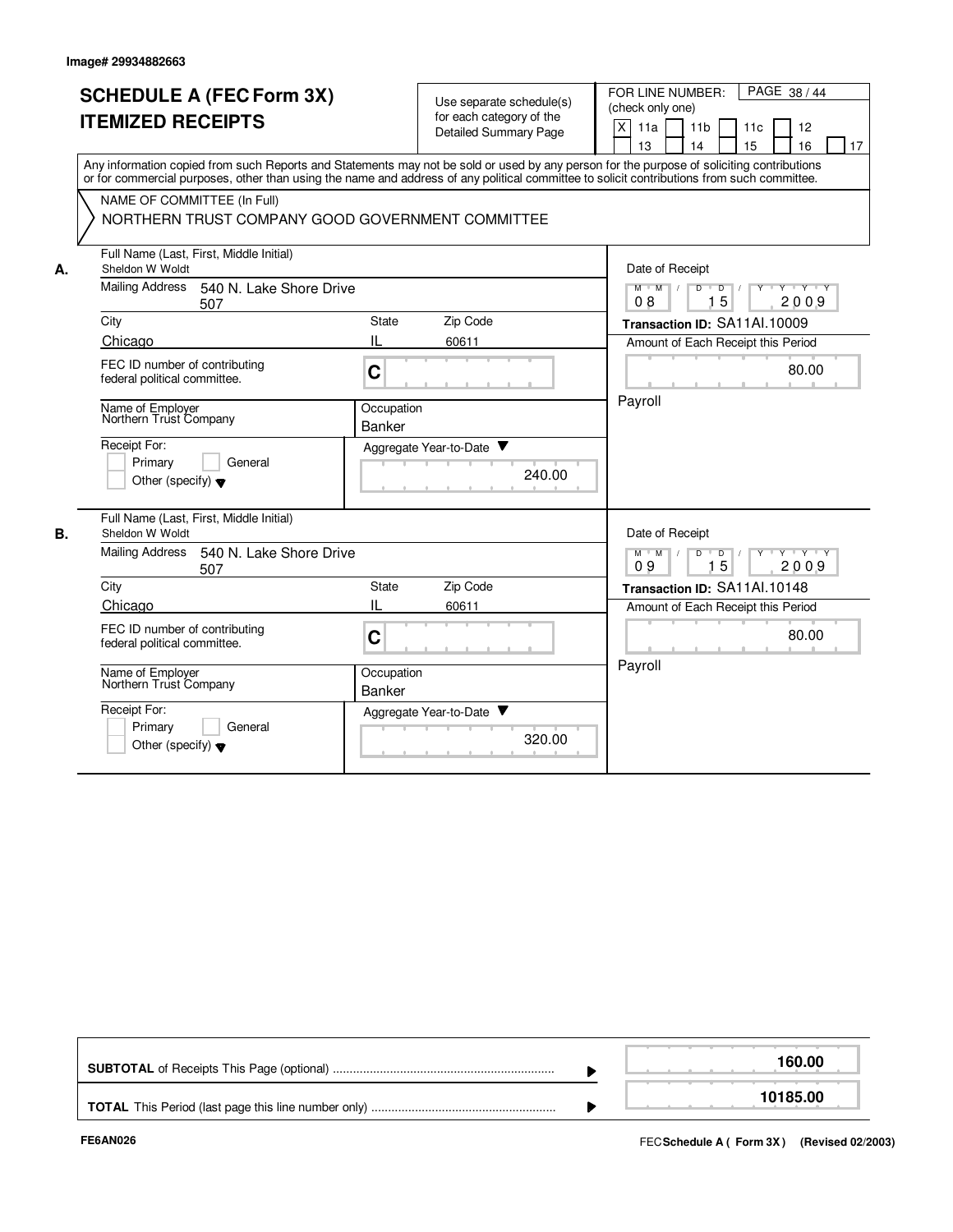|    | <b>SCHEDULE A (FEC Form 3X)</b>                                                                                                                                                                                                                                                         | Use separate schedule(s)    |                              | FOR LINE NUMBER:<br>PAGE 38/44 |                                                                                     |  |  |  |  |  |
|----|-----------------------------------------------------------------------------------------------------------------------------------------------------------------------------------------------------------------------------------------------------------------------------------------|-----------------------------|------------------------------|--------------------------------|-------------------------------------------------------------------------------------|--|--|--|--|--|
|    | <b>ITEMIZED RECEIPTS</b>                                                                                                                                                                                                                                                                |                             | for each category of the     |                                | (check only one)                                                                    |  |  |  |  |  |
|    |                                                                                                                                                                                                                                                                                         |                             | <b>Detailed Summary Page</b> |                                | X<br>11a<br>11 <sub>b</sub><br>11c<br>12<br>15<br>13<br>14<br>16<br>17              |  |  |  |  |  |
|    | Any information copied from such Reports and Statements may not be sold or used by any person for the purpose of soliciting contributions<br>or for commercial purposes, other than using the name and address of any political committee to solicit contributions from such committee. |                             |                              |                                |                                                                                     |  |  |  |  |  |
|    | NAME OF COMMITTEE (In Full)                                                                                                                                                                                                                                                             |                             |                              |                                |                                                                                     |  |  |  |  |  |
|    | NORTHERN TRUST COMPANY GOOD GOVERNMENT COMMITTEE                                                                                                                                                                                                                                        |                             |                              |                                |                                                                                     |  |  |  |  |  |
| А. | Full Name (Last, First, Middle Initial)<br>Sheldon W Woldt                                                                                                                                                                                                                              |                             |                              |                                | Date of Receipt                                                                     |  |  |  |  |  |
|    | <b>Mailing Address</b><br>540 N. Lake Shore Drive<br>507                                                                                                                                                                                                                                |                             |                              |                                | M<br>$T$ $Y$ $T$ $Y$<br>$M$ <sup>U</sup><br>D<br>$\overline{D}$<br>15<br>08<br>2009 |  |  |  |  |  |
|    | City                                                                                                                                                                                                                                                                                    | State                       | Zip Code                     |                                | Transaction ID: SA11Al.10009                                                        |  |  |  |  |  |
|    | Chicago                                                                                                                                                                                                                                                                                 | Ш.                          | 60611                        |                                | Amount of Each Receipt this Period                                                  |  |  |  |  |  |
|    | FEC ID number of contributing<br>federal political committee.                                                                                                                                                                                                                           | $\mathbf C$                 |                              |                                | 80.00                                                                               |  |  |  |  |  |
|    | Name of Employer<br>Northern Trust Company                                                                                                                                                                                                                                              | Occupation<br><b>Banker</b> |                              |                                | Payroll                                                                             |  |  |  |  |  |
|    | Receipt For:<br>Primary<br>General<br>Other (specify) $\blacktriangledown$                                                                                                                                                                                                              |                             | Aggregate Year-to-Date       | 240.00                         |                                                                                     |  |  |  |  |  |
| В. | Full Name (Last, First, Middle Initial)<br>Sheldon W Woldt                                                                                                                                                                                                                              |                             |                              |                                | Date of Receipt                                                                     |  |  |  |  |  |
|    | Mailing Address<br>540 N. Lake Shore Drive<br>507                                                                                                                                                                                                                                       |                             |                              |                                | $Y + Y + Y$<br>$M$ $M$<br>$D$ $D$<br>$\top$<br>2009<br>15<br>09                     |  |  |  |  |  |
|    | City                                                                                                                                                                                                                                                                                    | State                       | Zip Code                     |                                | Transaction ID: SA11Al.10148                                                        |  |  |  |  |  |
|    | Chicago                                                                                                                                                                                                                                                                                 | IL                          | 60611                        |                                | Amount of Each Receipt this Period                                                  |  |  |  |  |  |
|    | FEC ID number of contributing<br>federal political committee.                                                                                                                                                                                                                           | C                           |                              |                                | 80.00                                                                               |  |  |  |  |  |
|    | Name of Employer<br>Northern Trust Company                                                                                                                                                                                                                                              | Occupation<br><b>Banker</b> |                              |                                | Payroll                                                                             |  |  |  |  |  |
|    | Receipt For:<br>Primary<br>General<br>Other (specify) $\blacktriangledown$                                                                                                                                                                                                              |                             | Aggregate Year-to-Date       | 320.00                         |                                                                                     |  |  |  |  |  |

|  | 160.00   |
|--|----------|
|  | 10185.00 |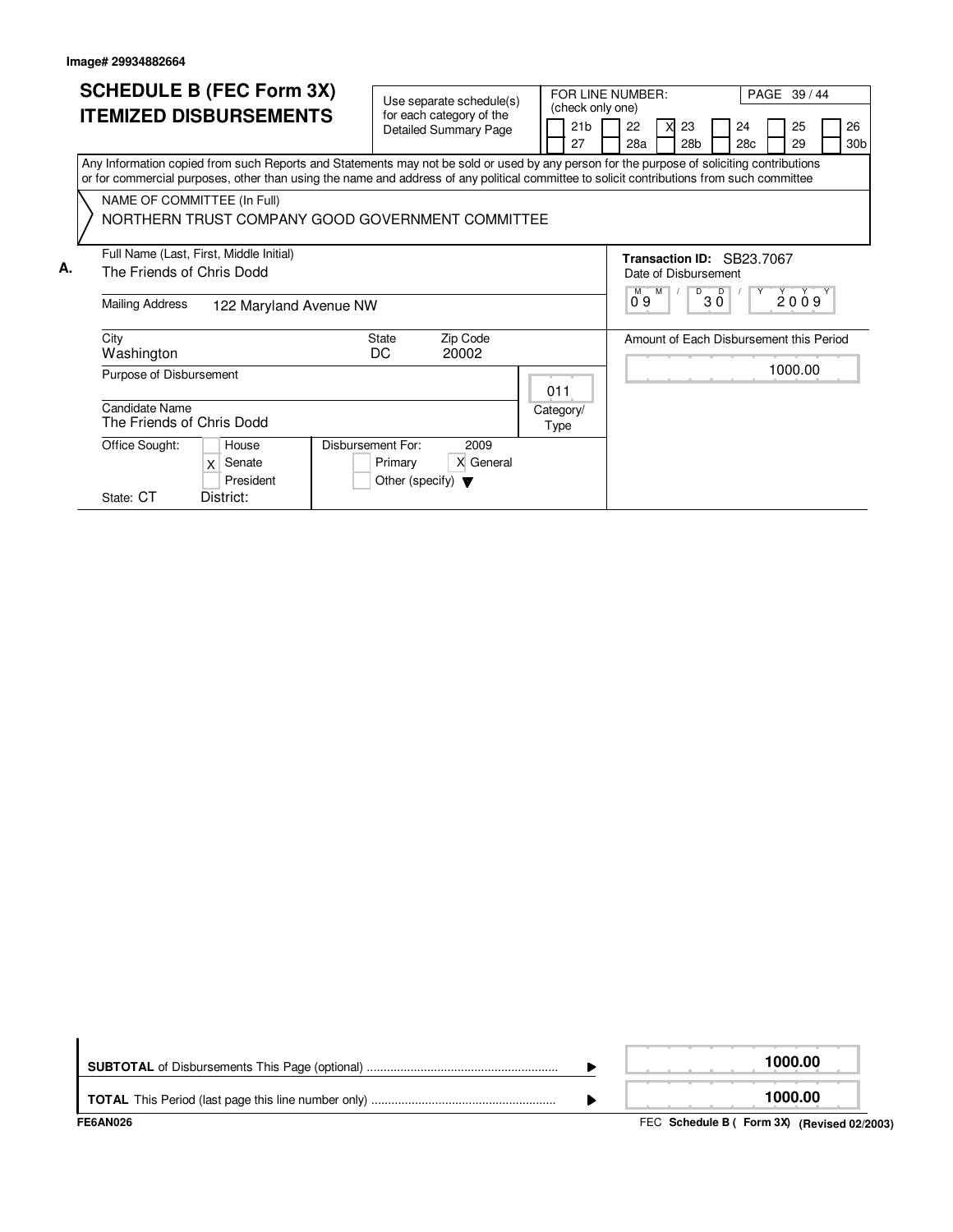|    | <b>SCHEDULE B (FEC Form 3X)</b><br><b>ITEMIZED DISBURSEMENTS</b>                                                                                                                                                                                                                                                                                                          | Use separate schedule(s)<br>for each category of the<br><b>Detailed Summary Page</b> | FOR LINE NUMBER:<br>(check only one)<br>21 <sub>b</sub><br>27 | PAGE 39 / 44<br>22<br>23<br>25<br>26<br>24<br>28 <sub>b</sub><br>30 <sub>b</sub><br>28a<br>28c<br>29                |
|----|---------------------------------------------------------------------------------------------------------------------------------------------------------------------------------------------------------------------------------------------------------------------------------------------------------------------------------------------------------------------------|--------------------------------------------------------------------------------------|---------------------------------------------------------------|---------------------------------------------------------------------------------------------------------------------|
|    | Any Information copied from such Reports and Statements may not be sold or used by any person for the purpose of soliciting contributions<br>or for commercial purposes, other than using the name and address of any political committee to solicit contributions from such committee<br>NAME OF COMMITTEE (In Full)<br>NORTHERN TRUST COMPANY GOOD GOVERNMENT COMMITTEE |                                                                                      |                                                               |                                                                                                                     |
| А. | Full Name (Last, First, Middle Initial)<br>The Friends of Chris Dodd<br><b>Mailing Address</b><br>122 Maryland Avenue NW                                                                                                                                                                                                                                                  |                                                                                      |                                                               | Transaction ID: SB23.7067<br>Date of Disbursement<br>$\overline{D}$<br>$\overline{D}$<br>2009<br>$M$ M<br>3 Ō<br>09 |
|    | City<br>Washington<br>Purpose of Disbursement                                                                                                                                                                                                                                                                                                                             | Zip Code<br><b>State</b><br>DC<br>20002                                              | 011                                                           | Amount of Each Disbursement this Period<br>1000.00                                                                  |
|    | Candidate Name<br>The Friends of Chris Dodd<br>Office Sought:<br><b>Disbursement For:</b><br>House<br>Senate<br>X<br>President<br>District:<br>State: CT                                                                                                                                                                                                                  | 2009<br>X General<br>Primary<br>Other (specify) $\blacktriangledown$                 | Category/<br>Type                                             |                                                                                                                     |

| FE6AN026 | FEC Schedule B ( Form 3X) (Revised 02/2003) |
|----------|---------------------------------------------|
|          | 1000.00                                     |
|          | 1000.00                                     |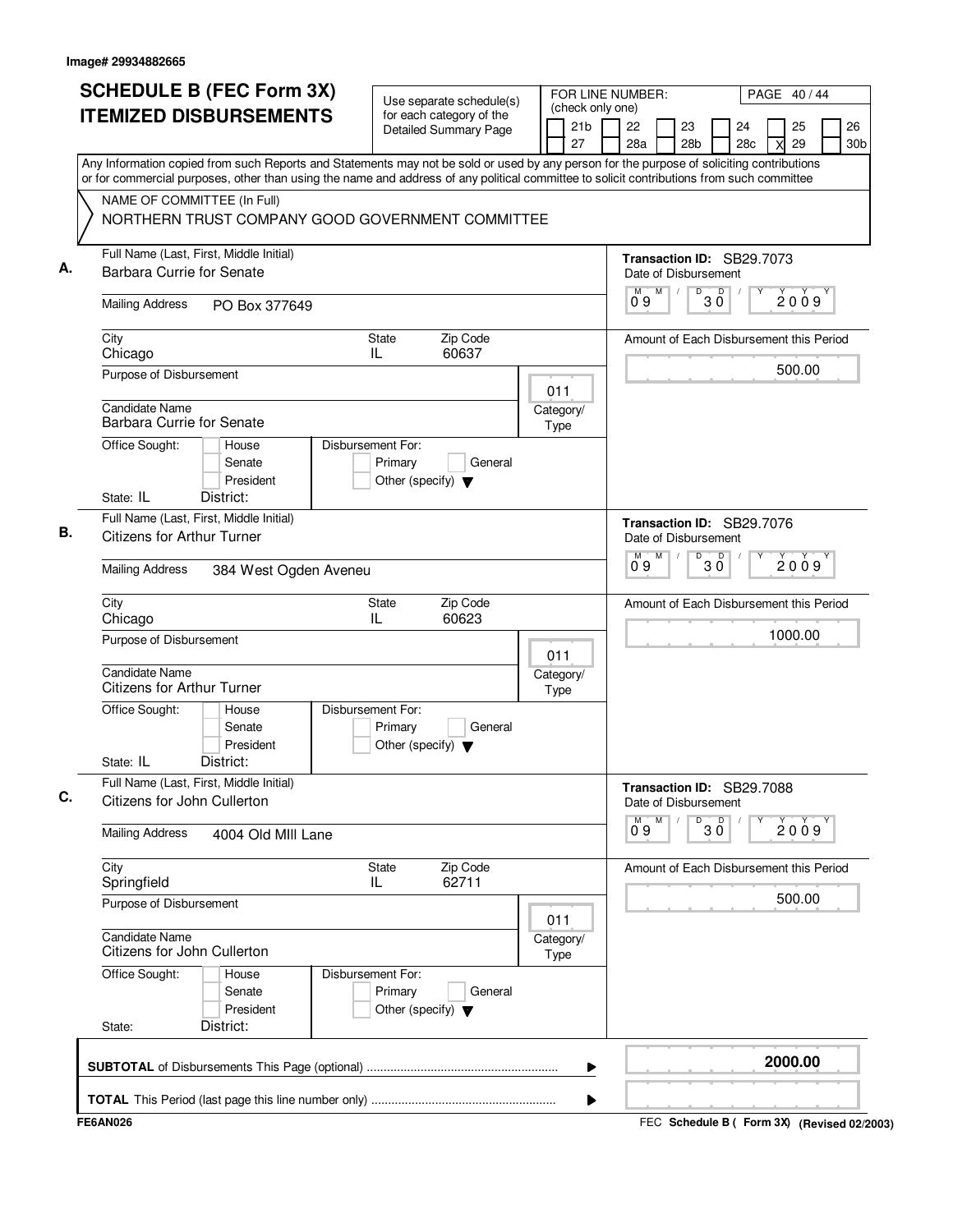| 28 <sub>b</sub><br>Any Information copied from such Reports and Statements may not be sold or used by any person for the purpose of soliciting contributions<br>or for commercial purposes, other than using the name and address of any political committee to solicit contributions from such committee<br>NAME OF COMMITTEE (In Full)<br>NORTHERN TRUST COMPANY GOOD GOVERNMENT COMMITTEE<br>Full Name (Last, First, Middle Initial)<br>Transaction ID: SB29.7073<br>Barbara Currie for Senate<br>Date of Disbursement<br>D<br>D<br>M<br>M<br>2009<br>3 Ŏ<br>09<br><b>Mailing Address</b><br>PO Box 377649<br>State<br>Zip Code<br>City<br>Amount of Each Disbursement this Period<br>IL.<br>60637<br>Chicago<br>500.00<br>Purpose of Disbursement<br>011<br><b>Candidate Name</b><br>Category/<br><b>Barbara Currie for Senate</b><br>Type<br>Disbursement For:<br>Office Sought:<br>House<br>Primary<br>Senate<br>General<br>President<br>Other (specify) $\blacktriangledown$<br>State: IL<br>District:<br>Full Name (Last, First, Middle Initial)<br>Transaction ID: SB29.7076<br><b>Citizens for Arthur Turner</b><br>Date of Disbursement<br>M<br>D<br>D<br>M<br>2009<br>3 Ŏ<br>09<br><b>Mailing Address</b><br>384 West Ogden Aveneu<br>Zip Code<br>City<br>State<br>Amount of Each Disbursement this Period<br>IL<br>60623<br>Chicago<br>1000.00<br>Purpose of Disbursement<br>011<br><b>Candidate Name</b><br>Category/<br><b>Citizens for Arthur Turner</b><br>Type<br>Disbursement For:<br>Office Sought:<br>House<br>Senate<br>Primary<br>General<br>President<br>Other (specify) $\blacktriangledown$<br>State: IL<br>District:<br>Full Name (Last, First, Middle Initial)<br>Transaction ID: SB29.7088<br>Citizens for John Cullerton<br>Date of Disbursement<br>М<br>D<br>30<br>$0^{\circ}9$<br>2009<br><b>Mailing Address</b><br>4004 Old MIII Lane<br>City<br>Zip Code<br>State<br>Amount of Each Disbursement this Period<br>62711<br>Springfield<br>IL.<br>500.00<br>Purpose of Disbursement<br>011<br><b>Candidate Name</b><br>Category/<br>Citizens for John Cullerton<br>Type<br>Office Sought:<br>Disbursement For:<br>House<br>Senate<br>Primary<br>General<br>President<br>Other (specify) $\blacktriangledown$<br>District:<br>State:<br>2000.00 | <b>SCHEDULE B (FEC Form 3X)</b><br><b>ITEMIZED DISBURSEMENTS</b> | Use separate schedule(s)<br>for each category of the<br><b>Detailed Summary Page</b> | (check only one)<br>21 <sub>b</sub> | FOR LINE NUMBER:<br>22<br>23 | 24  | PAGE 40/44<br>25 | 26              |
|-------------------------------------------------------------------------------------------------------------------------------------------------------------------------------------------------------------------------------------------------------------------------------------------------------------------------------------------------------------------------------------------------------------------------------------------------------------------------------------------------------------------------------------------------------------------------------------------------------------------------------------------------------------------------------------------------------------------------------------------------------------------------------------------------------------------------------------------------------------------------------------------------------------------------------------------------------------------------------------------------------------------------------------------------------------------------------------------------------------------------------------------------------------------------------------------------------------------------------------------------------------------------------------------------------------------------------------------------------------------------------------------------------------------------------------------------------------------------------------------------------------------------------------------------------------------------------------------------------------------------------------------------------------------------------------------------------------------------------------------------------------------------------------------------------------------------------------------------------------------------------------------------------------------------------------------------------------------------------------------------------------------------------------------------------------------------------------------------------------------------------------------------------------------------------------------------------------------------------------------------------------------------------|------------------------------------------------------------------|--------------------------------------------------------------------------------------|-------------------------------------|------------------------------|-----|------------------|-----------------|
|                                                                                                                                                                                                                                                                                                                                                                                                                                                                                                                                                                                                                                                                                                                                                                                                                                                                                                                                                                                                                                                                                                                                                                                                                                                                                                                                                                                                                                                                                                                                                                                                                                                                                                                                                                                                                                                                                                                                                                                                                                                                                                                                                                                                                                                                               |                                                                  |                                                                                      | 27                                  | 28a                          | 28c | 29               | 30 <sub>b</sub> |
|                                                                                                                                                                                                                                                                                                                                                                                                                                                                                                                                                                                                                                                                                                                                                                                                                                                                                                                                                                                                                                                                                                                                                                                                                                                                                                                                                                                                                                                                                                                                                                                                                                                                                                                                                                                                                                                                                                                                                                                                                                                                                                                                                                                                                                                                               |                                                                  |                                                                                      |                                     |                              |     |                  |                 |
|                                                                                                                                                                                                                                                                                                                                                                                                                                                                                                                                                                                                                                                                                                                                                                                                                                                                                                                                                                                                                                                                                                                                                                                                                                                                                                                                                                                                                                                                                                                                                                                                                                                                                                                                                                                                                                                                                                                                                                                                                                                                                                                                                                                                                                                                               |                                                                  |                                                                                      |                                     |                              |     |                  |                 |
|                                                                                                                                                                                                                                                                                                                                                                                                                                                                                                                                                                                                                                                                                                                                                                                                                                                                                                                                                                                                                                                                                                                                                                                                                                                                                                                                                                                                                                                                                                                                                                                                                                                                                                                                                                                                                                                                                                                                                                                                                                                                                                                                                                                                                                                                               |                                                                  |                                                                                      |                                     |                              |     |                  |                 |
|                                                                                                                                                                                                                                                                                                                                                                                                                                                                                                                                                                                                                                                                                                                                                                                                                                                                                                                                                                                                                                                                                                                                                                                                                                                                                                                                                                                                                                                                                                                                                                                                                                                                                                                                                                                                                                                                                                                                                                                                                                                                                                                                                                                                                                                                               |                                                                  |                                                                                      |                                     |                              |     |                  |                 |
|                                                                                                                                                                                                                                                                                                                                                                                                                                                                                                                                                                                                                                                                                                                                                                                                                                                                                                                                                                                                                                                                                                                                                                                                                                                                                                                                                                                                                                                                                                                                                                                                                                                                                                                                                                                                                                                                                                                                                                                                                                                                                                                                                                                                                                                                               |                                                                  |                                                                                      |                                     |                              |     |                  |                 |
|                                                                                                                                                                                                                                                                                                                                                                                                                                                                                                                                                                                                                                                                                                                                                                                                                                                                                                                                                                                                                                                                                                                                                                                                                                                                                                                                                                                                                                                                                                                                                                                                                                                                                                                                                                                                                                                                                                                                                                                                                                                                                                                                                                                                                                                                               |                                                                  |                                                                                      |                                     |                              |     |                  |                 |
|                                                                                                                                                                                                                                                                                                                                                                                                                                                                                                                                                                                                                                                                                                                                                                                                                                                                                                                                                                                                                                                                                                                                                                                                                                                                                                                                                                                                                                                                                                                                                                                                                                                                                                                                                                                                                                                                                                                                                                                                                                                                                                                                                                                                                                                                               |                                                                  |                                                                                      |                                     |                              |     |                  |                 |
|                                                                                                                                                                                                                                                                                                                                                                                                                                                                                                                                                                                                                                                                                                                                                                                                                                                                                                                                                                                                                                                                                                                                                                                                                                                                                                                                                                                                                                                                                                                                                                                                                                                                                                                                                                                                                                                                                                                                                                                                                                                                                                                                                                                                                                                                               |                                                                  |                                                                                      |                                     |                              |     |                  |                 |
|                                                                                                                                                                                                                                                                                                                                                                                                                                                                                                                                                                                                                                                                                                                                                                                                                                                                                                                                                                                                                                                                                                                                                                                                                                                                                                                                                                                                                                                                                                                                                                                                                                                                                                                                                                                                                                                                                                                                                                                                                                                                                                                                                                                                                                                                               |                                                                  |                                                                                      |                                     |                              |     |                  |                 |
|                                                                                                                                                                                                                                                                                                                                                                                                                                                                                                                                                                                                                                                                                                                                                                                                                                                                                                                                                                                                                                                                                                                                                                                                                                                                                                                                                                                                                                                                                                                                                                                                                                                                                                                                                                                                                                                                                                                                                                                                                                                                                                                                                                                                                                                                               |                                                                  |                                                                                      |                                     |                              |     |                  |                 |
|                                                                                                                                                                                                                                                                                                                                                                                                                                                                                                                                                                                                                                                                                                                                                                                                                                                                                                                                                                                                                                                                                                                                                                                                                                                                                                                                                                                                                                                                                                                                                                                                                                                                                                                                                                                                                                                                                                                                                                                                                                                                                                                                                                                                                                                                               |                                                                  |                                                                                      |                                     |                              |     |                  |                 |
|                                                                                                                                                                                                                                                                                                                                                                                                                                                                                                                                                                                                                                                                                                                                                                                                                                                                                                                                                                                                                                                                                                                                                                                                                                                                                                                                                                                                                                                                                                                                                                                                                                                                                                                                                                                                                                                                                                                                                                                                                                                                                                                                                                                                                                                                               |                                                                  |                                                                                      |                                     |                              |     |                  |                 |
|                                                                                                                                                                                                                                                                                                                                                                                                                                                                                                                                                                                                                                                                                                                                                                                                                                                                                                                                                                                                                                                                                                                                                                                                                                                                                                                                                                                                                                                                                                                                                                                                                                                                                                                                                                                                                                                                                                                                                                                                                                                                                                                                                                                                                                                                               |                                                                  |                                                                                      |                                     |                              |     |                  |                 |
|                                                                                                                                                                                                                                                                                                                                                                                                                                                                                                                                                                                                                                                                                                                                                                                                                                                                                                                                                                                                                                                                                                                                                                                                                                                                                                                                                                                                                                                                                                                                                                                                                                                                                                                                                                                                                                                                                                                                                                                                                                                                                                                                                                                                                                                                               |                                                                  |                                                                                      |                                     |                              |     |                  |                 |
|                                                                                                                                                                                                                                                                                                                                                                                                                                                                                                                                                                                                                                                                                                                                                                                                                                                                                                                                                                                                                                                                                                                                                                                                                                                                                                                                                                                                                                                                                                                                                                                                                                                                                                                                                                                                                                                                                                                                                                                                                                                                                                                                                                                                                                                                               |                                                                  |                                                                                      |                                     |                              |     |                  |                 |
|                                                                                                                                                                                                                                                                                                                                                                                                                                                                                                                                                                                                                                                                                                                                                                                                                                                                                                                                                                                                                                                                                                                                                                                                                                                                                                                                                                                                                                                                                                                                                                                                                                                                                                                                                                                                                                                                                                                                                                                                                                                                                                                                                                                                                                                                               |                                                                  |                                                                                      |                                     |                              |     |                  |                 |
|                                                                                                                                                                                                                                                                                                                                                                                                                                                                                                                                                                                                                                                                                                                                                                                                                                                                                                                                                                                                                                                                                                                                                                                                                                                                                                                                                                                                                                                                                                                                                                                                                                                                                                                                                                                                                                                                                                                                                                                                                                                                                                                                                                                                                                                                               |                                                                  |                                                                                      |                                     |                              |     |                  |                 |
|                                                                                                                                                                                                                                                                                                                                                                                                                                                                                                                                                                                                                                                                                                                                                                                                                                                                                                                                                                                                                                                                                                                                                                                                                                                                                                                                                                                                                                                                                                                                                                                                                                                                                                                                                                                                                                                                                                                                                                                                                                                                                                                                                                                                                                                                               |                                                                  |                                                                                      |                                     |                              |     |                  |                 |
|                                                                                                                                                                                                                                                                                                                                                                                                                                                                                                                                                                                                                                                                                                                                                                                                                                                                                                                                                                                                                                                                                                                                                                                                                                                                                                                                                                                                                                                                                                                                                                                                                                                                                                                                                                                                                                                                                                                                                                                                                                                                                                                                                                                                                                                                               |                                                                  |                                                                                      |                                     |                              |     |                  |                 |
|                                                                                                                                                                                                                                                                                                                                                                                                                                                                                                                                                                                                                                                                                                                                                                                                                                                                                                                                                                                                                                                                                                                                                                                                                                                                                                                                                                                                                                                                                                                                                                                                                                                                                                                                                                                                                                                                                                                                                                                                                                                                                                                                                                                                                                                                               |                                                                  |                                                                                      |                                     |                              |     |                  |                 |
| ▶                                                                                                                                                                                                                                                                                                                                                                                                                                                                                                                                                                                                                                                                                                                                                                                                                                                                                                                                                                                                                                                                                                                                                                                                                                                                                                                                                                                                                                                                                                                                                                                                                                                                                                                                                                                                                                                                                                                                                                                                                                                                                                                                                                                                                                                                             |                                                                  |                                                                                      |                                     |                              |     |                  |                 |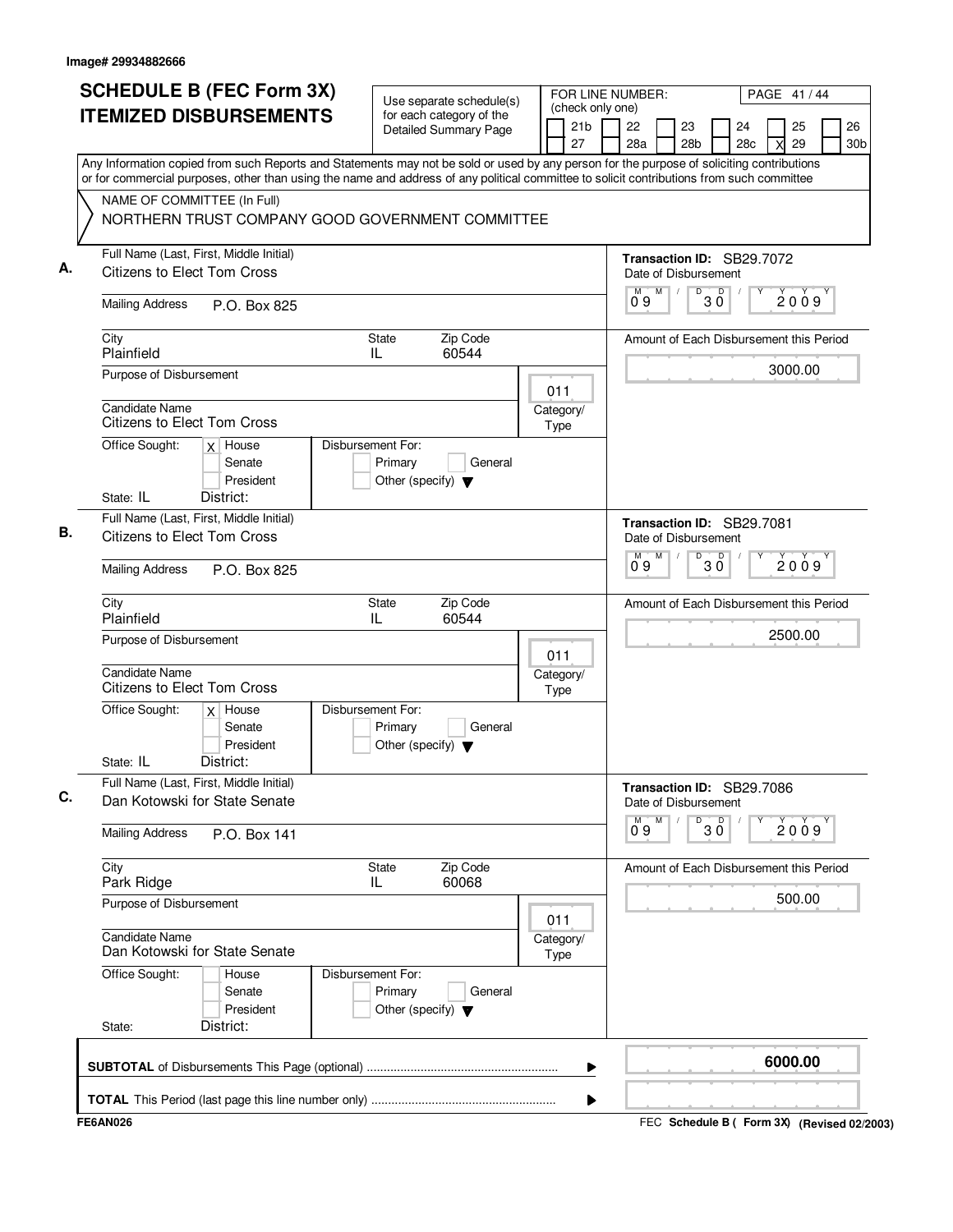| <b>SCHEDULE B (FEC Form 3X)</b><br><b>ITEMIZED DISBURSEMENTS</b>                                                                                                                                                                                                                                                      | Use separate schedule(s)<br>for each category of the<br><b>Detailed Summary Page</b> | (check only one)<br>21b<br>27 | FOR LINE NUMBER:<br>PAGE 41 / 44<br>26<br>22<br>23<br>25<br>24<br>28a<br>28 <sub>b</sub><br>29<br>28c<br>30 <sub>b</sub><br>X |
|-----------------------------------------------------------------------------------------------------------------------------------------------------------------------------------------------------------------------------------------------------------------------------------------------------------------------|--------------------------------------------------------------------------------------|-------------------------------|-------------------------------------------------------------------------------------------------------------------------------|
| Any Information copied from such Reports and Statements may not be sold or used by any person for the purpose of soliciting contributions<br>or for commercial purposes, other than using the name and address of any political committee to solicit contributions from such committee<br>NAME OF COMMITTEE (In Full) | NORTHERN TRUST COMPANY GOOD GOVERNMENT COMMITTEE                                     |                               |                                                                                                                               |
| Full Name (Last, First, Middle Initial)<br><b>Citizens to Elect Tom Cross</b>                                                                                                                                                                                                                                         |                                                                                      |                               | Transaction ID: SB29.7072<br>Date of Disbursement                                                                             |
| <b>Mailing Address</b><br>P.O. Box 825                                                                                                                                                                                                                                                                                |                                                                                      |                               | $0^{\circ}$ 3 $0^{\circ}$<br>M<br>М<br>2009<br>09                                                                             |
| City<br>Plainfield                                                                                                                                                                                                                                                                                                    | <b>State</b><br>Zip Code<br>60544<br>IL                                              |                               | Amount of Each Disbursement this Period                                                                                       |
| Purpose of Disbursement                                                                                                                                                                                                                                                                                               |                                                                                      | 011                           | 3000.00                                                                                                                       |
| <b>Candidate Name</b><br>Citizens to Elect Tom Cross                                                                                                                                                                                                                                                                  |                                                                                      | Category/<br>Type             |                                                                                                                               |
| Office Sought:<br>$x$ House<br>Senate<br>President<br>State: IL<br>District:                                                                                                                                                                                                                                          | Disbursement For:<br>Primary<br>General<br>Other (specify) $\blacktriangledown$      |                               |                                                                                                                               |
| Full Name (Last, First, Middle Initial)<br><b>Citizens to Elect Tom Cross</b>                                                                                                                                                                                                                                         |                                                                                      |                               | Transaction ID: SB29.7081<br>Date of Disbursement<br>M<br>D                                                                   |
| <b>Mailing Address</b><br>P.O. Box 825                                                                                                                                                                                                                                                                                |                                                                                      |                               | $30^{\circ}$<br>2009<br>0.9                                                                                                   |
| City<br>Plainfield                                                                                                                                                                                                                                                                                                    | Zip Code<br><b>State</b><br>IL<br>60544                                              |                               | Amount of Each Disbursement this Period                                                                                       |
| Purpose of Disbursement<br><b>Candidate Name</b><br>Citizens to Elect Tom Cross                                                                                                                                                                                                                                       |                                                                                      | 011<br>Category/<br>Type      | 2500.00                                                                                                                       |
| Office Sought:<br>$x$ House<br>Senate<br>President<br>State: IL<br>District:                                                                                                                                                                                                                                          | Disbursement For:<br>Primary<br>General<br>Other (specify) $\blacktriangledown$      |                               |                                                                                                                               |
| Full Name (Last, First, Middle Initial)<br>Dan Kotowski for State Senate                                                                                                                                                                                                                                              |                                                                                      |                               | Transaction ID: SB29.7086<br>Date of Disbursement                                                                             |
| <b>Mailing Address</b><br>P.O. Box 141                                                                                                                                                                                                                                                                                |                                                                                      |                               | M<br>D<br>30<br>2009<br>09                                                                                                    |
| City<br>Park Ridge                                                                                                                                                                                                                                                                                                    | Zip Code<br>State<br>60068<br>IL                                                     |                               | Amount of Each Disbursement this Period                                                                                       |
| Purpose of Disbursement                                                                                                                                                                                                                                                                                               |                                                                                      | 011                           | 500.00                                                                                                                        |
| Candidate Name<br>Dan Kotowski for State Senate                                                                                                                                                                                                                                                                       |                                                                                      | Category/<br>Type             |                                                                                                                               |
| Office Sought:<br>House<br>Senate<br>President<br>District:<br>State:                                                                                                                                                                                                                                                 | Disbursement For:<br>Primary<br>General<br>Other (specify) $\blacktriangledown$      |                               |                                                                                                                               |
|                                                                                                                                                                                                                                                                                                                       |                                                                                      |                               | 6000.00                                                                                                                       |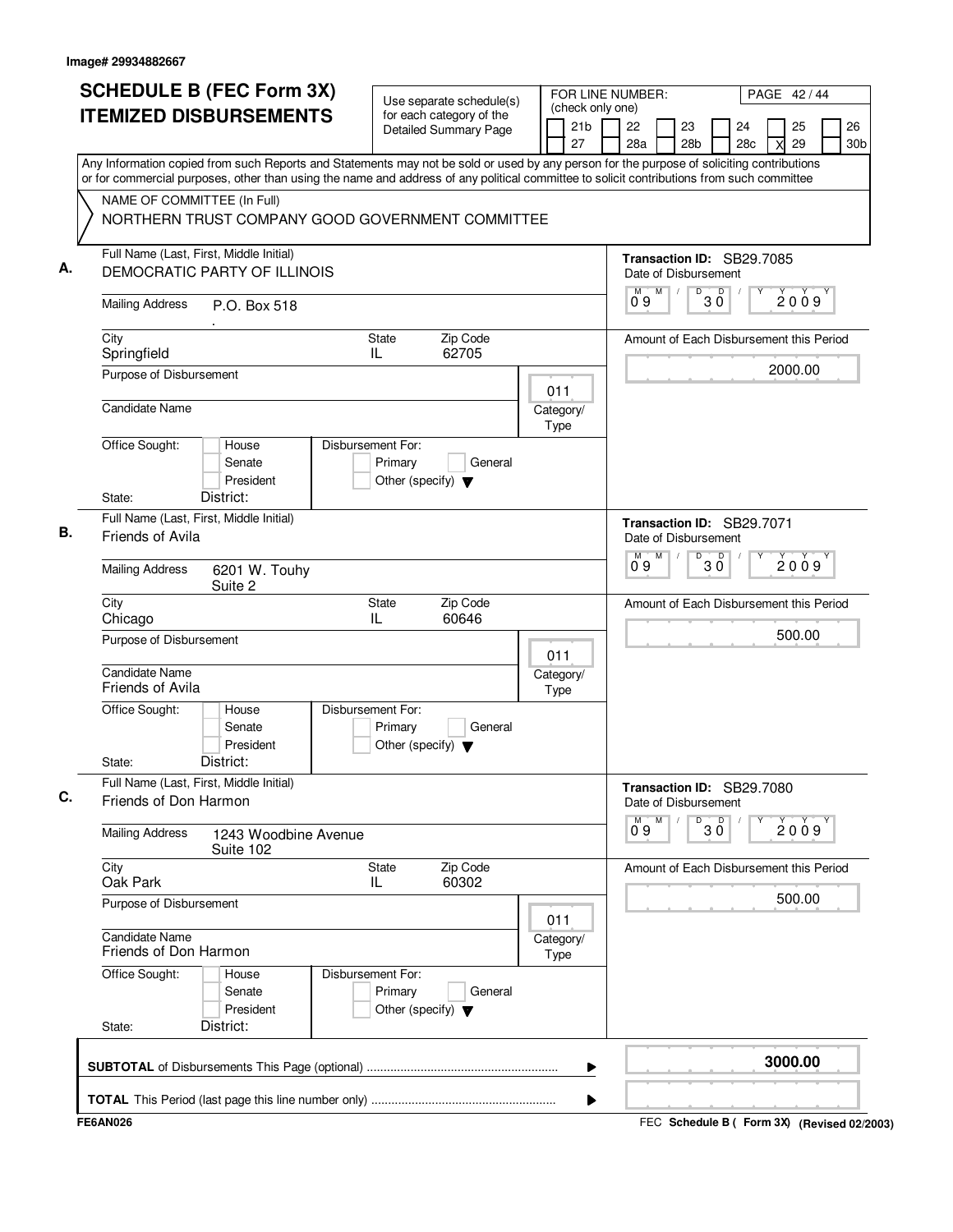| <b>SCHEDULE B (FEC Form 3X)</b><br><b>ITEMIZED DISBURSEMENTS</b>                                                                                                                                                                                                                       | for each category of the                                             | Use separate schedule(s) |                   | FOR LINE NUMBER:<br>(check only one) |                    |   |                       |                                                   |     |   | PAGE 42/44 |                       |
|----------------------------------------------------------------------------------------------------------------------------------------------------------------------------------------------------------------------------------------------------------------------------------------|----------------------------------------------------------------------|--------------------------|-------------------|--------------------------------------|--------------------|---|-----------------------|---------------------------------------------------|-----|---|------------|-----------------------|
|                                                                                                                                                                                                                                                                                        | <b>Detailed Summary Page</b>                                         |                          |                   | 21 <sub>b</sub><br>27                | 22<br>28a          |   | 23<br>28 <sub>b</sub> | 24                                                | 28c | X | 25<br>29   | 26<br>30 <sub>b</sub> |
| Any Information copied from such Reports and Statements may not be sold or used by any person for the purpose of soliciting contributions<br>or for commercial purposes, other than using the name and address of any political committee to solicit contributions from such committee |                                                                      |                          |                   |                                      |                    |   |                       |                                                   |     |   |            |                       |
| NAME OF COMMITTEE (In Full)                                                                                                                                                                                                                                                            |                                                                      |                          |                   |                                      |                    |   |                       |                                                   |     |   |            |                       |
| NORTHERN TRUST COMPANY GOOD GOVERNMENT COMMITTEE                                                                                                                                                                                                                                       |                                                                      |                          |                   |                                      |                    |   |                       |                                                   |     |   |            |                       |
| Full Name (Last, First, Middle Initial)<br>DEMOCRATIC PARTY OF ILLINOIS                                                                                                                                                                                                                |                                                                      |                          |                   |                                      |                    |   |                       | Transaction ID: SB29.7085<br>Date of Disbursement |     |   |            |                       |
| <b>Mailing Address</b><br>P.O. Box 518                                                                                                                                                                                                                                                 |                                                                      |                          |                   |                                      | М<br>09            | M |                       | $0^{\circ}$ 3 $0^{\circ}$                         |     |   | 2009       |                       |
| City<br>Springfield                                                                                                                                                                                                                                                                    | State<br>IL.                                                         | Zip Code<br>62705        |                   |                                      |                    |   |                       | Amount of Each Disbursement this Period           |     |   |            |                       |
| Purpose of Disbursement                                                                                                                                                                                                                                                                |                                                                      |                          | 011               |                                      |                    |   |                       |                                                   |     |   | 2000.00    |                       |
| Candidate Name                                                                                                                                                                                                                                                                         |                                                                      |                          | Category/<br>Type |                                      |                    |   |                       |                                                   |     |   |            |                       |
| Office Sought:<br>House<br>Senate<br>President                                                                                                                                                                                                                                         | Disbursement For:<br>Primary<br>Other (specify) $\blacktriangledown$ | General                  |                   |                                      |                    |   |                       |                                                   |     |   |            |                       |
| District:<br>State:                                                                                                                                                                                                                                                                    |                                                                      |                          |                   |                                      |                    |   |                       |                                                   |     |   |            |                       |
| Full Name (Last, First, Middle Initial)<br>Friends of Avila                                                                                                                                                                                                                            |                                                                      |                          |                   |                                      |                    |   |                       | Transaction ID: SB29.7071<br>Date of Disbursement |     |   |            |                       |
| <b>Mailing Address</b><br>6201 W. Touhy<br>Suite 2                                                                                                                                                                                                                                     |                                                                      |                          |                   |                                      | м<br>09            | M | D                     | D<br>ЗŐ                                           |     |   | 2009       |                       |
| City<br>Chicago                                                                                                                                                                                                                                                                        | <b>State</b><br>IL                                                   | Zip Code<br>60646        |                   |                                      |                    |   |                       | Amount of Each Disbursement this Period           |     |   |            |                       |
| Purpose of Disbursement                                                                                                                                                                                                                                                                |                                                                      |                          | 011               |                                      |                    |   |                       |                                                   |     |   | 500.00     |                       |
| Candidate Name<br>Friends of Avila                                                                                                                                                                                                                                                     |                                                                      |                          | Category/<br>Type |                                      |                    |   |                       |                                                   |     |   |            |                       |
| Office Sought:<br>House<br>Senate<br>President<br>District:<br>State:                                                                                                                                                                                                                  | Disbursement For:<br>Primary<br>Other (specify) $\blacktriangledown$ | General                  |                   |                                      |                    |   |                       |                                                   |     |   |            |                       |
| Full Name (Last, First, Middle Initial)<br>Friends of Don Harmon                                                                                                                                                                                                                       |                                                                      |                          |                   |                                      |                    |   |                       | Transaction ID: SB29.7080<br>Date of Disbursement |     |   |            |                       |
| <b>Mailing Address</b><br>1243 Woodbine Avenue<br>Suite 102                                                                                                                                                                                                                            |                                                                      |                          |                   |                                      | $\overline{0}^M$ 9 | M | D                     | $30^{\circ}$                                      |     |   | 2009       |                       |
| City<br>Oak Park                                                                                                                                                                                                                                                                       | State<br>IL                                                          | Zip Code<br>60302        |                   |                                      |                    |   |                       | Amount of Each Disbursement this Period           |     |   |            |                       |
| Purpose of Disbursement                                                                                                                                                                                                                                                                |                                                                      |                          | 011               |                                      |                    |   |                       |                                                   |     |   | 500.00     |                       |
| <b>Candidate Name</b><br>Friends of Don Harmon                                                                                                                                                                                                                                         |                                                                      |                          | Category/<br>Type |                                      |                    |   |                       |                                                   |     |   |            |                       |
| Office Sought:<br>House<br>Senate<br>President                                                                                                                                                                                                                                         | Disbursement For:<br>Primary<br>Other (specify) $\blacktriangledown$ | General                  |                   |                                      |                    |   |                       |                                                   |     |   |            |                       |
| District:<br>State:                                                                                                                                                                                                                                                                    |                                                                      |                          |                   |                                      |                    |   |                       |                                                   |     |   |            |                       |
|                                                                                                                                                                                                                                                                                        |                                                                      |                          |                   | ▶                                    |                    |   |                       |                                                   |     |   | 3000.00    |                       |
|                                                                                                                                                                                                                                                                                        |                                                                      |                          |                   | ▶                                    |                    |   |                       |                                                   |     |   |            |                       |
|                                                                                                                                                                                                                                                                                        |                                                                      |                          |                   |                                      |                    |   |                       |                                                   |     |   |            |                       |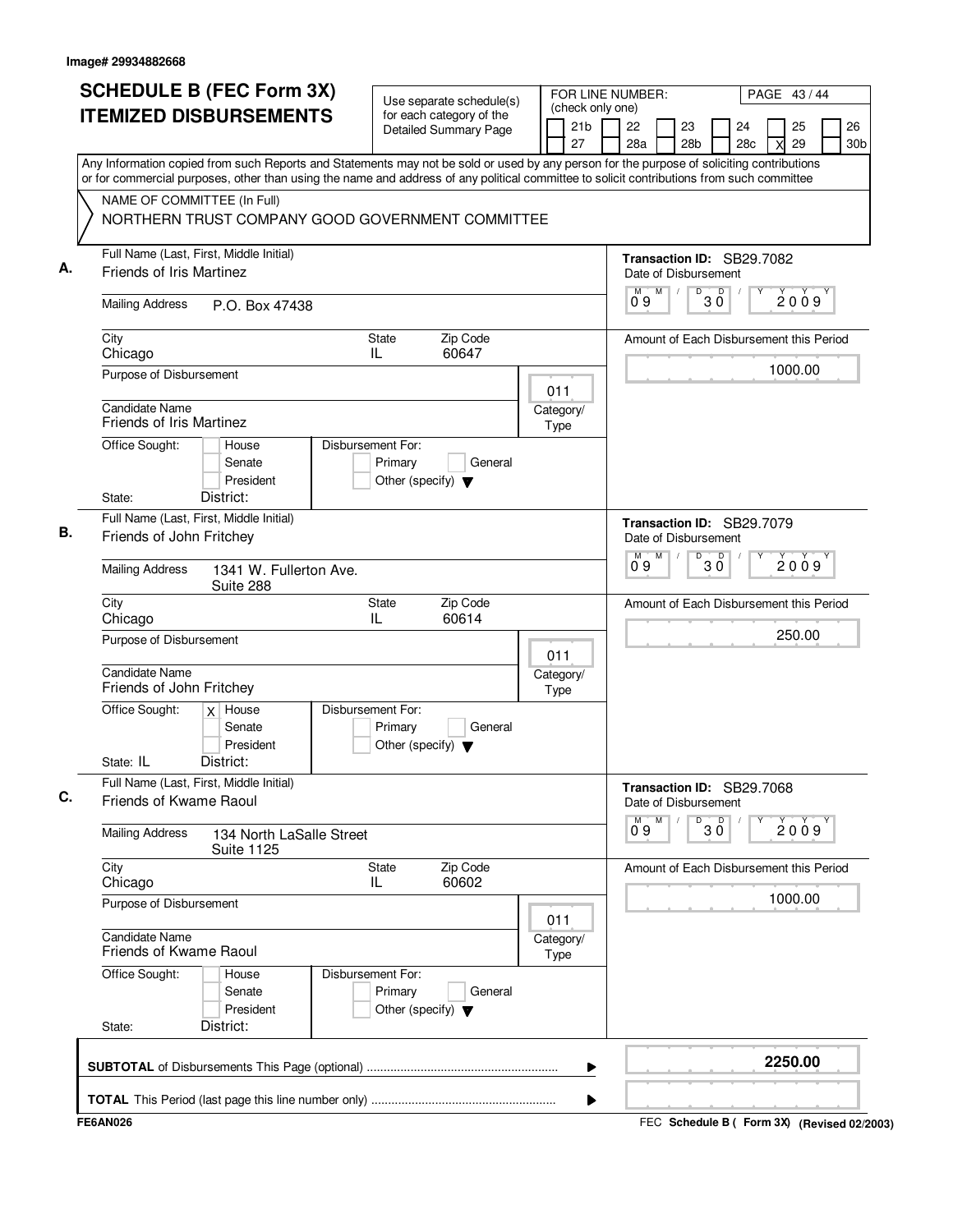| <b>SCHEDULE B (FEC Form 3X)</b>                                                                                                                                                                                                                                                        | Use separate schedule(s)                                                        |                                           | FOR LINE NUMBER:                                       |                                          | PAGE 43/44                              |                       |
|----------------------------------------------------------------------------------------------------------------------------------------------------------------------------------------------------------------------------------------------------------------------------------------|---------------------------------------------------------------------------------|-------------------------------------------|--------------------------------------------------------|------------------------------------------|-----------------------------------------|-----------------------|
| <b>ITEMIZED DISBURSEMENTS</b>                                                                                                                                                                                                                                                          | for each category of the<br><b>Detailed Summary Page</b>                        | (check only one)<br>21 <sub>b</sub><br>27 | 22<br>23<br>28a                                        | 24<br>28 <sub>b</sub><br>28 <sub>c</sub> | 25<br>29<br>X                           | 26<br>30 <sub>b</sub> |
| Any Information copied from such Reports and Statements may not be sold or used by any person for the purpose of soliciting contributions<br>or for commercial purposes, other than using the name and address of any political committee to solicit contributions from such committee |                                                                                 |                                           |                                                        |                                          |                                         |                       |
| NAME OF COMMITTEE (In Full)                                                                                                                                                                                                                                                            |                                                                                 |                                           |                                                        |                                          |                                         |                       |
| NORTHERN TRUST COMPANY GOOD GOVERNMENT COMMITTEE                                                                                                                                                                                                                                       |                                                                                 |                                           |                                                        |                                          |                                         |                       |
| Full Name (Last, First, Middle Initial)<br><b>Friends of Iris Martinez</b>                                                                                                                                                                                                             |                                                                                 |                                           | Transaction ID: SB29.7082<br>Date of Disbursement      |                                          |                                         |                       |
| <b>Mailing Address</b><br>P.O. Box 47438                                                                                                                                                                                                                                               |                                                                                 |                                           | M<br>09                                                | D<br>$\overline{D}$<br>ЗŎ                | 2009                                    |                       |
| City<br>Chicago                                                                                                                                                                                                                                                                        | <b>State</b><br>Zip Code<br>60647<br>IL                                         |                                           |                                                        |                                          | Amount of Each Disbursement this Period |                       |
| Purpose of Disbursement                                                                                                                                                                                                                                                                |                                                                                 | 011                                       |                                                        |                                          | 1000.00                                 |                       |
| <b>Candidate Name</b><br><b>Friends of Iris Martinez</b>                                                                                                                                                                                                                               |                                                                                 | Category/<br>Type                         |                                                        |                                          |                                         |                       |
| Office Sought:<br>House<br>Senate<br>President                                                                                                                                                                                                                                         | Disbursement For:<br>Primary<br>General<br>Other (specify) $\blacktriangledown$ |                                           |                                                        |                                          |                                         |                       |
| District:<br>State:                                                                                                                                                                                                                                                                    |                                                                                 |                                           |                                                        |                                          |                                         |                       |
| Full Name (Last, First, Middle Initial)<br>Friends of John Fritchey                                                                                                                                                                                                                    |                                                                                 |                                           | Transaction ID: SB29.7079<br>Date of Disbursement      |                                          |                                         |                       |
| <b>Mailing Address</b><br>1341 W. Fullerton Ave.<br>Suite 288                                                                                                                                                                                                                          |                                                                                 |                                           | M<br>м<br>09                                           | D<br>D<br>ЗŐ                             | 2009                                    |                       |
| City<br>Chicago                                                                                                                                                                                                                                                                        | Zip Code<br>State<br>IL<br>60614                                                |                                           |                                                        |                                          | Amount of Each Disbursement this Period |                       |
| Purpose of Disbursement                                                                                                                                                                                                                                                                |                                                                                 | 011                                       |                                                        |                                          | 250.00                                  |                       |
| <b>Candidate Name</b><br>Friends of John Fritchey                                                                                                                                                                                                                                      |                                                                                 | Category/<br>Type                         |                                                        |                                          |                                         |                       |
| Office Sought:<br>$x$ House<br>Senate<br>President                                                                                                                                                                                                                                     | Disbursement For:<br>Primary<br>General<br>Other (specify) $\blacktriangledown$ |                                           |                                                        |                                          |                                         |                       |
| State: IL<br>District:                                                                                                                                                                                                                                                                 |                                                                                 |                                           |                                                        |                                          |                                         |                       |
| Full Name (Last, First, Middle Initial)<br>Friends of Kwame Raoul                                                                                                                                                                                                                      |                                                                                 |                                           | Transaction ID: SB29.7068<br>Date of Disbursement<br>M | D                                        |                                         |                       |
| <b>Mailing Address</b><br>134 North LaSalle Street<br><b>Suite 1125</b>                                                                                                                                                                                                                |                                                                                 |                                           | 09                                                     | $30^{\circ}$                             | 2009                                    |                       |
| City<br>Chicago                                                                                                                                                                                                                                                                        | Zip Code<br>State<br>60602<br>IL                                                |                                           |                                                        |                                          | Amount of Each Disbursement this Period |                       |
| Purpose of Disbursement                                                                                                                                                                                                                                                                |                                                                                 | 011                                       |                                                        |                                          | 1000.00                                 |                       |
| Candidate Name<br>Friends of Kwame Raoul                                                                                                                                                                                                                                               |                                                                                 | Category/<br>Type                         |                                                        |                                          |                                         |                       |
| Office Sought:<br>House<br>Senate<br>President                                                                                                                                                                                                                                         | Disbursement For:<br>Primary<br>General<br>Other (specify) $\blacktriangledown$ |                                           |                                                        |                                          |                                         |                       |
| District:<br>State:                                                                                                                                                                                                                                                                    |                                                                                 |                                           |                                                        |                                          |                                         |                       |
|                                                                                                                                                                                                                                                                                        |                                                                                 |                                           |                                                        |                                          |                                         |                       |
|                                                                                                                                                                                                                                                                                        |                                                                                 | ▶                                         |                                                        |                                          | 2250.00                                 |                       |